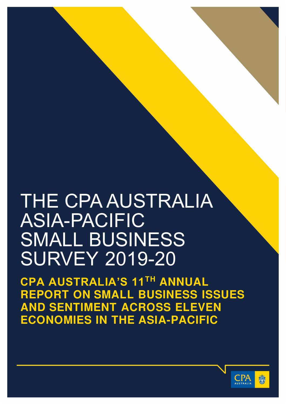# THE CPA AUSTRALIA ASIA-PACIFIC SMALL BUSINESS SURVEY 2019-20

**CPA AUSTRALIA'S 11TH ANNUAL REPORT ON SMALL BUSINESS ISSUES AND SENTIMENT ACROSS ELEVEN ECONOMIES IN THE ASIA-PACIFIC** 

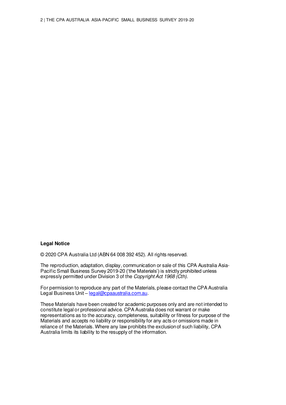#### **Legal Notice**

© 2020 CPA Australia Ltd (ABN 64 008 392 452). All rights reserved.

The reproduction, adaptation, display, communication or sale of this CPA Australia Asia-Pacific Small Business Survey 2019-20 ('the Materials') is strictly prohibited unless expressly permitted under Division 3 of the Copyright Act 1968 (Cth).

For permission to reproduce any part of the Materials, please contact the CPA Australia Legal Business Unit – [legal@cpaaustralia.com.au.](mailto:legal@cpaaustralia.com.au)

These Materials have been created for academic purposes only and are not intended to constitute legal or professional advice. CPA Australia does not warrant or make representations as to the accuracy, completeness, suitability or fitness for purpose of the Materials and accepts no liability or responsibility for any acts or omissions made in reliance of the Materials. Where any law prohibits the exclusion of such liability, CPA Australia limits its liability to the resupply of the information.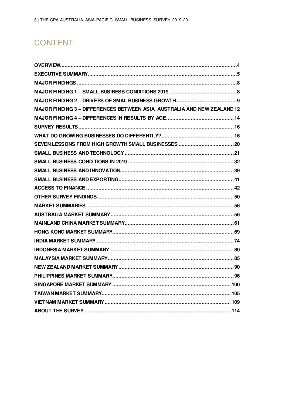## **CONTENT**

| MAJOR FINDING 3 - DIFFERENCES BETWEEN ASIA, AUSTRALIA AND NEW ZEALAND 12 |
|--------------------------------------------------------------------------|
|                                                                          |
|                                                                          |
|                                                                          |
|                                                                          |
|                                                                          |
|                                                                          |
|                                                                          |
|                                                                          |
|                                                                          |
|                                                                          |
|                                                                          |
|                                                                          |
|                                                                          |
|                                                                          |
|                                                                          |
|                                                                          |
|                                                                          |
|                                                                          |
|                                                                          |
|                                                                          |
|                                                                          |
|                                                                          |
|                                                                          |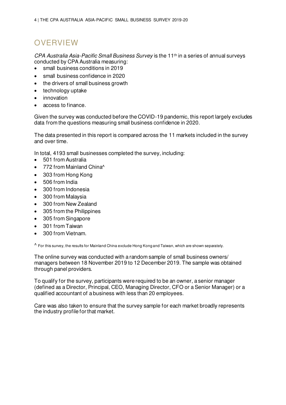## <span id="page-3-0"></span>**OVERVIEW**

CPA Australia Asia-Pacific Small Business Survey is the 11th in a series of annual surveys conducted by CPA Australia measuring:

- small business conditions in 2019
- small business confidence in 2020
- the drivers of small business growth
- technology uptake
- innovation
- access to finance.

Given the survey was conducted before the COVID-19 pandemic, this report largely excludes data from the questions measuring small business confidence in 2020.

The data presented in this report is compared across the 11 markets included in the survey and over time.

In total, 4193 small businesses completed the survey, including:

- 501 from Australia
- 772 from Mainland China^
- 303 from Hong Kong
- 506 from India
- 300 from Indonesia
- 300 from Malaysia
- 300 from New Zealand
- 305 from the Philippines
- 305 from Singapore
- 301 from Taiwan
- 300 from Vietnam.

 $\wedge$  For this survey, the results for Mainland China exclude Hong Kong and Taiwan, which are shown separately.

The online survey was conducted with a random sample of small business owners/ managers between 18 November 2019 to 12 December 2019. The sample was obtained through panel providers.

To qualify for the survey, participants were required to be an owner, a senior manager (defined as a Director, Principal, CEO, Managing Director, CFO or a Senior Manager) or a qualified accountant of a business with less than 20 employees.

Care was also taken to ensure that the survey sample for each market broadly represents the industry profile for that market.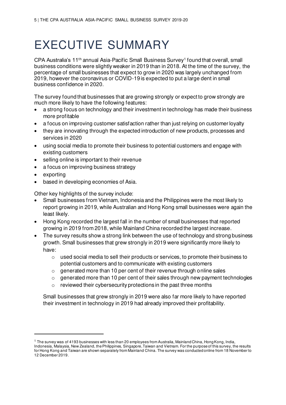## <span id="page-4-0"></span>EXECUTIVE SUMMARY

CPA Australia's 11<sup>th</sup> annual Asia-Pacific Small Business Survey<sup>1</sup> found that overall, small business conditions were slightly weaker in 2019 than in 2018. At the time of the survey, the percentage of small businesses that expect to grow in 2020 was largely unchanged from 2019, however the coronavirus or COVID-19 is expected to put a large dent in small business confidence in 2020.

The survey found that businesses that are growing strongly or expect to grow strongly are much more likely to have the following features:

- a strong focus on technology and their investment in technology has made their business more profitable
- a focus on improving customer satisfaction rather than just relying on customer loyalty
- they are innovating through the expected introduction of new products, processes and services in 2020
- using social media to promote their business to potential customers and engage with existing customers
- selling online is important to their revenue
- a focus on improving business strategy
- exporting
- based in developing economies of Asia.

Other key highlights of the survey include:

- Small businesses from Vietnam, Indonesia and the Philippines were the most likely to report growing in 2019, while Australian and Hong Kong small businesses were again the least likely.
- Hong Kong recorded the largest fall in the number of small businesses that reported growing in 2019 from 2018, while Mainland China recorded the largest increase.
- The survey results show a strong link between the use of technology and strong business growth. Small businesses that grew strongly in 2019 were significantly more likely to have:
	- o used social media to sell their products or services, to promote their business to potential customers and to communicate with existing customers
	- o generated more than 10 per cent of their revenue through online sales
	- $\circ$  generated more than 10 per cent of their sales through new payment technologies
	- o reviewed their cybersecurity protections in the past three months

Small businesses that grew strongly in 2019 were also far more likely to have reported their investment in technology in 2019 had already improved their profitability.

 $1$  The survey was of 4193 businesses with less than 20 employees from Australia, Mainland China, Hong Kong, India,

Indonesia, Malaysia, New Zealand, the Philippines, Singapore, Taiwan and Vietnam. For the purpose of this survey, the results for Hong Kong and Taiwan are shown separately from Mainland China. The survey was conducted online from 18 November to 12 December 2019.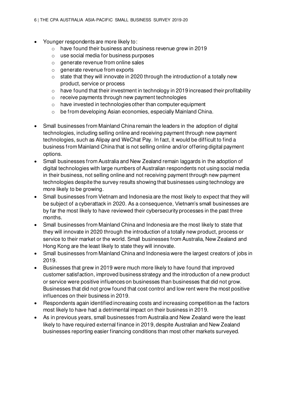- Younger respondents are more likely to:
	- o have found their business and business revenue grew in 2019
	- o use social media for business purposes
	- $\circ$  generate revenue from online sales
	- o generate revenue from exports
	- o state that they will innovate in 2020 through the introduction of a totally new product, service or process
	- o have found that their investment in technology in 2019 increased their profitability
	- o receive payments through new payment technologies
	- o have invested in technologies other than computer equipment
	- o be from developing Asian economies, especially Mainland China.
- Small businesses from Mainland China remain the leaders in the adoption of digital technologies, including selling online and receiving payment through new payment technologies, such as Alipay and WeChat Pay. In fact, it would be difficult to find a business from Mainland China that is not selling online and/or offering digital payment options.
- Small businesses from Australia and New Zealand remain laggards in the adoption of digital technologies with large numbers of Australian respondents not using social media in their business, not selling online and not receiving payment through new payment technologies despite the survey results showing that businesses using technology are more likely to be growing.
- Small businesses from Vietnam and Indonesia are the most likely to expect that they will be subject of a cyberattack in 2020. As a consequence, Vietnam's small businesses are by far the most likely to have reviewed their cybersecurity processes in the past three months.
- Small businesses from Mainland China and Indonesia are the most likely to state that they will innovate in 2020 through the introduction of a totally new product, process or service to their market or the world. Small businesses from Australia, New Zealand and Hong Kong are the least likely to state they will innovate.
- Small businesses from Mainland China and Indonesia were the largest creators of jobs in 2019.
- Businesses that grew in 2019 were much more likely to have found that improved customer satisfaction, improved business strategy and the introduction of a new product or service were positive influences on businesses than businesses that did not grow. Businesses that did not grow found that cost control and low rent were the most positive influences on their business in 2019.
- Respondents again identified increasing costs and increasing competition as the factors most likely to have had a detrimental impact on their business in 2019.
- As in previous years, small businesses from Australia and New Zealand were the least likely to have required external finance in 2019, despite Australian and New Zealand businesses reporting easier financing conditions than most other markets surveyed.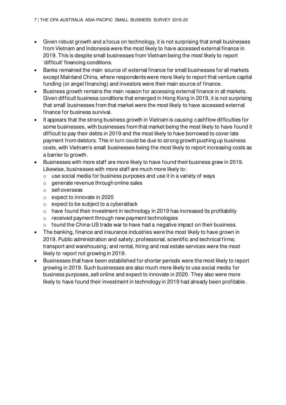- Given robust growth and a focus on technology, it is not surprising that small businesses from Vietnam and Indonesia were the most likely to have accessed external finance in 2019. This is despite small businesses from Vietnam being the most likely to report 'difficult' financing conditions.
- Banks remained the main source of external finance for small businesses for all markets except Mainland China, where respondents were more likely to report that venture capital funding (or angel financing) and investors were their main source of finance.
- Business growth remains the main reason for accessing external finance in all markets. Given difficult business conditions that emerged in Hong Kong in 2019, it is not surprising that small businesses from that market were the most likely to have accessed external finance for business survival.
- It appears that the strong business growth in Vietnam is causing cashflow difficulties for some businesses, with businesses from that market being the most likely to have found it difficult to pay their debts in 2019 and the most likely to have borrowed to cover late payment from debtors. This in turn could be due to strong growth pushing up business costs, with Vietnam's small businesses being the most likely to report increasing costs as a barrier to growth.
- Businesses with more staff are more likely to have found their business grew in 2019. Likewise, businesses with more staff are much more likely to:
	- o use social media for business purposes and use it in a variety of ways
	- o generate revenue through online sales
	- o sell overseas
	- o expect to innovate in 2020
	- o expect to be subject to a cyberattack
	- $\circ$  have found their investment in technology in 2019 has increased its profitability
	- o received payment through new payment technologies
	- o found the China-US trade war to have had a negative impact on their business.
- The banking, finance and insurance industries were the most likely to have grown in 2019. Public administration and safety; professional, scientific and technical firms; transport and warehousing; and rental, hiring and real estate services were the most likely to report not growing in 2019.
- Businesses that have been established for shorter periods were the most likely to report growing in 2019. Such businesses are also much more likely to use social media for business purposes, sell online and expect to innovate in 2020. They also were more likely to have found their investment in technology in 2019 had already been profitable.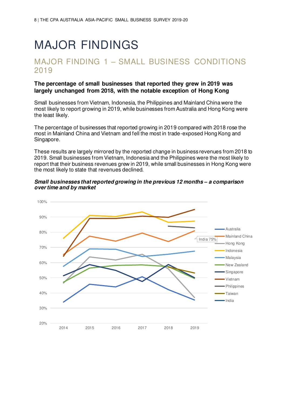## <span id="page-7-0"></span>MAJOR FINDINGS

### <span id="page-7-1"></span>MAJOR FINDING 1 – SMALL BUSINESS CONDITIONS 2019

#### **The percentage of small businesses that reported they grew in 2019 was largely unchanged from 2018, with the notable exception of Hong Kong**

Small businesses from Vietnam, Indonesia, the Philippines and Mainland China were the most likely to report growing in 2019, while businesses from Australia and Hong Kong were the least likely.

The percentage of businesses that reported growing in 2019 compared with 2018 rose the most in Mainland China and Vietnam and fell the most in trade-exposed Hong Kong and Singapore.

These results are largely mirrored by the reported change in business revenues from 2018 to 2019. Small businesses from Vietnam, Indonesia and the Philippines were the most likely to report that their business revenues grew in 2019, while small businesses in Hong Kong were the most likely to state that revenues declined.



#### **Small businesses that reported growing in the previous 12 months** *–* **a comparison over time and by market**

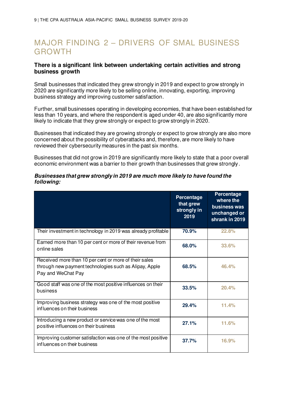## <span id="page-8-0"></span>MAJOR FINDING 2 – DRIVERS OF SMAL BUSINESS GROWTH

#### **There is a significant link between undertaking certain activities and strong business growth**

Small businesses that indicated they grew strongly in 2019 and expect to grow strongly in 2020 are significantly more likely to be selling online, innovating, exporting, improving business strategy and improving customer satisfaction.

Further, small businesses operating in developing economies, that have been established for less than 10 years, and where the respondent is aged under 40, are also significantly more likely to indicate that they grew strongly or expect to grow strongly in 2020.

Businesses that indicated they are growing strongly or expect to grow strongly are also more concerned about the possibility of cyberattacks and, therefore, are more likely to have reviewed their cybersecurity measures in the past six months.

Businesses that did not grow in 2019 are significantly more likely to state that a poor overall economic environment was a barrier to their growth than businesses that grew strongly.

#### **Businesses that grew strongly in 2019 are much more likely to have found the following:**

|                                                                                                                                       | <b>Percentage</b><br>that grew<br>strongly in<br>2019 | Percentage<br>where the<br>business was<br>unchanged or<br>shrank in 2019 |
|---------------------------------------------------------------------------------------------------------------------------------------|-------------------------------------------------------|---------------------------------------------------------------------------|
| Their investment in technology in 2019 was already profitable                                                                         | 70.9%                                                 | 22.8%                                                                     |
| Earned more than 10 per cent or more of their revenue from<br>online sales                                                            | 68.0%                                                 | 33.6%                                                                     |
| Received more than 10 per cent or more of their sales<br>through new payment technologies such as Alipay, Apple<br>Pay and WeChat Pay | 68.5%                                                 | 46.4%                                                                     |
| Good staff was one of the most positive influences on their<br>business                                                               | 33.5%                                                 | 20.4%                                                                     |
| Improving business strategy was one of the most positive<br>influences on their business                                              | 29.4%                                                 | 11.4%                                                                     |
| Introducing a new product or service was one of the most<br>positive influences on their business                                     | 27.1%                                                 | 11.6%                                                                     |
| Improving customer satisfaction was one of the most positive<br>influences on their business                                          | 37.7%                                                 | 16.9%                                                                     |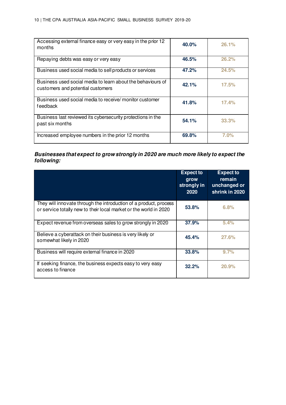| Accessing external finance easy or very easy in the prior 12<br>months                           | 40.0% | 26.1% |
|--------------------------------------------------------------------------------------------------|-------|-------|
| Repaying debts was easy or very easy                                                             | 46.5% | 26.2% |
| Business used social media to sell products or services                                          | 47.2% | 24.5% |
| Business used social media to learn about the behaviours of<br>customers and potential customers | 42.1% | 17.5% |
| Business used social media to receive/monitor customer<br>feedback                               | 41.8% | 17.4% |
| Business last reviewed its cybersecurity protections in the<br>past six months                   | 54.1% | 33.3% |
| Increased employee numbers in the prior 12 months                                                | 69.8% | 7.0%  |

#### **Businesses that expect to grow strongly in 2020 are much more likely to expect the following:**

|                                                                                                                                        | <b>Expect to</b><br>grow<br>strongly in<br>2020 | <b>Expect to</b><br>remain<br>unchanged or<br>shrink in 2020 |
|----------------------------------------------------------------------------------------------------------------------------------------|-------------------------------------------------|--------------------------------------------------------------|
| They will innovate through the introduction of a product, process<br>or service totally new to their local market or the world in 2020 | 53.8%                                           | 6.8%                                                         |
| Expect revenue from overseas sales to grow strongly in 2020                                                                            | 37.9%                                           | 5.4%                                                         |
| Believe a cyberattack on their business is very likely or<br>somewhat likely in 2020                                                   | 45.4%                                           | 27.6%                                                        |
| Business will require external finance in 2020                                                                                         | 33.8%                                           | 9.7%                                                         |
| If seeking finance, the business expects easy to very easy<br>access to finance                                                        | 32.2%                                           | 20.9%                                                        |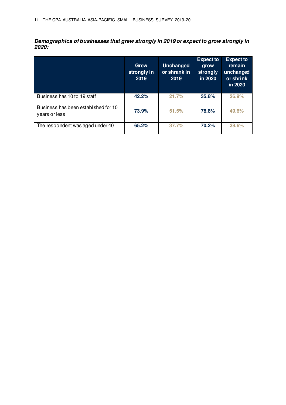**Demographics of businesses that grew strongly in 2019 or expect to grow strongly in 2020:** 

|                                                       | <b>Grew</b><br>strongly in<br>2019 | <b>Unchanged</b><br>or shrank in<br>2019 | <b>Expect to</b><br>grow<br>strongly<br>in 2020 | <b>Expect to</b><br>remain<br>unchanged<br>or shrink<br>in 2020 |
|-------------------------------------------------------|------------------------------------|------------------------------------------|-------------------------------------------------|-----------------------------------------------------------------|
| Business has 10 to 19 staff                           | 42.2%                              | 21.7%                                    | 35.8%                                           | 26.9%                                                           |
| Business has been established for 10<br>years or less | 73.9%                              | 51.5%                                    | 78.8%                                           | 49.6%                                                           |
| The respondent was aged under 40                      | 65.2%                              | 37.7%                                    | 70.2%                                           | 38.6%                                                           |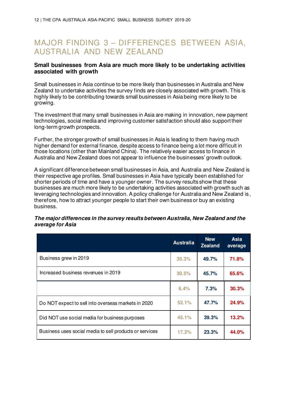### <span id="page-11-0"></span>MAJOR FINDING 3 – DIFFERENCES BETWEEN ASIA, AUSTRALIA AND NEW ZEALAND

#### **Small businesses from Asia are much more likely to be undertaking activities associated with growth**

Small businesses in Asia continue to be more likely than businesses in Australia and New Zealand to undertake activities the survey finds are closely associated with growth. This is highly likely to be contributing towards small businesses in Asia being more likely to be growing.

The investment that many small businesses in Asia are making in innovation, new payment technologies, social media and improving customer satisfaction should also support their long-term growth prospects.

Further, the stronger growth of small businesses in Asia is leading to them having much higher demand for external finance, despite access to finance being a lot more difficult in those locations (other than Mainland China). The relatively easier access to finance in Australia and New Zealand does not appear to influence the businesses' growth outlook.

A significant difference between small businesses in Asia, and Australia and New Zealand is their respective age profiles. Small businesses in Asia have typically been established for shorter periods of time and have a younger owner. The survey results show that these businesses are much more likely to be undertaking activities associated with growth such as leveraging technologies and innovation. A policy challenge for Australia and New Zealand is, therefore, how to attract younger people to start their own business or buy an existing business.

|                                                         | <b>Australia</b> | <b>New</b><br><b>Zealand</b> | <b>Asia</b><br>average |
|---------------------------------------------------------|------------------|------------------------------|------------------------|
| Business grew in 2019                                   | 35.3%            | 49.7%                        | 71.8%                  |
| Increased business revenues in 2019                     | 30.5%            | 45.7%                        | 65.6%                  |
|                                                         | 6.4%             | 7.3%                         | 30.3%                  |
| Do NOT expect to sell into overseas markets in 2020     | 52.1%            | 47.7%                        | 24.9%                  |
| Did NOT use social media for business purposes          | 45.1%            | 39.3%                        | 13.2%                  |
| Business uses social media to sell products or services | 17.2%            | 23.3%                        | 44.0%                  |

#### **The major differences in the survey results between Australia, New Zealand and the average for Asia**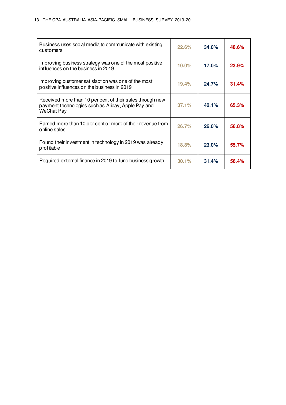| Business uses social media to communicate with existing<br>customers                                                          | 22.6%    | 34.0%        | 48.6%        |
|-------------------------------------------------------------------------------------------------------------------------------|----------|--------------|--------------|
| Improving business strategy was one of the most positive<br>influences on the business in 2019                                | $10.0\%$ | 17.0%        | <b>23.9%</b> |
| Improving customer satisfaction was one of the most<br>positive influences on the business in 2019                            | 19.4%    | 24.7%        | 31.4%        |
| Received more than 10 per cent of their sales through new<br>payment technologies such as Alipay, Apple Pay and<br>WeChat Pay | 37.1%    | 42.1%        | 65.3%        |
| Earned more than 10 per cent or more of their revenue from<br>online sales                                                    | 26.7%    | 26.0%        | 56.8%        |
| Found their investment in technology in 2019 was already<br>profitable                                                        | 18.8%    | <b>23.0%</b> | 55.7%        |
| Required external finance in 2019 to fund business growth                                                                     | 30.1%    | 31.4%        | 56.4%        |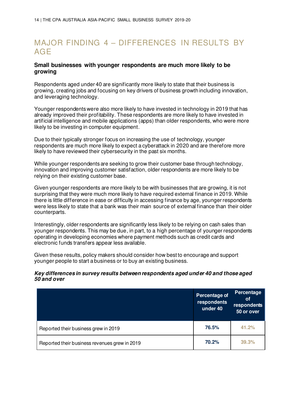## <span id="page-13-0"></span>MAJOR FINDING 4 – DIFFERENCES IN RESULTS BY AGE

#### **Small businesses with younger respondents are much more likely to be growing**

Respondents aged under 40 are significantly more likely to state that their business is growing, creating jobs and focusing on key drivers of business growth including innovation, and leveraging technology.

Younger respondents were also more likely to have invested in technology in 2019 that has already improved their profitability. These respondents are more likely to have invested in artificial intelligence and mobile applications (apps) than older respondents, who were more likely to be investing in computer equipment.

Due to their typically stronger focus on increasing the use of technology, younger respondents are much more likely to expect a cyberattack in 2020 and are therefore more likely to have reviewed their cybersecurity in the past six months.

While younger respondents are seeking to grow their customer base through technology, innovation and improving customer satisfaction, older respondents are more likely to be relying on their existing customer base.

Given younger respondents are more likely to be with businesses that are growing, it is not surprising that they were much more likely to have required external finance in 2019. While there is little difference in ease or difficulty in accessing finance by age, younger respondents were less likely to state that a bank was their main source of external finance than their older counterparts.

Interestingly, older respondents are significantly less likely to be relying on cash sales than younger respondents. This may be due, in part, to a high percentage of younger respondents operating in developing economies where payment methods such as credit cards and electronic funds transfers appear less available.

Given these results, policy makers should consider how best to encourage and support younger people to start a business or to buy an existing business.

#### **Key differences in survey results between respondents aged under 40 and those aged 50 and over**

|                                               | Percentage of<br>respondents<br>under 40 | Percentage<br><b>of</b><br>respondents<br>50 or over |
|-----------------------------------------------|------------------------------------------|------------------------------------------------------|
| Reported their business grew in 2019          | 76.5%                                    | 41.2%                                                |
| Reported their business revenues grew in 2019 | 70.2%                                    | 39.3%                                                |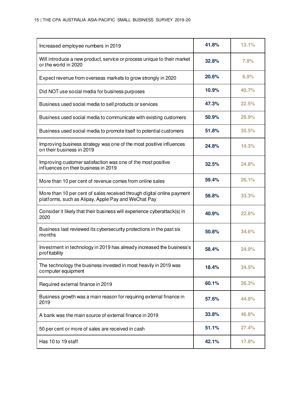| Increased employee numbers in 2019                                                                                            | 41.8% | 13.1% |
|-------------------------------------------------------------------------------------------------------------------------------|-------|-------|
| Will introduce a new product, service or process unique to their market<br>or the world in 2020                               | 32.8% | 7.8%  |
| Expect revenue from overseas markets to grow strongly in 2020                                                                 | 20.6% | 6.9%  |
| Did NOT use social media for business purposes                                                                                | 10.9% | 40.7% |
| Business used social media to sell products or services                                                                       | 47.3% | 22.5% |
| Business used social media to communicate with existing customers                                                             | 50.9% | 29.9% |
| Business used social media to promote itself to potential customers                                                           | 51.8% | 35.5% |
| Improving business strategy was one of the most positive influences<br>on their business in 2019                              | 24.8% | 14.3% |
| Improving customer satisfaction was one of the most positive<br>influences on their business in 2019                          | 32.5% | 24.8% |
| More than 10 per cent of revenue comes from online sales                                                                      | 59.4% | 26.1% |
| More than 10 per cent of sales received through digital online payment<br>platforms, such as Alipay, Apple Pay and WeChat Pay | 58.8% | 33.3% |
| Consider it likely that their business will experience cyberattack(s) in<br>2020                                              | 40.9% | 22.6% |
| Business last reviewed its cybersecurity protections in the past six<br>months                                                | 50.8% | 34.6% |
| Investment in technology in 2019 has already increased the business's<br>profitability                                        | 58.4% | 24.9% |
| The technology the business invested in most heavily in 2019 was<br>computer equipment                                        | 18.4% | 34.5% |
| Required external finance in 2019                                                                                             | 60.1% | 28.3% |
| Business growth was a main reason for requiring external finance in<br>2019                                                   | 57.6% | 44.8% |
| A bank was the main source of external finance in 2019                                                                        | 33.8% | 46.8% |
| 50 per cent or more of sales are received in cash                                                                             | 51.1% | 27.4% |
| Has 10 to 19 staff                                                                                                            | 42.1% | 17.8% |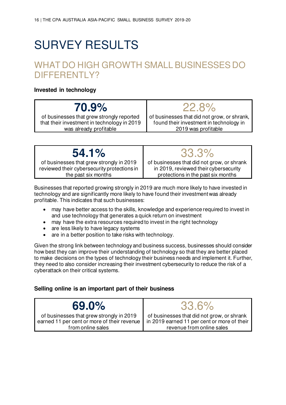## <span id="page-15-0"></span>SURVEY RESULTS

## <span id="page-15-1"></span>WHAT DO HIGH GROWTH SMALL BUSINESSES DO DIFFERENTI Y?

#### **Invested in technology**

## **70.9%**

of businesses that grew strongly reported that their investment in technology in 2019 was already profitable

## 22.8%

of businesses that did not grow, or shrank, found their investment in technology in 2019 was profitable

| 54.1%                                       | 33.3%                                      |
|---------------------------------------------|--------------------------------------------|
| of businesses that grew strongly in 2019    | of businesses that did not grow, or shrank |
| reviewed their cybersecurity protections in | in 2019, reviewed their cybersecurity      |
| the past six months                         | protections in the past six months         |

Businesses that reported growing strongly in 2019 are much more likely to have invested in technology and are significantly more likely to have found their investment was already profitable. This indicates that such businesses:

- may have better access to the skills, knowledge and experience required to invest in and use technology that generates a quick return on investment
- may have the extra resources required to invest in the right technology
- are less likely to have legacy systems
- are in a better position to take risks with technology.

Given the strong link between technology and business success, businesses should consider how best they can improve their understanding of technology so that they are better placed to make decisions on the types of technology their business needs and implement it. Further, they need to also consider increasing their investment cybersecurity to reduce the risk of a cyberattack on their critical systems.

#### **Selling online is an important part of their business**

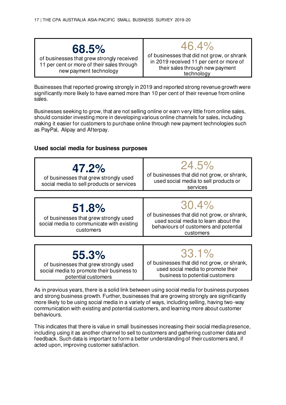## **68.5%**

of businesses that grew strongly received 11 per cent or more of their sales through new payment technology

of businesses that did not grow, or shrank in 2019 received 11 per cent or more of their sales through new payment technology

46.4%

Businesses that reported growing strongly in 2019 and reported strong revenue growth were significantly more likely to have earned more than 10 per cent of their revenue from online sales.

Businesses seeking to grow, that are not selling online or earn very little from online sales, should consider investing more in developing various online channels for sales, including making it easier for customers to purchase online through new payment technologies such as PayPal, Alipay and Afterpay.

#### **Used social media for business purposes**



of businesses that grew strongly used social media to promote their business to potential customers

of businesses that did not grow, or shrank, used social media to promote their business to potential customers

As in previous years, there is a solid link between using social media for business purposes and strong business growth. Further, businesses that are growing strongly are significantly more likely to be using social media in a variety of ways, including selling, having two-way communication with existing and potential customers, and learning more about customer behaviours.

This indicates that there is value in small businesses increasing their social media presence, including using it as another channel to sell to customers and gathering customer data and feedback. Such data is important to form a better understanding of their customers and, if acted upon, improving customer satisfaction.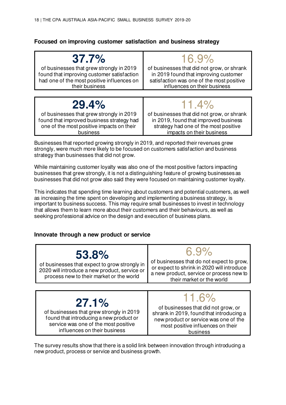#### **Focused on improving customer satisfaction and business strategy**

| $37.7\%$                                   | $16.9\%$                                   |
|--------------------------------------------|--------------------------------------------|
| of businesses that grew strongly in 2019   | of businesses that did not grow, or shrank |
| found that improving customer satisfaction | in 2019 found that improving customer      |
| had one of the most positive influences on | satisfaction was one of the most positive  |
| their business                             | influences on their business               |
|                                            |                                            |
| 29.4%                                      | $11.4\%$                                   |
| of businesses that grew strongly in 2019   | of businesses that did not grow, or shrank |
| found that improved business strategy had  | in 2019, found that improved business      |
| one of the most positive impacts on their  | strategy had one of the most positive      |
| business                                   | impacts on their business                  |

Businesses that reported growing strongly in 2019, and reported their revenues grew strongly, were much more likely to be focused on customers satisfaction and business strategy than businesses that did not grow.

While maintaining customer loyalty was also one of the most positive factors impacting businesses that grew strongly, it is not a distinguishing feature of growing businesses as businesses that did not grow also said they were focused on maintaining customer loyalty.

This indicates that spending time learning about customers and potential customers, as well as increasing the time spent on developing and implementing a business strategy, is important to business success. This may require small businesses to invest in technology that allows them to learn more about their customers and their behaviours, as well as seeking professional advice on the design and execution of business plans.

#### **Innovate through a new product or service**



service was one of the most positive influences on their business

most positive influences on their business

The survey results show that there is a solid link between innovation through introducing a new product, process or service and business growth.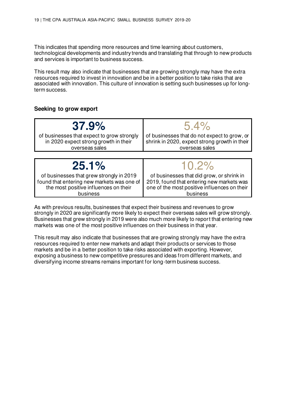This indicates that spending more resources and time learning about customers, technological developments and industry trends and translating that through to new products and services is important to business success.

This result may also indicate that businesses that are growing strongly may have the extra resources required to invest in innovation and be in a better position to take risks that are associated with innovation. This culture of innovation is setting such businesses up for longterm success.

#### **Seeking to grow export**

business

| 37.9%                                                                                                 | $5.4\%$                                                                                                         |
|-------------------------------------------------------------------------------------------------------|-----------------------------------------------------------------------------------------------------------------|
| of businesses that expect to grow strongly<br>in 2020 expect strong growth in their<br>overseas sales | of businesses that do not expect to grow, or<br>shrink in 2020, expect strong growth in their<br>overseas sales |
|                                                                                                       |                                                                                                                 |
|                                                                                                       |                                                                                                                 |
| 25.1%                                                                                                 | $10.2\%$                                                                                                        |

As with previous results, businesses that expect their business and revenues to grow strongly in 2020 are significantly more likely to expect their overseas sales will grow strongly. Businesses that grew strongly in 2019 were also much more likely to report that entering new markets was one of the most positive influences on their business in that year.

business

This result may also indicate that businesses that are growing strongly may have the extra resources required to enter new markets and adapt their products or services to those markets and be in a better position to take risks associated with exporting. However, exposing a business to new competitive pressures and ideas from different markets, and diversifying income streams remains important for long-term business success.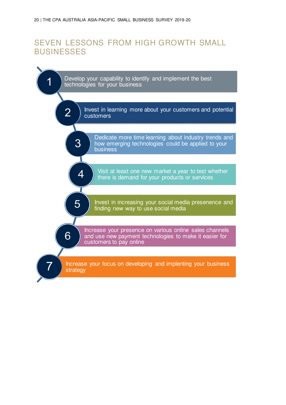## <span id="page-19-0"></span>SEVEN LESSONS FROM HIGH GROWTH SMALL **BUSINESSES**

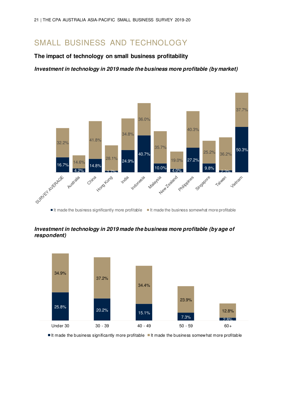### <span id="page-20-0"></span>SMALL BUSINESS AND TECHNOLOGY

#### **The impact of technology on small business profitability**

**Investment in technology in 2019 made the business more profitable (by market)** 



#### **Investment in technology in 2019 made the business more profitable (by age of respondent)**



It made the business significantly more profitable  $\blacksquare$  It made the business somewhat more profitable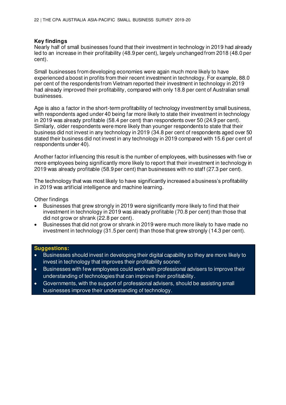#### **Key findings**

Nearly half of small businesses found that their investment in technology in 2019 had already led to an increase in their profitability (48.9 per cent), largely unchanged from 2018 (48.0 per cent).

Small businesses from developing economies were again much more likely to have experienced a boost in profits from their recent investment in technology. For example, 88.0 per cent of the respondents from Vietnam reported their investment in technology in 2019 had already improved their profitability, compared with only 18.8 per cent of Australian small businesses.

Age is also a factor in the short-term profitability of technology investment by small business, with respondents aged under 40 being far more likely to state their investment in technology in 2019 was already profitable (58.4 per cent) than respondents over 50 (24.9 per cent). Similarly, older respondents were more likely than younger respondents to state that their business did not invest in any technology in 2019 (34.8 per cent of respondents aged over 50 stated their business did not invest in any technology in 2019 compared with 15.6 per cent of respondents under 40).

Another factor influencing this result is the number of employees, with businesses with five or more employees being significantly more likely to report that their investment in technology in 2019 was already profitable (58.9 per cent) than businesses with no staff (27.3 per cent).

The technology that was most likely to have significantly increased a business's profitability in 2019 was artificial intelligence and machine learning.

Other findings

- Businesses that grew strongly in 2019 were significantly more likely to find that their investment in technology in 2019 was already profitable (70.8 per cent) than those that did not grow or shrank (22.8 per cent).
- Businesses that did not grow or shrank in 2019 were much more likely to have made no investment in technology (31.5 per cent) than those that grew strongly (14.3 per cent).

#### **Suggestions:**

- Businesses should invest in developing their digital capability so they are more likely to invest in technology that improves their profitability sooner.
- Businesses with few employees could work with professional advisers to improve their understanding of technologies that can improve their profitability.
- Governments, with the support of professional advisers, should be assisting small businesses improve their understanding of technology.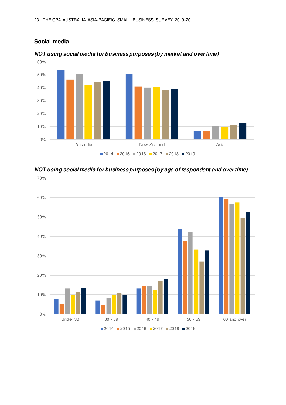**Social media**



#### **NOT using social media for business purposes (by market and over time)**



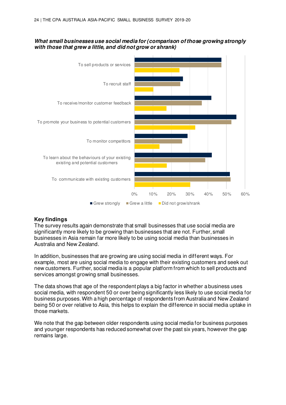#### **What small businesses use social media for (comparison of those growing strongly with those that grew a little, and did not grow or shrank)**



#### **Key findings**

The survey results again demonstrate that small businesses that use social media are significantly more likely to be growing than businesses that are not. Further, small businesses in Asia remain far more likely to be using social media than businesses in Australia and New Zealand.

In addition, businesses that are growing are using social media in different ways. For example, most are using social media to engage with their existing customers and seek out new customers. Further, social media is a popular platform from which to sell products and services amongst growing small businesses.

The data shows that age of the respondent plays a big factor in whether a business uses social media, with respondent 50 or over being significantly less likely to use social media for business purposes. With a high percentage of respondents from Australia and New Zealand being 50 or over relative to Asia, this helps to explain the difference in social media uptake in those markets.

We note that the gap between older respondents using social media for business purposes and younger respondents has reduced somewhat over the past six years, however the gap remains large.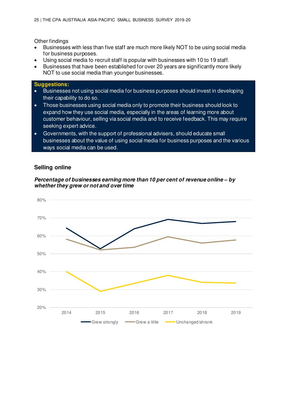Other findings

- Businesses with less than five staff are much more likely NOT to be using social media for business purposes.
- Using social media to recruit staff is popular with businesses with 10 to 19 staff.
- Businesses that have been established for over 20 years are significantly more likely NOT to use social media than younger businesses.

#### **Suggestions:**

- Businesses not using social media for business purposes should invest in developing their capability to do so.
- Those businesses using social media only to promote their business should look to expand how they use social media, especially in the areas of learning more about customer behaviour, selling via social media and to receive feedback. This may require seeking expert advice.
- Governments, with the support of professional advisers, should educate small businesses about the value of using social media for business purposes and the various ways social media can be used.

#### **Selling online**

**Percentage of businesses earning more than 10 per cent of revenue online** *–* **by whether they grew or not and over time** 

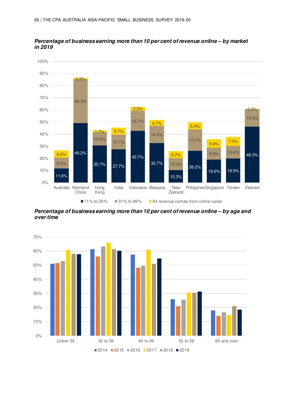

**Percentage of business earning more than 10 per cent of revenue online** *–* **by market in 2019** 

**Percentage of business earning more than 10 per cent of revenue online** *–* **by age and over time** 

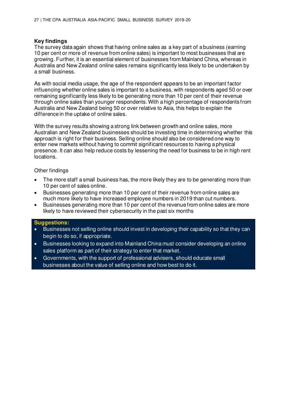#### **Key findings**

The survey data again shows that having online sales as a key part of a business (earning 10 per cent or more of revenue from online sales) is important to most businesses that are growing. Further, it is an essential element of businesses from Mainland China, whereas in Australia and New Zealand online sales remains significantly less likely to be undertaken by a small business.

As with social media usage, the age of the respondent appears to be an important factor influencing whether online sales is important to a business, with respondents aged 50 or over remaining significantly less likely to be generating more than 10 per cent of their revenue through online sales than younger respondents. With a high percentage of respondents from Australia and New Zealand being 50 or over relative to Asia, this helps to explain the difference in the uptake of online sales.

With the survey results showing a strong link between growth and online sales, more Australian and New Zealand businesses should be investing time in determining whether this approach is right for their business. Selling online should also be considered one way to enter new markets without having to commit significant resources to having a physical presence. It can also help reduce costs by lessening the need for business to be in high rent locations.

#### Other findings

- The more staff a small business has, the more likely they are to be generating more than 10 per cent of sales online.
- Businesses generating more than 10 per cent of their revenue from online sales are much more likely to have increased employee numbers in 2019 than cut numbers.
- Businesses generating more than 10 per cent of the revenue from online sales are more likely to have reviewed their cybersecurity in the past six months

#### **Suggestions:**

- Businesses not selling online should invest in developing their capability so that they can begin to do so, if appropriate.
- Businesses looking to expand into Mainland China must consider developing an online sales platform as part of their strategy to enter that market.
- Governments, with the support of professional advisers, should educate small businesses about the value of selling online and how best to do it.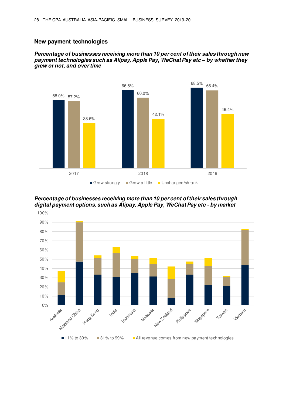#### **New payment technologies**

#### **Percentage of businesses receiving more than 10 per cent of their sales through new payment technologies such as Alipay, Apple Pay, WeChat Pay etc** *–* **by whether they grew or not, and over time**



**Percentage of businesses receiving more than 10 per cent of their sales through digital payment options, such as Alipay, Apple Pay, WeChat Pay etc - by market** 

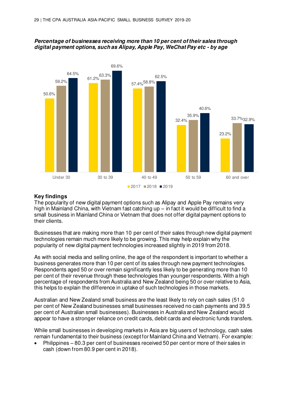



#### **Key findings**

The popularity of new digital payment options such as Alipay and Apple Pay remains very high in Mainland China, with Vietnam fast catching up – in fact it would be difficult to find a small business in Mainland China or Vietnam that does not offer digital payment options to their clients.

Businesses that are making more than 10 per cent of their sales through new digital payment technologies remain much more likely to be growing. This may help explain why the popularity of new digital payment technologies increased slightly in 2019 from 2018.

As with social media and selling online, the age of the respondent is important to whether a business generates more than 10 per cent of its sales through new payment technologies. Respondents aged 50 or over remain significantly less likely to be generating more than 10 per cent of their revenue through these technologies than younger respondents. With a high percentage of respondents from Australia and New Zealand being 50 or over relative to Asia, this helps to explain the difference in uptake of such technologies in those markets.

Australian and New Zealand small business are the least likely to rely on cash sales (51.0 per cent of New Zealand businesses small businesses received no cash payments and 39.5 per cent of Australian small businesses). Businesses in Australia and New Zealand would appear to have a stronger reliance on credit cards, debit cards and electronic funds transfers.

While small businesses in developing markets in Asia are big users of technology, cash sales remain fundamental to their business (except for Mainland China and Vietnam). For example:

• Philippines – 80.3 per cent of businesses received 50 per cent or more of their sales in cash (down from 80.9 per cent in 2018).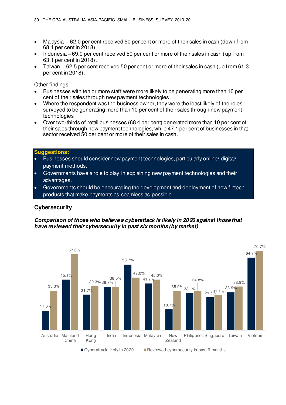- Malaysia  $-62.0$  per cent received 50 per cent or more of their sales in cash (down from 68.1 per cent in 2018).
- Indonesia 69.0 per cent received 50 per cent or more of their sales in cash (up from 63.1 per cent in 2018).
- Taiwan 62.5 per cent received 50 per cent or more of their sales in cash (up from 61.3 per cent in 2018).

Other findings

- Businesses with ten or more staff were more likely to be generating more than 10 per cent of their sales through new payment technologies.
- Where the respondent was the business owner, they were the least likely of the roles surveyed to be generating more than 10 per cent of their sales through new payment technologies
- Over two-thirds of retail businesses (68.4 per cent) generated more than 10 per cent of their sales through new payment technologies, while 47.1 per cent of businesses in that sector received 50 per cent or more of their sales in cash.

#### **Suggestions:**

- Businesses should consider new payment technologies, particularly online/ digital/ payment methods.
- Governments have a role to play in explaining new payment technologies and their advantages.
- Governments should be encouraging the development and deployment of new fintech products that make payments as seamless as possible.

#### **Cybersecurity**

#### **Comparison of those who believe a cyberattack is likely in 2020 against those that have reviewed their cybersecurity in past six months (by market)**

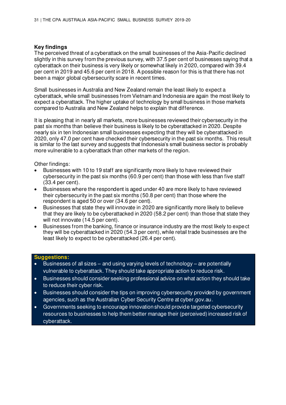#### **Key findings**

The perceived threat of a cyberattack on the small businesses of the Asia-Pacific declined slightly in this survey from the previous survey, with 37.5 per cent of businesses saying that a cyberattack on their business is very likely or somewhat likely in 2020, compared with 39.4 per cent in 2019 and 45.6 per cent in 2018. A possible reason for this is that there has not been a major global cybersecurity scare in recent times.

Small businesses in Australia and New Zealand remain the least likely to expect a cyberattack, while small businesses from Vietnam and Indonesia are again the most likely to expect a cyberattack. The higher uptake of technology by small business in those markets compared to Australia and New Zealand helps to explain that difference.

It is pleasing that in nearly all markets, more businesses reviewed their cybersecurity in the past six months than believe their business is likely to be cyberattacked in 2020. Despite nearly six in ten Indonesian small businesses expecting that they will be cyberattacked in 2020, only 47.0 per cent have checked their cybersecurity in the past six months. This result is similar to the last survey and suggests that Indonesia's small business sector is probably more vulnerable to a cyberattack than other markets of the region.

Other findings:

- Businesses with 10 to 19 staff are significantly more likely to have reviewed their cybersecurity in the past six months (60.9 per cent) than those with less than five staff (33.4 per cent).
- Businesses where the respondent is aged under 40 are more likely to have reviewed their cybersecurity in the past six months (50.8 per cent) than those where the respondent is aged 50 or over (34.6 per cent).
- Businesses that state they will innovate in 2020 are significantly more likely to believe that they are likely to be cyberattacked in 2020 (58.2 per cent) than those that state they will not innovate (14.5 per cent).
- Businesses from the banking, finance or insurance industry are the most likely to expect they will be cyberattacked in 2020 (54.3 per cent), while retail trade businesses are the least likely to expect to be cyberattacked (26.4 per cent).

#### **Suggestions:**

- Businesses of all sizes and using varying levels of technology are potentially vulnerable to cyberattack. They should take appropriate action to reduce risk.
- Businesses should consider seeking professional advice on what action they should take to reduce their cyber risk.
- Businesses should consider the tips on improving cybersecurity provided by government agencies, such as the Australian Cyber Security Centre at cyber.gov.au.
- Governments seeking to encourage innovation should provide targeted cybersecurity resources to businesses to help them better manage their (perceived) increased risk of cyberattack.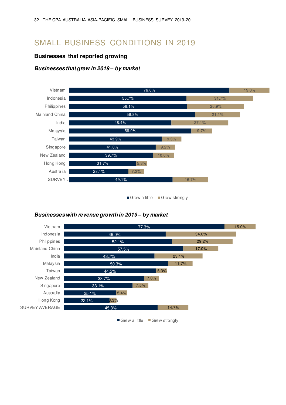### <span id="page-31-0"></span>SMALL BUSINESS CONDITIONS IN 2019

#### **Businesses that reported growing**

#### **Businesses that grew in 2019** *–* **by market**



Grew a little Grew strongly

#### **Businesses with revenue growth in 2019** *–* **by market**



Grew a little Grew strongly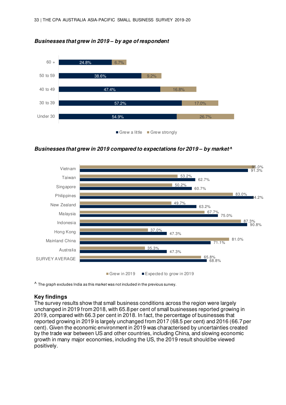

**Businesses that grew in 2019** *–* **by age of respondent** 

**Businesses that grew in 2019 compared to expectations for 2019** *–* **by market^** 



 $^{\prime}$  The graph excludes India as this market was not included in the previous survey.

#### **Key findings**

The survey results show that small business conditions across the region were largely unchanged in 2019 from 2018, with 65.8 per cent of small businesses reported growing in 2019, compared with 66.3 per cent in 2018. In fact, the percentage of businesses that reported growing in 2019 is largely unchanged from 2017 (68.5 per cent) and 2016 (66.7 per cent). Given the economic environment in 2019 was characterised by uncertainties created by the trade war between US and other countries, including China, and slowing economic growth in many major economies, including the US, the 2019 result should be viewed positively.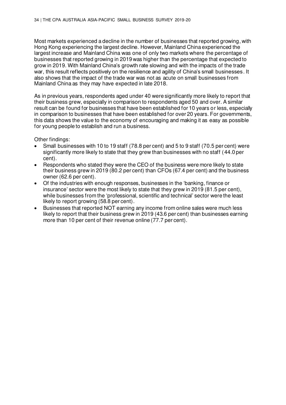Most markets experienced a decline in the number of businesses that reported growing, with Hong Kong experiencing the largest decline. However, Mainland China experienced the largest increase and Mainland China was one of only two markets where the percentage of businesses that reported growing in 2019 was higher than the percentage that expected to grow in 2019. With Mainland China's growth rate slowing and with the impacts of the trade war, this result reflects positively on the resilience and agility of China's small businesses. It also shows that the impact of the trade war was not as acute on small businesses from Mainland China as they may have expected in late 2018.

As in previous years, respondents aged under 40 were significantly more likely to report that their business grew, especially in comparison to respondents aged 50 and over. A similar result can be found for businesses that have been established for 10 years or less, especially in comparison to businesses that have been established for over 20 years. For governments, this data shows the value to the economy of encouraging and making it as easy as possible for young people to establish and run a business.

Other findings:

- Small businesses with 10 to 19 staff (78.8 per cent) and 5 to 9 staff (70.5 per cent) were significantly more likely to state that they grew than businesses with no staff (44.0 per cent).
- Respondents who stated they were the CEO of the business were more likely to state their business grew in 2019 (80.2 per cent) than CFOs (67.4 per cent) and the business owner (62.6 per cent).
- Of the industries with enough responses, businesses in the 'banking, finance or insurance' sector were the most likely to state that they grew in 2019 (81.5 per cent), while businesses from the 'professional, scientific and technical' sector were the least likely to report growing (58.8 per cent).
- Businesses that reported NOT earning any income from online sales were much less likely to report that their business grew in 2019 (43.6 per cent) than businesses earning more than 10 per cent of their revenue online (77.7 per cent).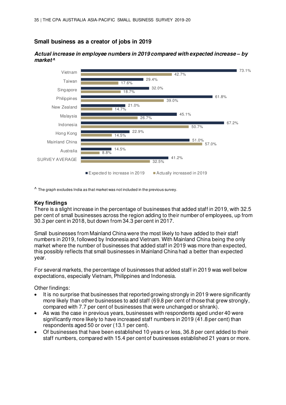#### **Small business as a creator of jobs in 2019**



**Actual increase in employee numbers in 2019 compared with expected increase** *–* **by market^** 

 $\Lambda$  The graph excludes India as that market was not included in the previous survey.

#### **Key findings**

There is a slight increase in the percentage of businesses that added staff in 2019, with 32.5 per cent of small businesses across the region adding to their number of employees, up from 30.3 per cent in 2018, but down from 34.3 per cent in 2017.

Small businesses from Mainland China were the most likely to have added to their staff numbers in 2019, followed by Indonesia and Vietnam. With Mainland China being the only market where the number of businesses that added staff in 2019 was more than expected, this possibly reflects that small businesses in Mainland China had a better than expected year.

For several markets, the percentage of businesses that added staff in 2019 was well below expectations, especially Vietnam, Philippines and Indonesia.

Other findings:

- It is no surprise that businesses that reported growing strongly in 2019 were significantly more likely than other businesses to add staff (69.8 per cent of those that grew strongly, compared with 7.7 per cent of businesses that were unchanged or shrank).
- As was the case in previous years, businesses with respondents aged under 40 were significantly more likely to have increased staff numbers in 2019 (41.8 per cent) than respondents aged 50 or over (13.1 per cent).
- Of businesses that have been established 10 years or less, 36.8 per cent added to their staff numbers, compared with 15.4 per cent of businesses established 21 years or more.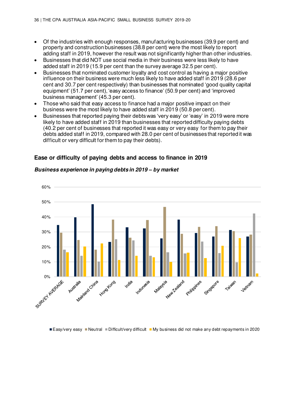- Of the industries with enough responses, manufacturing businesses (39.9 per cent) and property and construction businesses (38.8 per cent) were the most likely to report adding staff in 2019, however the result was not significantly higher than other industries.
- Businesses that did NOT use social media in their business were less likely to have added staff in 2019 (15.9 per cent than the survey average 32.5 per cent).
- Businesses that nominated customer loyalty and cost control as having a major positive influence on their business were much less likely to have added staff in 2019 (28.6 per cent and 30.7 per cent respectively) than businesses that nominated 'good quality capital equipment' (51.7 per cent), 'easy access to finance' (50.9 per cent) and 'improved business management' (45.3 per cent).
- Those who said that easy access to finance had a major positive impact on their business were the most likely to have added staff in 2019 (50.8 per cent).
- Businesses that reported paying their debts was 'very easy' or 'easy' in 2019 were more likely to have added staff in 2019 than businesses that reported difficulty paying debts (40.2 per cent of businesses that reported it was easy or very easy for them to pay their debts added staff in 2019, compared with 28.0 per cent of businesses that reported it was difficult or very difficult for them to pay their debts).



### **Ease or difficulty of paying debts and access to finance in 2019**

**Business experience in paying debts in 2019** *–* **by market** 

Easy/very easy Neutral Difficult/very difficult My business did not make any debt repayments in 2020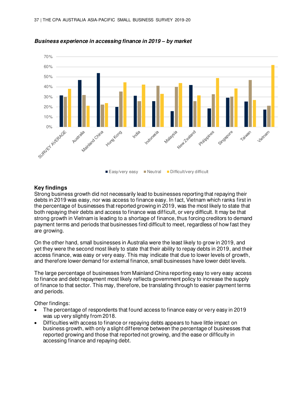

**Business experience in accessing finance in 2019** *–* **by market**

### **Key findings**

Strong business growth did not necessarily lead to businesses reporting that repaying their debts in 2019 was easy, nor was access to finance easy. In fact, Vietnam which ranks first in the percentage of businesses that reported growing in 2019, was the most likely to state that both repaying their debts and access to finance was difficult, or very difficult. It may be that strong growth in Vietnam is leading to a shortage of finance, thus forcing creditors to demand payment terms and periods that businesses find difficult to meet, regardless of how fast they are growing.

On the other hand, small businesses in Australia were the least likely to grow in 2019, and yet they were the second most likely to state that their ability to repay debts in 2019, and their access finance, was easy or very easy. This may indicate that due to lower levels of growth, and therefore lower demand for external finance, small businesses have lower debt levels.

The large percentage of businesses from Mainland China reporting easy to very easy access to finance and debt repayment most likely reflects government policy to increase the supply of finance to that sector. This may, therefore, be translating through to easier payment terms and periods.

Other findings:

- The percentage of respondents that found access to finance easy or very easy in 2019 was up very slightly from 2018.
- Difficulties with access to finance or repaying debts appears to have little impact on business growth, with only a slight difference between the percentage of businesses that reported growing and those that reported not growing, and the ease or difficulty in accessing finance and repaying debt.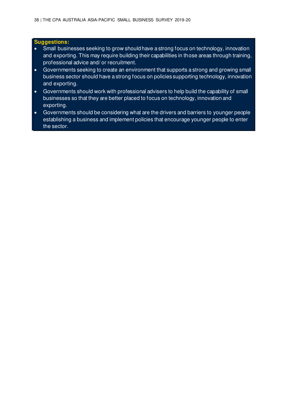### **Suggestions:**

- Small businesses seeking to grow should have a strong focus on technology, innovation and exporting. This may require building their capabilities in those areas through training, professional advice and/ or recruitment.
- Governments seeking to create an environment that supports a strong and growing small business sector should have a strong focus on policies supporting technology, innovation and exporting.
- Governments should work with professional advisers to help build the capability of small businesses so that they are better placed to focus on technology, innovation and exporting.
- Governments should be considering what are the drivers and barriers to younger people establishing a business and implement policies that encourage younger people to enter the sector.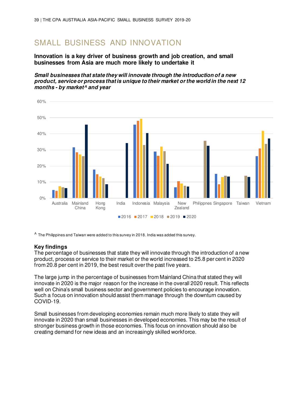# SMALL BUSINESS AND INNOVATION

**Innovation is a key driver of business growth and job creation, and small businesses from Asia are much more likely to undertake it** 

**Small businesses that state they will innovate through the introduction of a new product, service or process that is unique to their market or the world in the next 12 months - by market^ and year** 



^ The Philippines and Taiwan were added to this survey in 2018. India was added this survey.

### **Key findings**

The percentage of businesses that state they will innovate through the introduction of a new product, process or service to their market or the world increased to 25.8 per cent in 2020 from 20.8 per cent in 2019, the best result over the past five years.

The large jump in the percentage of businesses from Mainland China that stated they will innovate in 2020 is the major reason for the increase in the overall 2020 result. This reflects well on China's small business sector and government policies to encourage innovation. Such a focus on innovation should assist them manage through the downturn caused by COVID-19.

Small businesses from developing economies remain much more likely to state they will innovate in 2020 than small businesses in developed economies. This may be the result of stronger business growth in those economies. This focus on innovation should also be creating demand for new ideas and an increasingly skilled workforce.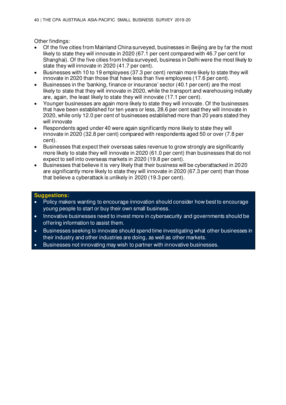Other findings:

- Of the five cities from Mainland China surveyed, businesses in Beijing are by far the most likely to state they will innovate in 2020 (67.1 per cent compared with 46.7 per cent for Shanghai). Of the five cities from India surveyed, business in Delhi were the most likely to state they will innovate in 2020 (41.7 per cent).
- Businesses with 10 to 19 employees (37.3 per cent) remain more likely to state they will innovate in 2020 than those that have less than five employees (17.6 per cent).
- Businesses in the 'banking, finance or insurance' sector (40.1 per cent) are the most likely to state that they will innovate in 2020, while the transport and warehousing industry are, again, the least likely to state they will innovate (17.1 per cent).
- Younger businesses are again more likely to state they will innovate. Of the businesses that have been established for ten years or less, 28.6 per cent said they will innovate in 2020, while only 12.0 per cent of businesses established more than 20 years stated they will innovate
- Respondents aged under 40 were again significantly more likely to state they will innovate in 2020 (32.8 per cent) compared with respondents aged 50 or over (7.8 per cent).
- Businesses that expect their overseas sales revenue to grow strongly are significantly more likely to state they will innovate in 2020 (61.0 per cent) than businesses that do not expect to sell into overseas markets in 2020 (19.8 per cent).
- Businesses that believe it is very likely that their business will be cyberattacked in 2020 are significantly more likely to state they will innovate in 2020 (67.3 per cent) than those that believe a cyberattack is unlikely in 2020 (19.3 per cent).

### **Suggestions:**

- Policy makers wanting to encourage innovation should consider how best to encourage young people to start or buy their own small business.
- Innovative businesses need to invest more in cybersecurity and governments should be offering information to assist them.
- Businesses seeking to innovate should spend time investigating what other businesses in their industry and other industries are doing, as well as other markets.
- Businesses not innovating may wish to partner with innovative businesses.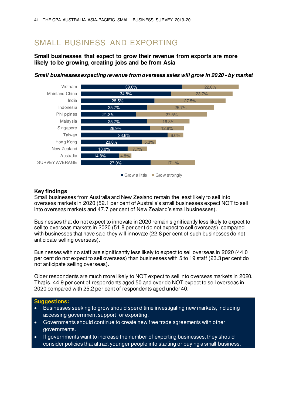# SMALL BUSINESS AND EXPORTING

## **Small businesses that expect to grow their revenue from exports are more likely to be growing, creating jobs and be from Asia**



**Small businesses expecting revenue from overseas sales will grow in 2020 - by market** 

#### Grow a little Grow strongly

## **Key findings**

Small businesses from Australia and New Zealand remain the least likely to sell into overseas markets in 2020 (52.1 per cent of Australia's small businesses expect NOT to sell into overseas markets and 47.7 per cent of New Zealand's small businesses).

Businesses that do not expect to innovate in 2020 remain significantly less likely to expect to sell to overseas markets in 2020 (51.8 per cent do not expect to sell overseas), compared with businesses that have said they will innovate (22.8 per cent of such businesses do not anticipate selling overseas).

Businesses with no staff are significantly less likely to expect to sell overseas in 2020 (44.0 per cent do not expect to sell overseas) than businesses with 5 to 19 staff (23.3 per cent do not anticipate selling overseas).

Older respondents are much more likely to NOT expect to sell into overseas markets in 2020. That is, 44.9 per cent of respondents aged 50 and over do NOT expect to sell overseas in 2020 compared with 25.2 per cent of respondents aged under 40.

### **Suggestions:**

- Businesses seeking to grow should spend time investigating new markets, including accessing government support for exporting.
- Governments should continue to create new free trade agreements with other governments.
- If governments want to increase the number of exporting businesses, they should consider policies that attract younger people into starting or buying a small business.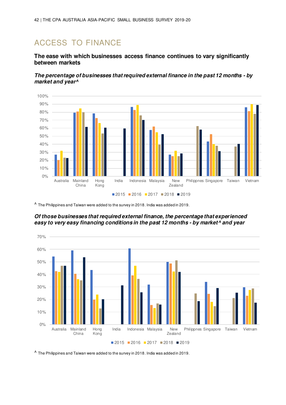# ACCESS TO FINANCE

## **The ease with which businesses access finance continues to vary significantly between markets**

**The percentage of businesses that required external finance in the past 12 months - by market and year^** 



^ The Philippines and Taiwan were added to the survey in 2018. India was added in 2019.

**Of those businesses that required external finance, the percentage that experienced easy to very easy financing conditions in the past 12 months - by market^ and year** 



 $^{\prime}$  The Philippines and Taiwan were added to the survey in 2018. India was added in 2019.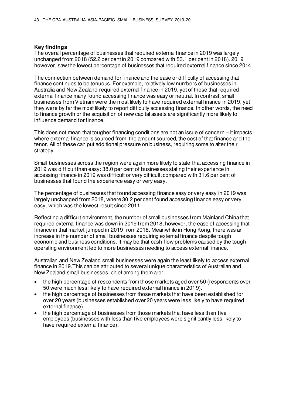### **Key findings**

The overall percentage of businesses that required external finance in 2019 was largely unchanged from 2018 (52.2 per cent in 2019 compared with 53.1 per cent in 2018). 2019, however, saw the lowest percentage of businesses that required external finance since 2014.

The connection between demand for finance and the ease or difficulty of accessing that finance continues to be tenuous. For example, relatively low numbers of businesses in Australia and New Zealand required external finance in 2019, yet of those that required external finance many found accessing finance was easy or neutral. In contrast, small businesses from Vietnam were the most likely to have required external finance in 2019, yet they were by far the most likely to report difficulty accessing finance. In other words, the need to finance growth or the acquisition of new capital assets are significantly more likely to influence demand for finance.

This does not mean that tougher financing conditions are not an issue of concern – it impacts where external finance is sourced from, the amount sourced, the cost of that finance and the tenor. All of these can put additional pressure on business, requiring some to alter their strategy.

Small businesses across the region were again more likely to state that accessing finance in 2019 was difficult than easy: 38.0 per cent of businesses stating their experience in accessing finance in 2019 was difficult or very difficult, compared with 31.6 per cent of businesses that found the experience easy or very easy.

The percentage of businesses that found accessing finance easy or very easy in 2019 was largely unchanged from 2018, where 30.2 per cent found accessing finance easy or very easy, which was the lowest result since 2011.

Reflecting a difficult environment, the number of small businesses from Mainland China that required external finance was down in 2019 from 2018, however, the ease of accessing that finance in that market jumped in 2019 from 2018. Meanwhile in Hong Kong, there was an increase in the number of small businesses requiring external finance despite tough economic and business conditions. It may be that cash flow problems caused by the tough operating environment led to more businesses needing to access external finance.

Australian and New Zealand small businesses were again the least likely to access external finance in 2019.This can be attributed to several unique characteristics of Australian and New Zealand small businesses, chief among them are:

- the high percentage of respondents from those markets aged over 50 (respondents over 50 were much less likely to have required external finance in 2019).
- the high percentage of businesses from those markets that have been established for over 20 years (businesses established over 20 years were less likely to have required external finance).
- the high percentage of businesses from those markets that have less than five employees (businesses with less than five employees were significantly less likely to have required external finance).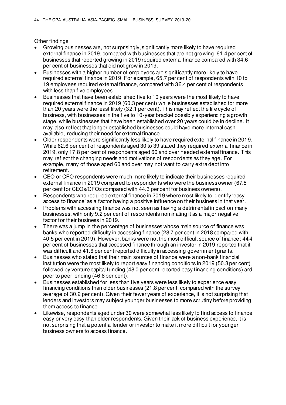Other findings

- Growing businesses are, not surprisingly, significantly more likely to have required external finance in 2019, compared with businesses that are not growing. 61.4 per cent of businesses that reported growing in 2019 required external finance compared with 34.6 per cent of businesses that did not grow in 2019.
- Businesses with a higher number of employees are significantly more likely to have required external finance in 2019. For example, 65.7 per cent of respondents with 10 to 19 employees required external finance, compared with 36.4 per cent of respondents with less than five employees.
- Businesses that have been established five to 10 years were the most likely to have required external finance in 2019 (60.3 per cent) while businesses established for more than 20 years were the least likely (32.1 per cent). This may reflect the life cycle of business, with businesses in the five to 10-year bracket possibly experiencing a growth stage, while businesses that have been established over 20 years could be in decline. It may also reflect that longer established businesses could have more internal cash available, reducing their need for external finance.
- Older respondents were significantly less likely to have required external finance in 2019. While 62.6 per cent of respondents aged 30 to 39 stated they required external finance in 2019, only 17.8 per cent of respondents aged 60 and over needed external finance. This may reflect the changing needs and motivations of respondents as they age. For example, many of those aged 60 and over may not want to carry extra debt into retirement.
- CEO or CFO respondents were much more likely to indicate their businesses required external finance in 2019 compared to respondents who were the business owner (67.5 per cent for CEOs/CFOs compared with 44.3 per cent for business owners).
- Respondents who required external finance in 2019 where most likely to identify 'easy access to finance' as a factor having a positive influence on their business in that year.
- Problems with accessing finance was not seen as having a detrimental impact on many businesses, with only 9.2 per cent of respondents nominating it as a major negative factor for their business in 2019.
- There was a jump in the percentage of businesses whose main source of finance was banks who reported difficulty in accessing finance (28.7 per cent in 2018 compared with 40.5 per cent in 2019). However, banks were not the most difficult source of finance; 44.4 per cent of businesses that accessed finance through an investor in 2019 reported that it was difficult and 41.6 per cent reported difficulty in accessing government grants.
- Businesses who stated that their main sources of finance were a non-bank financial institution were the most likely to report easy financing conditions in 2019 (50.3 per cent), followed by venture capital funding (48.0 per cent reported easy financing conditions) and peer to peer lending (46.8 per cent).
- Businesses established for less than five years were less likely to experience easy financing conditions than older businesses (21.8 per cent, compared with the survey average of 30.2 per cent). Given their fewer years of experience, it is not surprising that lenders and investors may subject younger businesses to more scrutiny before providing them access to finance.
- Likewise, respondents aged under 30 were somewhat less likely to find access to finance easy or very easy than older respondents. Given their lack of business experience, it is not surprising that a potential lender or investor to make it more difficult for younger business owners to access finance.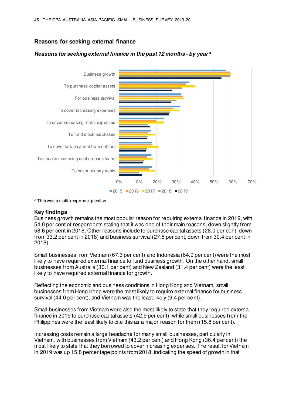## **Reasons for seeking external finance**

## **Reasons for seeking external finance in the past 12 months - by year^**



^ This was a multi-response question.

### **Key findings**

Business growth remains the most popular reason for requiring external finance in 2019, with 54.0 per cent of respondents stating that it was one of their main reasons, down slightly from 58.6 per cent in 2018. Other reasons include to purchase capital assets (28.0 per cent, down from 33.2 per cent in 2018) and business survival (27.5 per cent, down from 30.4 per cent in 2018).

Small businesses from Vietnam (67.3 per cent) and Indonesia (64.9 per cent) were the most likely to have required external finance to fund business growth. On the other hand, small businesses from Australia (30.1 per cent) and New Zealand (31.4 per cent) were the least likely to have required external finance for growth.

Reflecting the economic and business conditions in Hong Kong and Vietnam, small businesses from Hong Kong were the most likely to require external finance for business survival (44.0 per cent), and Vietnam was the least likely (9.4 per cent).

Small businesses from Vietnam were also the most likely to state that they required external finance in 2019 to purchase capital assets (42.9 per cent), while small businesses from the Philippines were the least likely to cite this as a major reason for them (15.8 per cent).

Increasing costs remain a large headache for many small businesses, particularly in Vietnam, with businesses from Vietnam (43.2 per cent) and Hong Kong (36.4 per cent) the most likely to state that they borrowed to cover increasing expenses. The result for Vietnam in 2019 was up 15.8 percentage points from 2018, indicating the speed of growth in that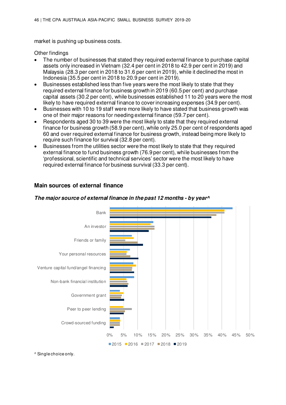market is pushing up business costs.

**Main sources of external finance** 

Other findings

- The number of businesses that stated they required external finance to purchase capital assets only increased in Vietnam (32.4 per cent in 2018 to 42.9 per cent in 2019) and Malaysia (28.3 per cent in 2018 to 31.6 per cent in 2019), while it declined the most in Indonesia (35.5 per cent in 2018 to 20.9 per cent in 2019).
- Businesses established less than five years were the most likely to state that they required external finance for business growth in 2019 (60.5 per cent) and purchase capital assets (30.2 per cent), while businesses established 11 to 20 years were the most likely to have required external finance to cover increasing expenses (34.9 per cent).
- Businesses with 10 to 19 staff were more likely to have stated that business growth was one of their major reasons for needing external finance (59.7 per cent).
- Respondents aged 30 to 39 were the most likely to state that they required external finance for business growth (58.9 per cent), while only 25.0 per cent of respondents aged 60 and over required external finance for business growth, instead being more likely to require such finance for survival (32.8 per cent).
- Businesses from the utilities sector were the most likely to state that they required external finance to fund business growth (76.9 per cent), while businesses from the 'professional, scientific and technical services' sector were the most likely to have required external finance for business survival (33.3 per cent).



## **The major source of external finance in the past 12 months - by year^**

^ Single choice only.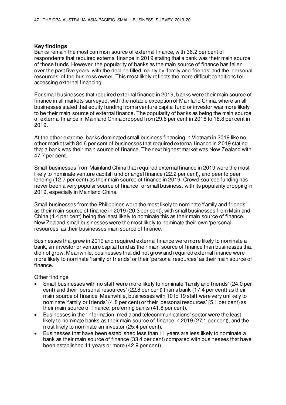### **Key findings**

Banks remain the most common source of external finance, with 36.2 per cent of respondents that required external finance in 2019 stating that a bank was their main source of those funds. However, the popularity of banks as the main source of finance has fallen over the past five years, with the decline filled mainly by 'family and friends' and the 'personal resources' of the business owner. This most likely reflects the more difficult conditions for accessing external financing.

For small businesses that required external finance in 2019, banks were their main source of finance in all markets surveyed, with the notable exception of Mainland China, where small businesses stated that equity funding from a venture capital fund or investor was more likely to be their main source of external finance. The popularity of banks as being the main source of external finance in Mainland China dropped from 29.6 per cent in 2018 to 18.8 per cent in 2019.

At the other extreme, banks dominated small business financing in Vietnam in 2019 like no other market with 84.6 per cent of businesses that required external finance in 2019 stating that a bank was their main source of finance. The next highest market was New Zealand with 47.7 per cent.

Small businesses from Mainland China that required external finance in 2019 were the most likely to nominate venture capital fund or angel finance (22.2 per cent), and peer to peer lending (12.7 per cent) as their main source of finance in 2019. Crowd-sourced funding has never been a very popular source of finance for small business, with its popularity dropping in 2019, especially in Mainland China.

Small businesses from the Philippines were the most likely to nominate 'family and friends' as their main source of finance in 2019 (20.3 per cent), with small businesses from Mainland China (4.4 per cent) being the least likely to nominate this as their main source of finance. New Zealand small businesses were the most likely to nominate their own 'personal resources' as their businesses main source of finance.

Businesses that grew in 2019 and required external finance were more likely to nominate a bank, an investor or venture capital fund as their main source of finance than businesses that did not grow. Meanwhile, businesses that did not grow and required external finance were more likely to nominate 'family or friends' or their 'personal resources' as their main source of finance.

Other findings

- Small businesses with no staff were more likely to nominate 'family and friends' (24.0 per cent) and their 'personal resources' (22.8 per cent) than a bank (17.4 per cent) as their main source of finance. Meanwhile, businesses with 10 to 19 staff were very unlikely to nominate 'family or friends' (4.8 per cent) or their 'personal resources' (5.1 per cent) as their main source of finance, preferring banks (41.8 per cent).
- Businesses in the 'information, media and telecommunications' sector were the least likely to nominate banks as their main source of finance in 2019 (27.1 per cent), and the most likely to nominate an investor (25.4 per cent).
- Businesses that have been established less than 11 years are less likely to nominate a bank as their main source of finance (33.4 per cent) compared with businesses that have been established 11 years or more (42.9 per cent).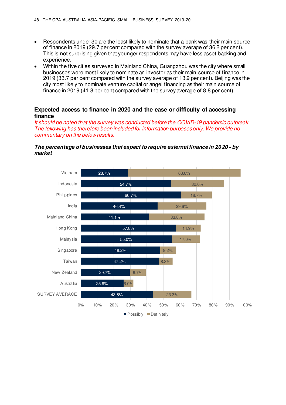- Respondents under 30 are the least likely to nominate that a bank was their main source of finance in 2019 (29.7 per cent compared with the survey average of 36.2 per cent). This is not surprising given that younger respondents may have less asset backing and experience.
- Within the five cities surveyed in Mainland China, Guangzhou was the city where small businesses were most likely to nominate an investor as their main source of finance in 2019 (33.7 per cent compared with the survey average of 13.9 per cent). Beijing was the city most likely to nominate venture capital or angel financing as their main source of finance in 2019 (41.8 per cent compared with the survey average of 8.8 per cent).

## **Expected access to finance in 2020 and the ease or difficulty of accessing finance**

It should be noted that the survey was conducted before the COVID-19 pandemic outbreak. The following has therefore been included for information purposes only. We provide no commentary on the below results.

## **The percentage of businesses that expect to require external finance in 2020 - by market**

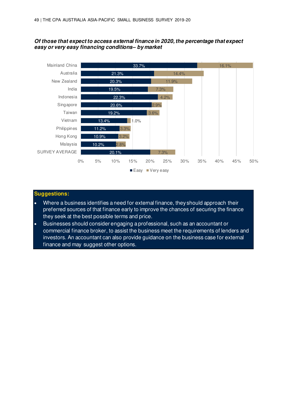### **Of those that expect to access external finance in 2020, the percentage that expect easy or very easy financing conditions***–* **by market**



## **Suggestions:**

- Where a business identifies a need for external finance, they should approach their preferred sources of that finance early to improve the chances of securing the finance they seek at the best possible terms and price.
- Businesses should consider engaging a professional, such as an accountant or commercial finance broker, to assist the business meet the requirements of lenders and investors. An accountant can also provide guidance on the business case for external finance and may suggest other options.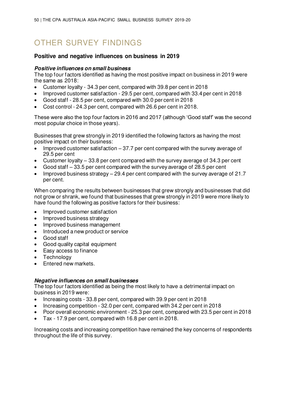# OTHER SURVEY FINDINGS

## **Positive and negative influences on business in 2019**

## **Positive influences on small business**

The top four factors identified as having the most positive impact on business in 2019 were the same as 2018:

- Customer loyalty 34.3 per cent, compared with 39.8 per cent in 2018
- Improved customer satisfaction 29.5 per cent, compared with 33.4 per cent in 2018
- Good staff 28.5 per cent, compared with 30.0 per cent in 2018
- Cost control 24.3 per cent, compared with 26.6 per cent in 2018.

These were also the top four factors in 2016 and 2017 (although 'Good staff' was the second most popular choice in those years).

Businesses that grew strongly in 2019 identified the following factors as having the most positive impact on their business:

- Improved customer satisfaction  $-37.7$  per cent compared with the survey average of 29.5 per cent
- Customer loyalty 33.8 per cent compared with the survey average of 34.3 per cent
- Good staff 33.5 per cent compared with the survey average of 28.5 per cent
- Improved business strategy 29.4 per cent compared with the survey average of 21.7 per cent.

When comparing the results between businesses that grew strongly and businesses that did not grow or shrank, we found that businesses that grew strongly in 2019 were more likely to have found the following as positive factors for their business:

- Improved customer satisfaction
- Improved business strategy
- Improved business management
- Introduced a new product or service
- Good staff
- Good quality capital equipment
- Easy access to finance
- Technology
- Entered new markets.

### **Negative influences on small businesses**

The top four factors identified as being the most likely to have a detrimental impact on business in 2019 were:

- Increasing costs 33.8 per cent, compared with 39.9 per cent in 2018
- Increasing competition 32.0 per cent, compared with 34.2 per cent in 2018
- Poor overall economic environment 25.3 per cent, compared with 23.5 per cent in 2018
- Tax 17.9 per cent, compared with 16.8 per cent in 2018.

Increasing costs and increasing competition have remained the key concerns of respondents throughout the life of this survey.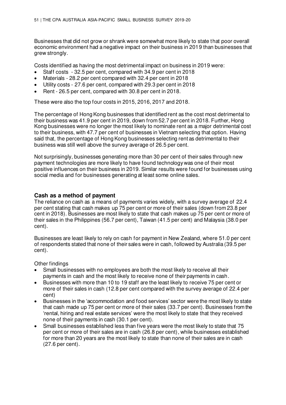Businesses that did not grow or shrank were somewhat more likely to state that poor overall economic environment had a negative impact on their business in 2019 than businesses that grew strongly.

Costs identified as having the most detrimental impact on business in 2019 were:

- Staff costs 32.5 per cent, compared with 34.9 per cent in 2018
- Materials 28.2 per cent compared with 32.4 per cent in 2018
- Utility costs 27.6 per cent, compared with 29.3 per cent in 2018
- Rent 26.5 per cent, compared with 30.8 per cent in 2018.

These were also the top four costs in 2015, 2016, 2017 and 2018.

The percentage of Hong Kong businesses that identified rent as the cost most detrimental to their business was 41.9 per cent in 2019, down from 52.7 per cent in 2018. Further, Hong Kong businesses were no longer the most likely to nominate rent as a major detrimental cost to their business, with 47.7 per cent of businesses in Vietnam selecting that option. Having said that, the percentage of Hong Kong businesses selecting rent as detrimental to their business was still well above the survey average of 26.5 per cent.

Not surprisingly, businesses generating more than 30 per cent of their sales through new payment technologies are more likely to have found technology was one of their most positive influences on their business in 2019. Similar results were found for businesses using social media and for businesses generating at least some online sales.

## **Cash as a method of payment**

The reliance on cash as a means of payments varies widely, with a survey average of 22.4 per cent stating that cash makes up 75 per cent or more of their sales (down from 23.8 per cent in 2018). Businesses are most likely to state that cash makes up 75 per cent or more of their sales in the Philippines (56.7 per cent), Taiwan (41.5 per cent) and Malaysia (38.0 per cent).

Businesses are least likely to rely on cash for payment in New Zealand, where 51.0 per cent of respondents stated that none of their sales were in cash, followed by Australia (39.5 per cent).

Other findings

- Small businesses with no employees are both the most likely to receive all their payments in cash and the most likely to receive none of their payments in cash.
- Businesses with more than 10 to 19 staff are the least likely to receive 75 per cent or more of their sales in cash (12.8 per cent compared with the survey average of 22.4 per cent)
- Businesses in the 'accommodation and food services' sector were the most likely to state that cash made up 75 per cent or more of their sales (33.7 per cent). Businesses from the 'rental, hiring and real estate services' were the most likely to state that they received none of their payments in cash (30.1 per cent).
- Small businesses established less than five years were the most likely to state that 75 per cent or more of their sales are in cash (26.8 per cent), while businesses established for more than 20 years are the most likely to state than none of their sales are in cash (27.6 per cent).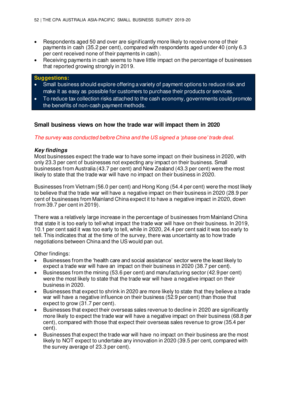- Respondents aged 50 and over are significantly more likely to receive none of their payments in cash (35.2 per cent), compared with respondents aged under 40 (only 6.3 per cent received none of their payments in cash).
- Receiving payments in cash seems to have little impact on the percentage of businesses that reported growing strongly in 2019.

### **Suggestions:**

- Small business should explore offering a variety of payment options to reduce risk and make it as easy as possible for customers to purchase their products or services.
- To reduce tax collection risks attached to the cash economy, governments could promote the benefits of non-cash payment methods.

## **Small business views on how the trade war will impact them in 2020**

### The survey was conducted before Chi*na and the US signed a 'phase one' trade deal.*

### **Key findings**

Most businesses expect the trade war to have some impact on their business in 2020, with only 23.3 per cent of businesses not expecting any impact on their business. Small businesses from Australia (43.7 per cent) and New Zealand (43.3 per cent) were the most likely to state that the trade war will have no impact on their business in 2020.

Businesses from Vietnam (56.0 per cent) and Hong Kong (54.4 per cent) were the most likely to believe that the trade war will have a negative impact on their business in 2020 (28.9 per cent of businesses from Mainland China expect it to have a negative impact in 2020, down from 39.7 per cent in 2019).

There was a relatively large increase in the percentage of businesses from Mainland China that state it is too early to tell what impact the trade war will have on their business. In 2019, 10.1 per cent said it was too early to tell, while in 2020, 24.4 per cent said it was too early to tell. This indicates that at the time of the survey, there was uncertainty as to how trade negotiations between China and the US would pan out.

Other findings:

- Businesses from the 'health care and social assistance' sector were the least likely to expect a trade war will have an impact on their business in 2020 (38.7 per cent).
- Businesses from the mining (53.6 per cent) and manufacturing sector (42.9 per cent) were the most likely to state that the trade war will have a negative impact on their business in 2020.
- Businesses that expect to shrink in 2020 are more likely to state that they believe a trade war will have a negative influence on their business (52.9 per cent) than those that expect to grow (31.7 per cent).
- Businesses that expect their overseas sales revenue to decline in 2020 are significantly more likely to expect the trade war will have a negative impact on their business (68.8 per cent), compared with those that expect their overseas sales revenue to grow (35.4 per cent).
- Businesses that expect the trade war will have no impact on their business are the most likely to NOT expect to undertake any innovation in 2020 (39.5 per cent, compared with the survey average of 23.3 per cent).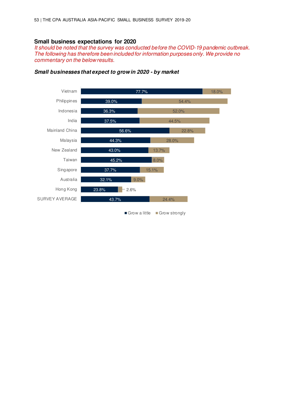## **Small business expectations for 2020**

It should be noted that the survey was conducted before the COVID-19 pandemic outbreak. The following has therefore been included for information purposes only. We provide no commentary on the below results.



### **Small businesses that expect to grow in 2020 - by market**

Grow a little Grow strongly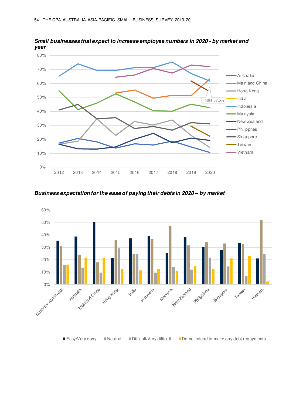

**Small businesses that expect to increase employee numbers in 2020 - by market and year**

**Business expectation for the ease of paying their debts in 2020** *–* **by market** 

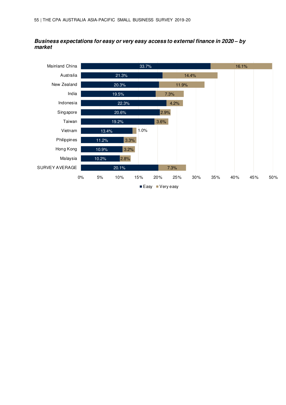## **Business expectations for easy or very easy access to external finance in 2020** *–* **by market**

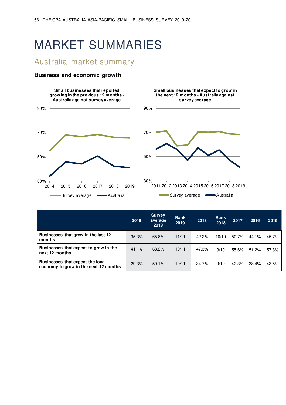# MARKET SUMMARIES

# Australia market summary

## **Business and economic growth**





**Small businesses that expect to grow in** 

|                                                                           | 2019  | <b>Survey</b><br>average<br>2019 | Rank<br>2019 | 2018  | Rank<br>2018 | 2017  | 2016  | 2015  |
|---------------------------------------------------------------------------|-------|----------------------------------|--------------|-------|--------------|-------|-------|-------|
| Businesses that grew in the last 12<br>months                             | 35.3% | 65.8%                            | 11/11        | 42.2% | 10/10        | 50.7% | 44.1% | 45.7% |
| Businesses that expect to grow in the<br>next 12 months                   | 41.1% | 68.2%                            | 10/11        | 47.3% | 9/10         | 55.6% | 51.2% | 57.3% |
| Businesses that expect the local<br>economy to grow in the next 12 months | 29.3% | 59.1%                            | 10/11        | 34.7% | 9/10         | 42.3% | 38.4% | 43.5% |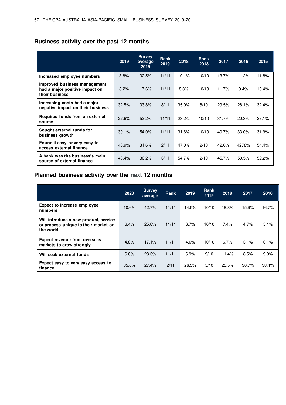# **Business activity over the past 12 months**

|                                                                                  | 2019  | <b>Survey</b><br>average<br>2019 | <b>Rank</b><br>2019 | 2018  | Rank<br>2018 | 2017  | 2016  | 2015  |
|----------------------------------------------------------------------------------|-------|----------------------------------|---------------------|-------|--------------|-------|-------|-------|
| Increased employee numbers                                                       | 8.8%  | 32.5%                            | 11/11               | 10.1% | 10/10        | 13.7% | 11.2% | 11.8% |
| Improved business management<br>had a major positive impact on<br>their business | 8.2%  | 17.6%                            | 11/11               | 8.3%  | 10/10        | 11.7% | 9.4%  | 10.4% |
| Increasing costs had a major<br>negative impact on their business                | 32.5% | 33.8%                            | 8/11                | 35.0% | 8/10         | 29.5% | 28.1% | 32.4% |
| Required funds from an external<br>source                                        | 22.6% | 52.2%                            | 11/11               | 23.2% | 10/10        | 31.7% | 20.3% | 27.1% |
| Sought external funds for<br>business growth                                     | 30.1% | 54.0%                            | 11/11               | 31.6% | 10/10        | 40.7% | 33.0% | 31.9% |
| Found it easy or very easy to<br>access external finance                         | 46.9% | 31.6%                            | 2/11                | 47.0% | 2/10         | 42.0% | 4278% | 54.4% |
| A bank was the business's main<br>source of external finance                     | 43.4% | 36.2%                            | 3/11                | 54.7% | 2/10         | 45.7% | 50.5% | 52.2% |

# **Planned business activity over the next 12 months**

|                                                                                            | 2020  | <b>Survey</b><br>average | <b>Rank</b> | 2019  | Rank<br>2019 | 2018  | 2017  | 2016  |
|--------------------------------------------------------------------------------------------|-------|--------------------------|-------------|-------|--------------|-------|-------|-------|
| <b>Expect to increase employee</b><br>numbers                                              | 10.6% | 42.7%                    | 11/11       | 14.5% | 10/10        | 18.8% | 15.9% | 16.7% |
| Will introduce a new product, service<br>or process unique to their market or<br>the world | 6.4%  | 25.8%                    | 11/11       | 6.7%  | 10/10        | 7.4%  | 4.7%  | 5.1%  |
| <b>Expect revenue from overseas</b><br>markets to grow strongly                            | 4.8%  | 17.1%                    | 11/11       | 4.6%  | 10/10        | 6.7%  | 3.1%  | 6.1%  |
| Will seek external funds                                                                   | 6.0%  | 23.3%                    | 11/11       | 6.9%  | 9/10         | 11.4% | 8.5%  | 9.0%  |
| Expect easy to very easy access to<br>finance                                              | 35.6% | 27.4%                    | 2/11        | 26.5% | 5/10         | 25.5% | 30.7% | 38.4% |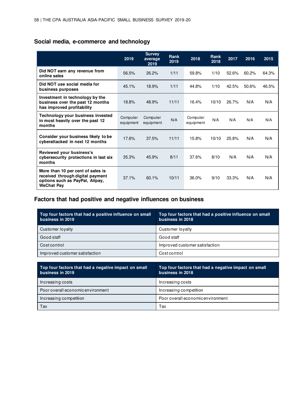# **Social media, e-commerce and technology**

|                                                                                                                               | 2019                  | <b>Survey</b><br>average<br>2019 | <b>Rank</b><br>2019 | 2018                  | Rank<br>2018 | 2017  | 2016  | 2015  |
|-------------------------------------------------------------------------------------------------------------------------------|-----------------------|----------------------------------|---------------------|-----------------------|--------------|-------|-------|-------|
| Did NOT earn any revenue from<br>online sales                                                                                 | 56.5%                 | 26.2%                            | 1/11                | 59.8%                 | 1/10         | 52.6% | 60.2% | 64.3% |
| Did NOT use social media for<br>business purposes                                                                             | 45.1%                 | 18.9%                            | 1/11                | 44.8%                 | 1/10         | 42.5% | 50.6% | 46.5% |
| Investment in technology by the<br>business over the past 12 months<br>has improved profitability                             | 18.8%                 | 48.9%                            | 11/11               | 16.4%                 | 10/10        | 26.7% | N/A   | N/A   |
| Technology your business invested<br>in most heavily over the past 12<br>months                                               | Computer<br>equipment | Computer<br>equipment            | N/A                 | Computer<br>equipment | N/A          | N/A   | N/A   | N/A   |
| Consider your business likely to be<br>cyberattacked in next 12 months                                                        | 17.6%                 | 37.5%                            | 11/11               | 15.8%                 | 10/10        | 25.8% | N/A   | N/A   |
| Reviewed your business's<br>cybersecurity protections in last six<br>months                                                   | 35.3%                 | 45.9%                            | 8/11                | 37.6%                 | 8/10         | N/A   | N/A   | N/A   |
| More than 10 per cent of sales is<br>received through digital payment<br>options such as PayPal, Alipay,<br><b>WeChat Pay</b> | 37.1%                 | 60.1%                            | 10/11               | 36.0%                 | 9/10         | 33.3% | N/A   | N/A   |

## **Factors that had positive and negative influences on business**

| Top four factors that had a positive influence on small<br>business in 2019 | Top four factors that had a positive influence on small<br>business in 2018 |
|-----------------------------------------------------------------------------|-----------------------------------------------------------------------------|
| Customer loyalty                                                            | Customer loyalty                                                            |
| Good staff                                                                  | Good staff                                                                  |
| Costcontrol                                                                 | Improved customer satisfaction                                              |
| Improved customer satisfaction                                              | Costcontrol                                                                 |
|                                                                             |                                                                             |
| Top four factors that had a negative impact on small<br>business in 2019    | Top four factors that had a negative impact on small<br>business in 2018    |
|                                                                             |                                                                             |
| Increasing costs                                                            | Increasing costs                                                            |
| Poor overall economic environment                                           | Increasing competition                                                      |
| Increasing competition                                                      | Poor overall economic environment                                           |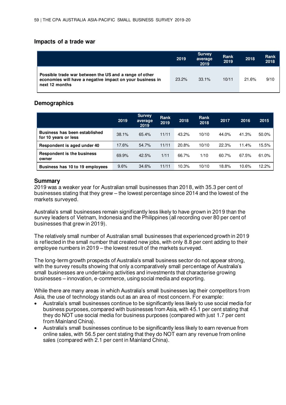## **Impacts of a trade war**

|                                                                                                                                       | 2019  | <b>Survey</b><br>average<br>2019 | Rank<br>2019 | 2018  | <b>Rank</b><br>2018 |
|---------------------------------------------------------------------------------------------------------------------------------------|-------|----------------------------------|--------------|-------|---------------------|
| Possible trade war between the US and a range of other<br>economies will have a negative impact on your business in<br>next 12 months | 23.2% | 33.1%                            | 10/11        | 21.6% | 9/10                |

## **Demographics**

|                                                              | 2019  | <b>Survey</b><br>average<br>2019 | Rank<br>2019 | 2018  | Rank<br>2018 | 2017  | 2016  | 2015  |
|--------------------------------------------------------------|-------|----------------------------------|--------------|-------|--------------|-------|-------|-------|
| <b>Business has been established</b><br>for 10 years or less | 38.1% | 65.4%                            | 11/11        | 43.2% | 10/10        | 44.0% | 41.3% | 50.0% |
| Respondent is aged under 40                                  | 17.6% | 54.7%                            | 11/11        | 20.8% | 10/10        | 22.3% | 11.4% | 15.5% |
| <b>Respondent is the business</b><br>owner                   | 69.9% | 42.5%                            | 1/11         | 66.7% | 1/10         | 60.7% | 67.5% | 61.0% |
| Business has 10 to 19 employees                              | 9.6%  | 34.6%                            | 11/11        | 10.3% | 10/10        | 18.8% | 10.6% | 12.2% |

## **Summary**

2019 was a weaker year for Australian small businesses than 2018, with 35.3 per cent of businesses stating that they grew – the lowest percentage since 2014 and the lowest of the markets surveyed.

Australia's small businesses remain significantly less likely to have grown in 2019 than the survey leaders of Vietnam, Indonesia and the Philippines (all recording over 80 per cent of businesses that grew in 2019).

The relatively small number of Australian small businesses that experienced growth in 2019 is reflected in the small number that created new jobs, with only 8.8 per cent adding to their employee numbers in 2019 – the lowest result of the markets surveyed.

The long-term growth prospects of Australia's small business sector do not appear strong, with the survey results showing that only a comparatively small percentage of Australia's small businesses are undertaking activities and investments that characterise growing businesses – innovation, e-commerce, using social media and exporting.

While there are many areas in which Australia's small businesses lag their competitors from Asia, the use of technology stands out as an area of most concern. For example:

- Australia's small businesses continue to be significantly less likely to use social media for business purposes, compared with businesses from Asia, with 45.1 per cent stating that they do NOT use social media for business purposes (compared with just 1.7 per cent from Mainland China).
- Australia's small businesses continue to be significantly less likely to earn revenue from online sales, with 56.5 per cent stating that they do NOT earn any revenue from online sales (compared with 2.1 per cent in Mainland China).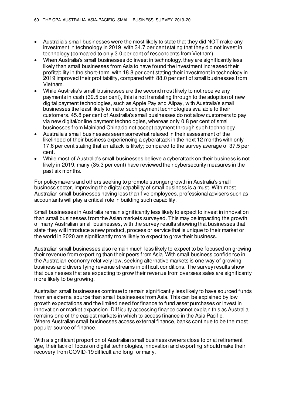- Australia's small businesses were the most likely to state that they did NOT make any investment in technology in 2019, with 34.7 per cent stating that they did not invest in technology (compared to only 3.0 per cent of respondents from Vietnam).
- When Australia's small businesses do invest in technology, they are significantly less likely than small businesses from Asia to have found the investment increased their profitability in the short-term, with 18.8 per cent stating their investment in technology in 2019 improved their profitability, compared with 88.0 per cent of small businesses from Vietnam.
- While Australia's small businesses are the second most likely to not receive any payments in cash (39.5 per cent), this is not translating through to the adoption of new digital payment technologies, such as Apple Pay and Alipay, with Australia's small businesses the least likely to make such payment technologies available to their customers. 45.8 per cent of Australia's small businesses do not allow customers to pay via new digital/online payment technologies, whereas only 0.8 per cent of small businesses from Mainland China do not accept payment through such technology.
- Australia's small businesses seem somewhat relaxed in their assessment of the likelihood of their business experiencing a cyberattack in the next 12 months with only 17.6 per cent stating that an attack is likely; compared to the survey average of 37.5 per cent.
- While most of Australia's small businesses believe a cyberattack on their business is not likely in 2019, many (35.3 per cent) have reviewed their cybersecurity measures in the past six months.

For policymakers and others seeking to promote stronger growth in Australia's small business sector, improving the digital capability of small business is a must. With most Australian small businesses having less than five employees, professional advisers such as accountants will play a critical role in building such capability.

Small businesses in Australia remain significantly less likely to expect to invest in innovation than small businesses from the Asian markets surveyed. This may be impacting the growth of many Australian small businesses, with the survey results showing that businesses that state they will introduce a new product, process or service that is unique to their market or the world in 2020 are significantly more likely to expect to grow their business.

Australian small businesses also remain much less likely to expect to be focused on growing their revenue from exporting than their peers from Asia. With small business confidence in the Australian economy relatively low, seeking alternative markets is one way of growing business and diversifying revenue streams in difficult conditions. The survey results show that businesses that are expecting to grow their revenue from overseas sales are significantly more likely to be growing.

Australian small businesses continue to remain significantly less likely to have sourced funds from an external source than small businesses from Asia. This can be explained by low growth expectations and the limited need for finance to fund asset purchases or invest in innovation or market expansion. Difficulty accessing finance cannot explain this as Australia remains one of the easiest markets in which to access finance in the Asia Pacific. Where Australian small businesses access external finance, banks continue to be the most popular source of finance.

With a significant proportion of Australian small business owners close to or at retirement age, their lack of focus on digital technologies, innovation and exporting should make their recovery from COVID-19 difficult and long for many.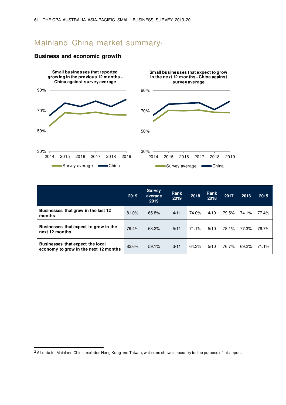# Mainland China market summary<sup>2</sup>



## **Business and economic growth**

|                                                                           | 2019  | <b>Survey</b><br>average<br>2019 | Rank<br>2019 | 2018  | Rank<br>2018 | 2017  | 2016  | 2015  |
|---------------------------------------------------------------------------|-------|----------------------------------|--------------|-------|--------------|-------|-------|-------|
| Businesses that grew in the last 12<br>months                             | 81.0% | 65.8%                            | 4/11         | 74.0% | 4/10         | 79.5% | 74.1% | 77.4% |
| Businesses that expect to grow in the<br>next 12 months                   | 79.4% | 68.2%                            | 5/11         | 71.1% | 5/10         | 78.1% | 77.3% | 76.7% |
| Businesses that expect the local<br>economy to grow in the next 12 months | 82.6% | 59.1%                            | 3/11         | 64.3% | 5/10         | 76.7% | 69.2% | 71.1% |

<sup>&</sup>lt;sup>2</sup> All data for Mainland China excludes Hong Kong and Taiwan, which are shown separately for the purpose of this report.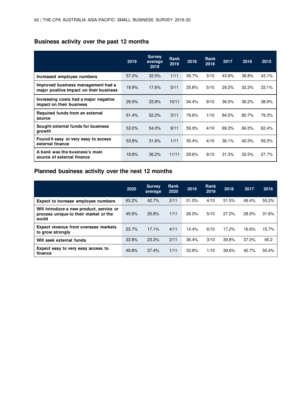# **Business activity over the past 12 months**

|                                                                               | 2019  | <b>Survey</b><br>average<br>2019 | Rank<br>2019 | 2018  | <b>Rank</b><br>2018 | 2017  | 2016  | 2015  |
|-------------------------------------------------------------------------------|-------|----------------------------------|--------------|-------|---------------------|-------|-------|-------|
| Increased employee numbers                                                    | 57.0% | 32.5%                            | 1/11         | 39.7% | 3/10                | 43.9% | 38.8% | 43.1% |
| Improved business management had a<br>major positive impact on their business | 19.9% | 17.6%                            | 5/11         | 25.8% | 5/10                | 29.2% | 32.2% | 33.1% |
| Increasing costs had a major negative<br>impact on their business             | 26.9% | 33.8%                            | 10/11        | 34.4% | 9/10                | 36.0% | 36.2% | 38.9% |
| Required funds from an external<br>source                                     | 61.4% | 52.2%                            | 3/11         | 79.6% | 1/10                | 84.5% | 80.7% | 79.3% |
| Sought external funds for business<br>growth                                  | 53.0% | 54.0%                            | 6/11         | 59.9% | 4/10                | 69.3% | 66.5% | 62.4% |
| Found it easy or very easy to access<br>external finance                      | 53.8% | 31.6%                            | 1/11         | 35.4% | 4/10                | 36.1% | 40.3% | 59.3% |
| A bank was the business's main<br>source of external finance                  | 18.8% | 36.2%                            | 11/11        | 29.6% | 9/10                | 31.3% | 32.5% | 27.7% |

# **Planned business activity over the next 12 months**

|                                                                                            | 2020  | <b>Survey</b><br>average | Rank<br>2020 | 2019  | Rank<br>2019 | 2018  | 2017  | 2016  |
|--------------------------------------------------------------------------------------------|-------|--------------------------|--------------|-------|--------------|-------|-------|-------|
| Expect to increase employee numbers                                                        | 63.2% | 42.7%                    | 2/11         | 51.0% | 4/10         | 51.5% | 49.4% | 55.2% |
| Will introduce a new product, service or<br>process unique to their market or the<br>world | 45.6% | 25.8%                    | 1/11         | 26.0% | 5/10         | 27.2% | 28.5% | 31.6% |
| <b>Expect revenue from overseas markets</b><br>to grow strongly                            | 23.7% | 17.1%                    | 4/11         | 14.4% | 6/10         | 17.2% | 16.6% | 15.7% |
| Will seek external funds                                                                   | 33.8% | 23.3%                    | 2/11         | 36.4% | 3/10         | 39.8% | 37.0% | 45.2  |
| Expect easy to very easy access to<br>finance                                              | 49.8% | 27.4%                    | 1/11         | 33.8% | 1/10         | 39.6% | 42.7% | 55.4% |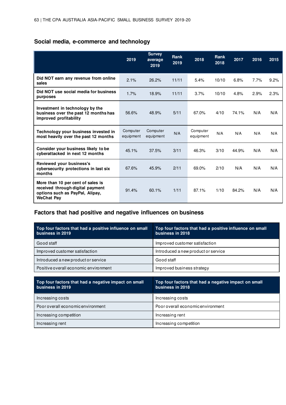# **Social media, e-commerce and technology**

|                                                                                                                               | 2019                  | <b>Survey</b><br>average<br>2019 | Rank<br>2019 | 2018                  | <b>Rank</b><br>2018 | 2017  | 2016 | 2015 |
|-------------------------------------------------------------------------------------------------------------------------------|-----------------------|----------------------------------|--------------|-----------------------|---------------------|-------|------|------|
| Did NOT earn any revenue from online<br>sales                                                                                 | 2.1%                  | 26.2%                            | 11/11        | 5.4%                  | 10/10               | 6.8%  | 7.7% | 9.2% |
| Did NOT use social media for business<br>purposes                                                                             | 1.7%                  | 18.9%                            | 11/11        | 3.7%                  | 10/10               | 4.8%  | 2.9% | 2.3% |
| Investment in technology by the<br>business over the past 12 months has<br>improved profitability                             | 56.6%                 | 48.9%                            | 5/11         | 67.0%                 | 4/10                | 74.1% | N/A  | N/A  |
| Technology your business invested in<br>most heavily over the past 12 months                                                  | Computer<br>equipment | Computer<br>equipment            | N/A          | Computer<br>equipment | N/A                 | N/A   | N/A  | N/A  |
| Consider your business likely to be<br>cyberattacked in next 12 months                                                        | 45.1%                 | 37.5%                            | 3/11         | 46.3%                 | 3/10                | 44.9% | N/A  | N/A  |
| Reviewed your business's<br>cybersecurity protections in last six<br>months                                                   | 67.6%                 | 45.9%                            | 2/11         | 69.0%                 | 2/10                | N/A   | N/A  | N/A  |
| More than 10 per cent of sales is<br>received through digital payment<br>options such as PayPal, Alipay,<br><b>WeChat Pay</b> | 91.4%                 | 60.1%                            | 1/11         | 87.1%                 | 1/10                | 84.2% | N/A  | N/A  |

# **Factors that had positive and negative influences on business**

| Top four factors that had a positive influence on small<br>business in 2019 | Top four factors that had a positive influence on small<br>business in 2018 |
|-----------------------------------------------------------------------------|-----------------------------------------------------------------------------|
| Good staff                                                                  | Improved customer satisfaction                                              |
| Improved customer satisfaction                                              | Introduced a new product or service                                         |
| Introduced a new product or service                                         | Good staff                                                                  |
| Positive overall economic environment                                       | Improved business strategy                                                  |
|                                                                             |                                                                             |
|                                                                             |                                                                             |
| Top four factors that had a negative impact on small<br>business in 2019    | Top four factors that had a negative impact on small<br>business in 2018    |
| Increasing costs                                                            | Increasing costs                                                            |
| Poor overall economic environment                                           | Poor overall economic environment                                           |
| Increasing competition                                                      | Increasing rent                                                             |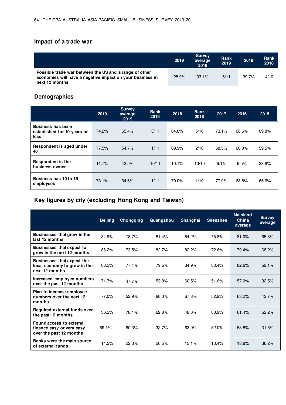# **Impact of a trade war**

|                                                                                                                                       | 2019  | <b>Survey</b><br>average<br>2019 | Rank<br>2019 | 2018  | Rank<br>2018 |
|---------------------------------------------------------------------------------------------------------------------------------------|-------|----------------------------------|--------------|-------|--------------|
| Possible trade war between the US and a range of other<br>economies will have a negative impact on your business in<br>next 12 months | 28.9% | 33.1%                            | 6/11         | 39.7% | 4/10         |

# **Demographics**

|                                                                 | 2019  | <b>Survey</b><br>average<br>2019 | <b>Rank</b><br>2019 | 2018  | <b>Rank</b><br>2018 | 2017  | 2016  | 2015  |
|-----------------------------------------------------------------|-------|----------------------------------|---------------------|-------|---------------------|-------|-------|-------|
| <b>Business has been</b><br>established for 10 years or<br>less | 74.2% | 65.4%                            | 3/11                | 64.8% | 5/10                | 73.1% | 68.6% | 69.8% |
| Respondent is aged under<br>40                                  | 77.5% | 54.7%                            | 1/11                | 69.9% | 2/10                | 68.5% | 60.0% | 59.5% |
| <b>Respondent is the</b><br>business owner                      | 11.7% | 42.5%                            | 10/11               | 10.1% | 10/10               | 6.1%  | 9.5%  | 23.8% |
| Business has 10 to 19<br>employees                              | 73.1% | 34.6%                            | 1/11                | 70.0% | 1/10                | 77.9% | 68.8% | 65.6% |

# **Key figures by city (excluding Hong Kong and Taiwan)**

|                                                                                     | <b>Beijing</b> | <b>Chongqing</b> | Guangzhou | <b>Shanghai</b> | <b>Shenzhen</b> | <b>Mainland</b><br>China<br>average | <b>Survey</b><br>average |
|-------------------------------------------------------------------------------------|----------------|------------------|-----------|-----------------|-----------------|-------------------------------------|--------------------------|
| Businesses that grew in the<br>last 12 months                                       | 84.9%          | 78.7%            | 81.4%     | 84.2%           | 75.8%           | 81.0%                               | 65.8%                    |
| <b>Businesses that expect to</b><br>grow in the next 12 months                      | 86.2%          | 73.5%            | 82.7%     | 82.2%           | 72.6%           | 79.4%                               | 68.2%                    |
| <b>Businesses that expect the</b><br>local economy to grow in the<br>next 12 months | 88.2%          | 77.4%            | 79.5%     | 84.9%           | 83.4%           | 82.6%                               | 59.1%                    |
| Increased employee numbers<br>over the past 12 months                               | 71.7%          | 47.7%            | 53.8%     | 60.5%           | 51.6%           | 57.0%                               | 32.5%                    |
| Plan to increase employee<br>numbers over the next 12<br>months                     | 77.0%          | 52.9%            | 66.0%     | 67.8%           | 52.9%           | 63.2%                               | 42.7%                    |
| Required external funds over<br>the past 12 months                                  | 36.2%          | 78.1%            | 62.8%     | 48.0%           | 80.9%           | 61.4%                               | 52.2%                    |
| Found access to external<br>finance easy or very easy<br>over the past 12 months    | 69.1%          | 60.3%            | 32.7%     | 63.0%           | 52.0%           | 53.8%                               | 31.6%                    |
| Banks were the main source<br>of external funds                                     | 14.5%          | 22.3%            | 26.5%     | 15.1%           | 13.4%           | 18.8%                               | 36.2%                    |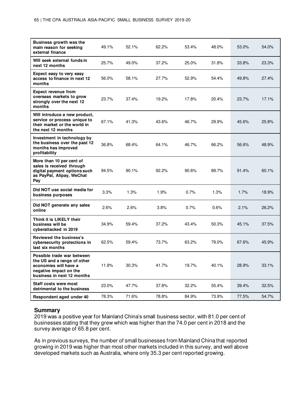| Business growth was the<br>main reason for seeking<br>external finance                                                                     | 49.1% | 52.1% | 62.2% | 53.4% | 48.0% | 53.0% | 54.0% |
|--------------------------------------------------------------------------------------------------------------------------------------------|-------|-------|-------|-------|-------|-------|-------|
| Will seek external funds in<br>next 12 months                                                                                              | 25.7% | 49.0% | 37.2% | 25.0% | 31.8% | 33.8% | 23.3% |
| Expect easy to very easy<br>access to finance in next 12<br>months                                                                         | 56.0% | 58.1% | 27.7% | 52.9% | 54.4% | 49.8% | 27.4% |
| <b>Expect revenue from</b><br>overseas markets to grow<br>strongly over the next 12<br>months                                              | 23.7% | 37.4% | 19.2% | 17.8% | 20.4% | 23.7% | 17.1% |
| Will introduce a new product,<br>service or process unique to<br>their market or the world in<br>the next 12 months                        | 67.1% | 41.3% | 43.6% | 46.7% | 29.9% | 45.6% | 25.8% |
| Investment in technology by<br>the business over the past 12<br>months has improved<br>profitability                                       | 36.8% | 68.4% | 64.1% | 46.7% | 66.2% | 56.6% | 48.9% |
| More than 10 per cent of<br>sales is received through<br>digital payment options such<br>as PayPal, Alipay, WeChat<br>Pay                  | 94.5% | 90.1% | 92.2% | 90.6% | 89.7% | 91.4% | 60.1% |
| Did NOT use social media for<br>business purposes                                                                                          | 3.3%  | 1.3%  | 1.9%  | 0.7%  | 1.3%  | 1.7%  | 18.9% |
| Did NOT generate any sales<br>online                                                                                                       | 2.6%  | 2.6%  | 3.8%  | 0.7%  | 0.6%  | 2.1%  | 26.2% |
| Think it is LIKELY their<br>business will be<br>cyberattacked in 2019                                                                      | 34.9% | 59.4% | 37.2% | 43.4% | 50.3% | 45.1% | 37.5% |
| Reviewed the business's<br>cybersecurity protections in<br>last six months                                                                 | 62.5% | 59.4% | 73.7% | 63.2% | 79.0% | 67.6% | 45.9% |
| Possible trade war between<br>the US and a range of other<br>economies will have a<br>negative impact on the<br>business in next 12 months | 11.9% | 30.3% | 41.7% | 19.7% | 40.1% | 28.9% | 33.1% |
| Staff costs were most<br>detrimental to the business                                                                                       | 23.0% | 47.7% | 37.8% | 32.2% | 55.4% | 39.4% | 32.5% |
| Respondent aged under 40                                                                                                                   | 78.3% | 71.6% | 78.8% | 84.9% | 73.9% | 77.5% | 54.7% |

### **Summary**

2019 was a positive year for Mainland China's small business sector, with 81.0 per cent of businesses stating that they grew which was higher than the 74.0 per cent in 2018 and the survey average of 65.8 per cent.

As in previous surveys, the number of small businesses from Mainland China that reported growing in 2019 was higher than most other markets included in this survey, and well above developed markets such as Australia, where only 35.3 per cent reported growing.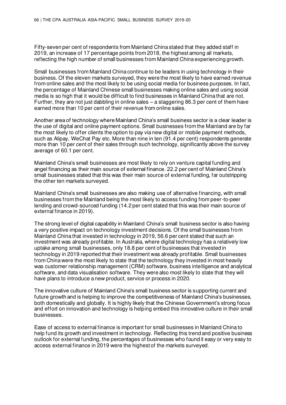Fifty-seven per cent of respondents from Mainland China stated that they added staff in 2019, an increase of 17 percentage points from 2018, the highest among all markets, reflecting the high number of small businesses from Mainland China experiencing growth.

Small businesses from Mainland China continue to be leaders in using technology in their business. Of the eleven markets surveyed, they were the most likely to have earned revenue from online sales and the most likely to be using social media for business purposes. In fact, the percentage of Mainland Chinese small businesses making online sales and using social media is so high that it would be difficult to find businesses in Mainland China that are not. Further, they are not just dabbling in online sales – a staggering 86.3 per cent of them have earned more than 10 per cent of their revenue from online sales.

Another area of technology where Mainland China's small business sector is a clear leader is the use of digital and online payment options. Small businesses from the Mainland are by far the most likely to offer clients the option to pay via new digital or mobile payment methods, such as Alipay, WeChat Pay etc. More than nine in ten (91.4 per cent) respondents generate more than 10 per cent of their sales through such technology, significantly above the survey average of 60.1 per cent.

Mainland China's small businesses are most likely to rely on venture capital funding and angel financing as their main source of external finance. 22.2 per cent of Mainland China's small businesses stated that this was their main source of external funding, far outstripping the other ten markets surveyed.

Mainland China's small businesses are also making use of alternative financing, with small businesses from the Mainland being the most likely to access funding from peer-to-peer lending and crowd-sourced funding (14.2 per cent stated that this was their main source of external finance in 2019).

The strong level of digital capability in Mainland China's small business sector is also having a very positive impact on technology investment decisions. Of the small businesses from Mainland China that invested in technology in 2019, 56.6 per cent stated that such an investment was already profitable. In Australia, where digital technology has a relatively low uptake among small businesses, only 18.8 per cent of businesses that invested in technology in 2019 reported that their investment was already profitable. Small businesses from China were the most likely to state that the technology they invested in most heavily was customer relationship management (CRM) software, business intelligence and analytical software, and data visualisation software. They were also most likely to state that they will have plans to introduce a new product, service or process in 2020.

The innovative culture of Mainland China's small business sector is supporting current and future growth and is helping to improve the competitiveness of Mainland China's businesses. both domestically and globally. It is highly likely that the Chinese Government's strong focus and effort on innovation and technology is helping embed this innovative culture in their small businesses.

Ease of access to external finance is important for small businesses in Mainland China to help fund its growth and investment in technology. Reflecting this trend and positive business outlook for external funding, the percentages of businesses who found it easy or very easy to access external finance in 2019 were the highest of the markets surveyed.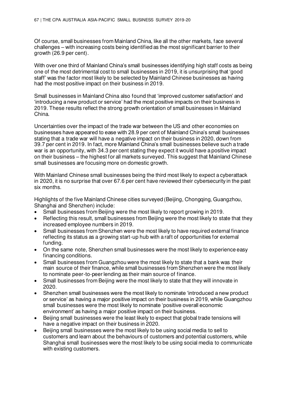Of course, small businesses from Mainland China, like all the other markets, face several challenges – with increasing costs being identified as the most significant barrier to their growth (26.9 per cent).

With over one third of Mainland China's small businesses identifying high staff costs as being one of the most detrimental cost to small businesses in 2019, it is unsurprising that 'good staff' was the factor most likely to be selected by Mainland Chinese businesses as having had the most positive impact on their business in 2019.

Small businesses in Mainland China also found that 'improved customer satisfaction' and 'introducing a new product or service' had the most positive impacts on their business in 2019. These results reflect the strong growth orientation of small businesses in Mainland China.

Uncertainties over the impact of the trade war between the US and other economies on businesses have appeared to ease with 28.9 per cent of Mainland China's small businesses stating that a trade war will have a negative impact on their business in 2020, down from 39.7 per cent in 2019. In fact, more Mainland China's small businesses believe such a trade war is an opportunity, with 34.3 per cent stating they expect it would have a positive impact on their business – the highest for all markets surveyed. This suggest that Mainland Chinese small businesses are focusing more on domestic growth.

With Mainland Chinese small businesses being the third most likely to expect a cyberattack in 2020, it is no surprise that over 67.6 per cent have reviewed their cybersecurity in the past six months.

Highlights of the five Mainland Chinese cities surveyed (Beijing, Chongqing, Guangzhou, Shanghai and Shenzhen) include:

- Small businesses from Beijing were the most likely to report growing in 2019.
- Reflecting this result, small businesses from Beijing were the most likely to state that they increased employee numbers in 2019.
- Small businesses from Shenzhen were the most likely to have required external finance reflecting its status as a growing start-up hub with a raft of opportunities for external funding.
- On the same note, Shenzhen small businesses were the most likely to experience easy financing conditions.
- Small businesses from Guangzhou were the most likely to state that a bank was their main source of their finance, while small businesses from Shenzhen were the most likely to nominate peer-to-peer lending as their main source of finance.
- Small businesses from Beijing were the most likely to state that they will innovate in 2020.
- Shenzhen small businesses were the most likely to nominate 'introduced a new product or service' as having a major positive impact on their business in 2019, while Guangzhou small businesses were the most likely to nominate 'positive overall economic environment' as having a major positive impact on their business.
- Beijing small businesses were the least likely to expect that global trade tensions will have a negative impact on their business in 2020.
- Beijing small businesses were the most likely to be using social media to sell to customers and learn about the behaviours of customers and potential customers, while Shanghai small businesses were the most likely to be using social media to communicate with existing customers.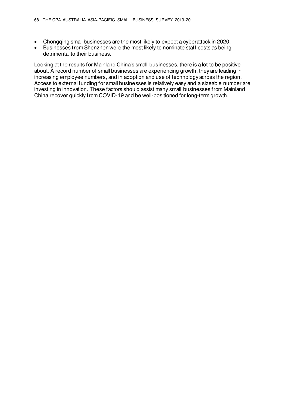- Chongqing small businesses are the most likely to expect a cyberattack in 2020.
- Businesses from Shenzhen were the most likely to nominate staff costs as being detrimental to their business.

Looking at the results for Mainland China's small businesses, there is a lot to be positive about. A record number of small businesses are experiencing growth, they are leading in increasing employee numbers, and in adoption and use of technology across the region. Access to external funding for small businesses is relatively easy and a sizeable number are investing in innovation. These factors should assist many small businesses from Mainland China recover quickly from COVID-19 and be well-positioned for long-term growth.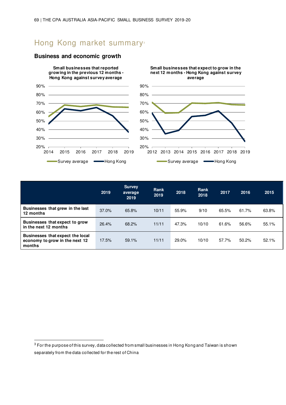# Hong Kong market summary<sup>®</sup>



## **Business and economic growth**

|                                                                              | 2019  | Survey<br>average<br>2019 | Rank<br>2019 | 2018  | <b>Rank</b><br>2018 | 2017  | 2016  | 2015  |
|------------------------------------------------------------------------------|-------|---------------------------|--------------|-------|---------------------|-------|-------|-------|
| Businesses that grew in the last<br>12 months                                | 37.0% | 65.8%                     | 10/11        | 55.9% | 9/10                | 65.5% | 61.7% | 63.8% |
| Businesses that expect to grow<br>in the next 12 months                      | 26.4% | 68.2%                     | 11/11        | 47.3% | 10/10               | 61.6% | 56.6% | 55.1% |
| Businesses that expect the local<br>economy to grow in the next 12<br>months | 17.5% | 59.1%                     | 11/11        | 29.0% | 10/10               | 57.7% | 50.2% | 52.1% |

 $^3$  For the purpose of this survey, data collected from small businesses in Hong Kong and Taiwan is shown separately from the data collected for the rest of China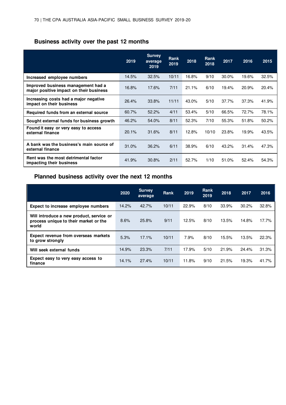# **Business activity over the past 12 months**

|                                                                               | 2019  | <b>Survey</b><br>average<br>2019 | <b>Rank</b><br>2019 | 2018  | Rank<br>2018 | 2017  | 2016  | 2015  |
|-------------------------------------------------------------------------------|-------|----------------------------------|---------------------|-------|--------------|-------|-------|-------|
| Increased employee numbers                                                    | 14.5% | 32.5%                            | 10/11               | 16.8% | 9/10         | 30.0% | 19.6% | 32.5% |
| Improved business management had a<br>major positive impact on their business | 16.8% | 17.6%                            | 7/11                | 21.1% | 6/10         | 19.4% | 20.9% | 20.4% |
| Increasing costs had a major negative<br>impact on their business             | 26.4% | 33.8%                            | 11/11               | 43.0% | 5/10         | 37.7% | 37.3% | 41.9% |
| Required funds from an external source                                        | 60.7% | 52.2%                            | 4/11                | 53.4% | 5/10         | 66.5% | 72.7% | 78.1% |
| Sought external funds for business growth                                     | 46.2% | 54.0%                            | 8/11                | 52.3% | 7/10         | 55.3% | 51.8% | 50.2% |
| Found it easy or very easy to access<br>external finance                      | 20.1% | 31.6%                            | 8/11                | 12.8% | 10/10        | 23.8% | 19.9% | 43.5% |
| A bank was the business's main source of<br>external finance                  | 31.0% | 36.2%                            | 6/11                | 38.9% | 6/10         | 43.2% | 31.4% | 47.3% |
| Rent was the most detrimental factor<br>impacting their business              | 41.9% | 30.8%                            | 2/11                | 52.7% | 1/10         | 51.0% | 52.4% | 54.3% |

# **Planned business activity over the next 12 months**

|                                                                                            | 2020  | <b>Survey</b><br>average | <b>Rank</b> | 2019  | <b>Rank</b><br>2019 | 2018  | 2017  | 2016  |
|--------------------------------------------------------------------------------------------|-------|--------------------------|-------------|-------|---------------------|-------|-------|-------|
| Expect to increase employee numbers                                                        | 14.2% | 42.7%                    | 10/11       | 22.9% | 8/10                | 33.9% | 30.2% | 32.8% |
| Will introduce a new product, service or<br>process unique to their market or the<br>world | 8.6%  | 25.8%                    | 9/11        | 12.5% | 8/10                | 13.5% | 14.8% | 17.7% |
| <b>Expect revenue from overseas markets</b><br>to grow strongly                            | 5.3%  | 17.1%                    | 10/11       | 7.9%  | 8/10                | 15.5% | 13.5% | 22.3% |
| Will seek external funds                                                                   | 14.9% | 23.3%                    | 7/11        | 17.9% | 5/10                | 21.9% | 24.4% | 31.3% |
| Expect easy to very easy access to<br>finance                                              | 14.1% | 27.4%                    | 10/11       | 11.8% | 9/10                | 21.5% | 19.3% | 41.7% |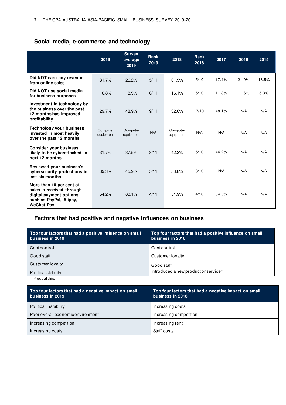# **Social media, e-commerce and technology**

|                                                                                                                                  | 2019                  | <b>Survey</b><br>average<br>2019 | <b>Rank</b><br>2019 | 2018                  | Rank<br>2018 | 2017  | 2016  | 2015  |
|----------------------------------------------------------------------------------------------------------------------------------|-----------------------|----------------------------------|---------------------|-----------------------|--------------|-------|-------|-------|
| Did NOT earn any revenue<br>from online sales                                                                                    | 31.7%                 | 26.2%                            | 5/11                | 31.9%                 | 5/10         | 17.4% | 21.9% | 18.5% |
| Did NOT use social media<br>for business purposes                                                                                | 16.8%                 | 18.9%                            | 6/11                | 16.1%                 | 5/10         | 11.3% | 11.6% | 5.3%  |
| Investment in technology by<br>the business over the past<br>12 months has improved<br>profitability                             | 29.7%                 | 48.9%                            | 9/11                | 32.6%                 | 7/10         | 48.1% | N/A   | N/A   |
| <b>Technology your business</b><br>invested in most heavily<br>over the past 12 months                                           | Computer<br>equipment | Computer<br>equipment            | N/A                 | Computer<br>equipment | N/A          | N/A   | N/A   | N/A   |
| <b>Consider your business</b><br>likely to be cyberattacked in<br>next 12 months                                                 | 31.7%                 | 37.5%                            | 8/11                | 42.3%                 | 5/10         | 44.2% | N/A   | N/A   |
| Reviewed your business's<br>cybersecurity protections in<br>last six months                                                      | 39.3%                 | 45.9%                            | 5/11                | 53.8%                 | 3/10         | N/A   | N/A   | N/A   |
| More than 10 per cent of<br>sales is received through<br>digital payment options<br>such as PayPal, Alipay,<br><b>WeChat Pay</b> | 54.2%                 | 60.1%                            | 4/11                | 51.9%                 | 4/10         | 54.5% | N/A   | N/A   |

# **Factors that had positive and negative influences on business**

| Top four factors that had a positive influence on small<br>business in 2019 | Top four factors that had a positive influence on small<br>business in 2018 |
|-----------------------------------------------------------------------------|-----------------------------------------------------------------------------|
| Costcontrol                                                                 | Costcontrol                                                                 |
| Good staff                                                                  | Customer lovalty                                                            |
| Customer loyalty                                                            | Good staff                                                                  |
| Political stability                                                         | Introduced a new product or service <sup>^</sup>                            |
| ^ equal third                                                               |                                                                             |

| Top four factors that had a negative impact on small<br>business in 2019 | Top four factors that had a negative impact on small<br>business in 2018 |
|--------------------------------------------------------------------------|--------------------------------------------------------------------------|
| Political instability                                                    | Increasing costs                                                         |
| Poor overall economic environment                                        | Increasing competition                                                   |
| Increasing competition                                                   | Increasing rent                                                          |
| Increasing costs                                                         | Staff costs                                                              |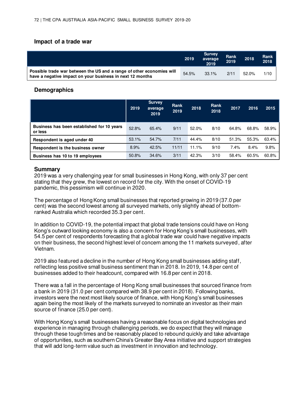## **Impact of a trade war**

|                                                                                                                                    | 2019  | <b>Survey</b><br>average<br>2019 | Rank<br>2019 | 2018  | <b>Rank</b><br>2018 |
|------------------------------------------------------------------------------------------------------------------------------------|-------|----------------------------------|--------------|-------|---------------------|
| Possible trade war between the US and a range of other economies will<br>have a negative impact on your business in next 12 months | 54.5% | $33.1\%$                         | 2/11         | 52.0% | 1/10                |

## **Demographics**

|                                                       | 2019  | <b>Survey</b><br>average<br>2019 | Rank<br>2019 | 2018  | Rank<br>2018 | 2017  | 2016  | 2015  |
|-------------------------------------------------------|-------|----------------------------------|--------------|-------|--------------|-------|-------|-------|
| Business has been established for 10 years<br>or less | 52.8% | 65.4%                            | 9/11         | 52.0% | 8/10         | 64.8% | 68.8% | 58.9% |
| Respondent is aged under 40                           | 53.1% | 54.7%                            | 7/11         | 44.4% | 8/10         | 51.3% | 55.3% | 63.4% |
| Respondent is the business owner                      | 8.9%  | 42.5%                            | 11/11        | 11.1% | 9/10         | 7.4%  | 8.4%  | 9.8%  |
| Business has 10 to 19 employees                       | 50.8% | 34.6%                            | 3/11         | 42.3% | 3/10         | 58.4% | 60.5% | 60.8% |

## **Summary**

2019 was a very challenging year for small businesses in Hong Kong, with only 37 per cent stating that they grew, the lowest on record for the city. With the onset of COVID-19 pandemic, this pessimism will continue in 2020.

The percentage of Hong Kong small businesses that reported growing in 2019 (37.0 per cent) was the second lowest among all surveyed markets, only slightly ahead of bottomranked Australia which recorded 35.3 per cent.

In addition to COVID-19, the potential impact that global trade tensions could have on Hong Kong's outward looking economy is also a concern for Hong Kong's small businesses, with 54.5 per cent of respondents forecasting that a global trade war could have negative impacts on their business, the second highest level of concern among the 11 markets surveyed, after Vietnam.

2019 also featured a decline in the number of Hong Kong small businesses adding staff, reflecting less positive small business sentiment than in 2018. In 2019, 14.8 per cent of businesses added to their headcount, compared with 16.8 per cent in 2018.

There was a fall in the percentage of Hong Kong small businesses that sourced finance from a bank in 2019 (31.0 per cent compared with 38.9 per cent in 2018). Following banks, investors were the next most likely source of finance, with Hong Kong's small businesses again being the most likely of the markets surveyed to nominate an investor as their main source of finance (25.0 per cent).

With Hong Kong's small businesses having a reasonable focus on digital technologies and experience in managing through challenging periods, we do expect that they will manage through these tough times and be reasonably placed to rebound quickly and take advantage of opportunities, such as southern China's Greater Bay Area initiative and support strategies that will add long-term value such as investment in innovation and technology.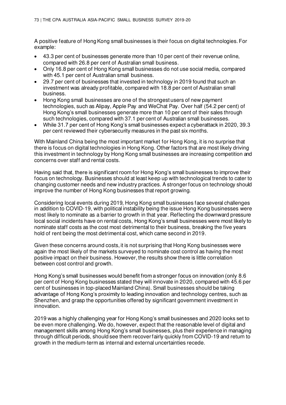A positive feature of Hong Kong small businesses is their focus on digital technologies. For example:

- 43.3 per cent of businesses generate more than 10 per cent of their revenue online, compared with 26.8 per cent of Australian small business.
- Only 16.8 per cent of Hong Kong small businesses do not use social media, compared with 45.1 per cent of Australian small business.
- 29.7 per cent of businesses that invested in technology in 2019 found that such an investment was already profitable, compared with 18.8 per cent of Australian small business.
- Hong Kong small businesses are one of the strongest users of new payment technologies, such as Alipay, Apple Pay and WeChat Pay. Over half (54.2 per cent) of Hong Kong's small businesses generate more than 10 per cent of their sales through such technologies, compared with 37.1 per cent of Australian small businesses.
- While 31.7 per cent of Hong Kong's small businesses expect a cyberattack in 2020, 39.3 per cent reviewed their cybersecurity measures in the past six months.

With Mainland China being the most important market for Hong Kong, it is no surprise that there is focus on digital technologies in Hong Kong. Other factors that are most likely driving this investment in technology by Hong Kong small businesses are increasing competition and concerns over staff and rental costs.

Having said that, there is significant room for Hong Kong's small businesses to improve their focus on technology. Businesses should at least keep up with technological trends to cater to changing customer needs and new industry practices. A stronger focus on technology should improve the number of Hong Kong businesses that report growing.

Considering local events during 2019, Hong Kong small businesses face several challenges in addition to COVID-19, with political instability being the issue Hong Kong businesses were most likely to nominate as a barrier to growth in that year. Reflecting the downward pressure local social incidents have on rental costs, Hong Kong's small businesses were most likely to nominate staff costs as the cost most detrimental to their business, breaking the five years hold of rent being the most detrimental cost, which came second in 2019.

Given these concerns around costs, it is not surprising that Hong Kong businesses were again the most likely of the markets surveyed to nominate cost control as having the most positive impact on their business. However, the results show there is little correlation between cost control and growth.

Hong Kong's small businesses would benefit from a stronger focus on innovation (only 8.6 per cent of Hong Kong businesses stated they will innovate in 2020, compared with 45.6 per cent of businesses in top-placed Mainland China). Small businesses should be taking advantage of Hong Kong's proximity to leading innovation and technology centres, such as Shenzhen, and grasp the opportunities offered by significant government investment in innovation.

2019 was a highly challenging year for Hong Kong's small businesses and 2020 looks set to be even more challenging. We do, however, expect that the reasonable level of digital and management skills among Hong Kong's small businesses, plus their experience in managing through difficult periods, should see them recover fairly quickly from COVID-19 and return to growth in the medium-term as internal and external uncertainties recede.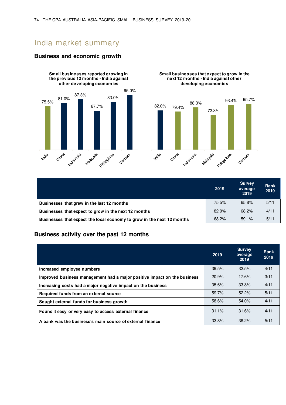# India market summary

#### **Business and economic growth**





**Small businesses that expect to grow in the next 12 months - India against other developing economies**

|                                                                        | 2019  | <b>Survey</b><br>average<br>2019 | Rank<br>2019 |
|------------------------------------------------------------------------|-------|----------------------------------|--------------|
| Businesses that grew in the last 12 months                             | 75.5% | 65.8%                            | 5/11         |
| Businesses that expect to grow in the next 12 months                   | 82.0% | 68.2%                            | 4/11         |
| Businesses that expect the local economy to grow in the next 12 months | 68.2% | 59.1%                            | 5/11         |

### **Business activity over the past 12 months**

|                                                                          | 2019  | <b>Survey</b><br>average<br>2019 | Rank<br>2019 |
|--------------------------------------------------------------------------|-------|----------------------------------|--------------|
| Increased employee numbers                                               | 39.5% | 32.5%                            | 4/11         |
| Improved business management had a major positive impact on the business | 20.9% | 17.6%                            | 3/11         |
| Increasing costs had a major negative impact on the business             | 35.6% | 33.8%                            | 4/11         |
| Required funds from an external source                                   | 59.7% | 52.2%                            | 5/11         |
| Sought external funds for business growth                                | 58.6% | 54.0%                            | 4/11         |
| Found it easy or very easy to access external finance                    | 31.1% | 31.6%                            | 4/11         |
| A bank was the business's main source of external finance                | 33.8% | 36.2%                            | 5/11         |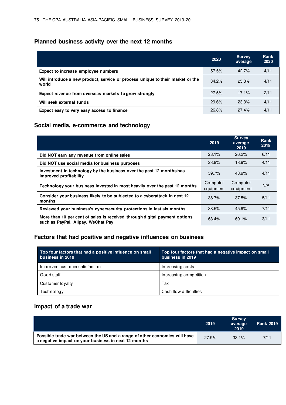### **Planned business activity over the next 12 months**

|                                                                                         | 2020  | <b>Survey</b><br>average | Rank<br>2020 |
|-----------------------------------------------------------------------------------------|-------|--------------------------|--------------|
| Expect to increase employee numbers                                                     | 57.5% | $42.7\%$                 | 4/11         |
| Will introduce a new product, service or process unique to their market or the<br>world | 34.2% | 25.8%                    | 4/11         |
| Expect revenue from overseas markets to grow strongly                                   | 27.5% | 17.1%                    | 2/11         |
| Will seek external funds                                                                | 29.6% | 23.3%                    | 4/11         |
| Expect easy to very easy access to finance                                              | 26.8% | 27.4%                    | 4/11         |

### **Social media, e-commerce and technology**

|                                                                                                                  | 2019                  | <b>Survey</b><br>average<br>2019 | Rank<br>2019 |
|------------------------------------------------------------------------------------------------------------------|-----------------------|----------------------------------|--------------|
| Did NOT earn any revenue from online sales                                                                       | 28.1%                 | 26.2%                            | 6/11         |
| Did NOT use social media for business purposes                                                                   | 23.9%                 | 18.9%                            | 4/11         |
| Investment in technology by the business over the past 12 months has<br>improved profitability                   | 59.7%                 | 48.9%                            | 4/11         |
| Technology your business invested in most heavily over the past 12 months                                        | Computer<br>equipment | Computer<br>equipment            | N/A          |
| Consider your business likely to be subjected to a cyberattack in next 12<br>months                              | 38.7%                 | 37.5%                            | 5/11         |
| Reviewed your business's cybersecurity protections in last six months                                            | 38.5%                 | 45.9%                            | 7/11         |
| More than 10 per cent of sales is received through digital payment options<br>such as PayPal, Alipay, WeChat Pay | 63.4%                 | $60.1\%$                         | 3/11         |

### **Factors that had positive and negative influences on business**

| Top four factors that had a positive influence on small<br>business in 2019 | Top four factors that had a negative impact on small<br>business in 2019 |
|-----------------------------------------------------------------------------|--------------------------------------------------------------------------|
| Improved customer satisfaction                                              | Increasing costs                                                         |
| Good staff                                                                  | Increasing competition                                                   |
| Customer lovalty                                                            | Tax                                                                      |
| Technology                                                                  | Cash flow difficulties                                                   |

### **Impact of a trade war**

|                                                                                                                                    | 2019  | <b>Survey</b><br>average<br>2019 | <b>Rank 2019</b> |
|------------------------------------------------------------------------------------------------------------------------------------|-------|----------------------------------|------------------|
| Possible trade war between the US and a range of other economies will have<br>a negative impact on your business in next 12 months | 27.9% | $33.1\%$                         | 7/11             |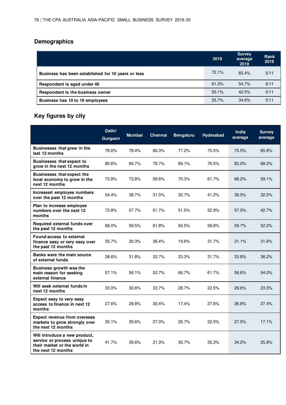# **Demographics**

|                                                    | 2019  | <b>Survey</b><br>average<br>2019 | Rank<br>2019 |
|----------------------------------------------------|-------|----------------------------------|--------------|
| Business has been established for 10 years or less | 72.1% | 65.4%                            | 5/11         |
| Respondent is aged under 40                        | 61.3% | 54.7%                            | 6/11         |
| Respondent is the business owner                   | 55.1% | 42.5%                            | 5/11         |
| Business has 10 to 19 employees                    | 25.7% | 34.6%                            | 5/11         |

# **Key figures by city**

|                                                                                                                     | Delhi/<br>Gurgaon | <b>Mumbai</b> | Chennai | <b>Bengaluru</b> | <b>Hyderabad</b> | India<br>average | <b>Survey</b><br>average |
|---------------------------------------------------------------------------------------------------------------------|-------------------|---------------|---------|------------------|------------------|------------------|--------------------------|
| Businesses that grew in the<br>last 12 months                                                                       | 78.6%             | 78.4%         | 66.3%   | 77.2%            | 75.5%            | 75.5%            | 65.8%                    |
| <b>Businesses that expect to</b><br>grow in the next 12 months                                                      | 80.6%             | 84.7%         | 78.7%   | 89.1%            | 76.5%            | 82.0%            | 68.2%                    |
| <b>Businesses that expect the</b><br>local economy to grow in the<br>next 12 months                                 | 73.8%             | 73.8%         | 59.6%   | 70.3%            | 61.7%            | 68.2%            | 59.1%                    |
| Increased employee numbers<br>over the past 12 months                                                               | 54.4%             | 38.7%         | 31.5%   | 30.7%            | 41.2%            | 39.5%            | 32.5%                    |
| Plan to increase employee<br>numbers over the next 12<br>months                                                     | 72.8%             | 57.7%         | 51.7%   | 51.5%            | 52.9%            | 57.5%            | 42.7%                    |
| Required external funds over<br>the past 12 months                                                                  | 68.0%             | 59.5%         | 61.8%   | 50.5%            | 58.8%            | 59.7%            | 52.2%                    |
| <b>Found access to external</b><br>finance easy or very easy over<br>the past 12 months                             | 35.7%             | 30.3%         | 36.4%   | 19.6%            | 31.7%            | 31.1%            | 31.6%                    |
| Banks were the main source<br>of external funds                                                                     | 38.6%             | 31.8%         | 32.7%   | 33.3%            | 31.7%            | 33.8%            | 36.2%                    |
| <b>Business growth was the</b><br>main reason for seeking<br>external finance                                       | 57.1%             | 56.1%         | 52.7%   | 66.7%            | 61.7%            | 58.6%            | 54.0%                    |
| Will seek external funds in<br>next 12 months                                                                       | 33.0%             | 30.6%         | 33.7%   | 28.7%            | 22.5%            | 29.6%            | 23.3%                    |
| Expect easy to very easy<br>access to finance in next 12<br>months                                                  | 27.6%             | 29.8%         | 30.4%   | 17.4%            | 27.6%            | 26.8%            | 27.4%                    |
| <b>Expect revenue from overseas</b><br>markets to grow strongly over<br>the next 12 months                          | 30.1%             | 30.6%         | 27.0%   | 26.7%            | 22.5%            | 27.5%            | 17.1%                    |
| Will introduce a new product,<br>service or process unique to<br>their market or the world in<br>the next 12 months | 41.7%             | 39.6%         | 21.3%   | 30.7%            | 35.3%            | 34.2%            | 25.8%                    |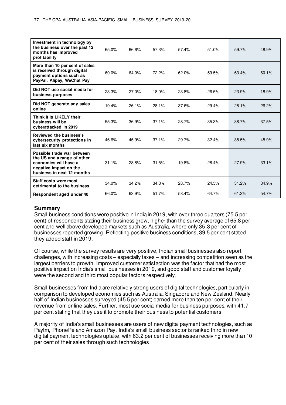| Investment in technology by<br>the business over the past 12<br>months has improved<br>profitability                                       | 65.0% | 66.6% | 57.3% | 57.4% | 51.0% | 59.7% | 48.9% |
|--------------------------------------------------------------------------------------------------------------------------------------------|-------|-------|-------|-------|-------|-------|-------|
| More than 10 per cent of sales<br>is received through digital<br>payment options such as<br>PayPal, Alipay, WeChat Pay                     | 60.0% | 64.0% | 72.2% | 62.0% | 59.5% | 63.4% | 60.1% |
| Did NOT use social media for<br>business purposes                                                                                          | 23.3% | 27.0% | 18.0% | 23.8% | 26.5% | 23.9% | 18.9% |
| Did NOT generate any sales<br>online                                                                                                       | 19.4% | 26.1% | 28.1% | 37.6% | 29.4% | 28.1% | 26.2% |
| Think it is LIKELY their<br>business will be<br>cyberattacked in 2019                                                                      | 55.3% | 36.9% | 37.1% | 28.7% | 35.3% | 38.7% | 37.5% |
| Reviewed the business's<br>cybersecurity protections in<br>last six months                                                                 | 46.6% | 45.9% | 37.1% | 29.7% | 32.4% | 38.5% | 45.9% |
| Possible trade war between<br>the US and a range of other<br>economies will have a<br>negative impact on the<br>business in next 12 months | 31.1% | 28.8% | 31.5% | 19.8% | 28.4% | 27.9% | 33.1% |
| Staff costs were most<br>detrimental to the business                                                                                       | 34.0% | 34.2% | 34.8% | 28.7% | 24.5% | 31.2% | 34.9% |
| Respondent aged under 40                                                                                                                   | 66.0% | 63.9% | 51.7% | 58.4% | 64.7% | 61.3% | 54.7% |

#### **Summary**

Small business conditions were positive in India in 2019, with over three quarters (75.5 per cent) of respondents stating their business grew, higher than the survey average of 65.8 per cent and well above developed markets such as Australia, where only 35.3 per cent of businesses reported growing. Reflecting positive business conditions, 39.5 per cent stated they added staff in 2019.

Of course, while the survey results are very positive, Indian small businesses also report challenges, with increasing costs – especially taxes – and increasing competition seen as the largest barriers to growth. Improved customer satisfaction was the factor that had the most positive impact on India's small businesses in 2019, and good staff and customer loyalty were the second and third most popular factors respectively.

Small businesses from India are relatively strong users of digital technologies, particularly in comparison to developed economies such as Australia, Singapore and New Zealand. Nearly half of Indian businesses surveyed (45.5 per cent) earned more than ten per cent of their revenue from online sales. Further, most use social media for business purposes, with 41.7 per cent stating that they use it to promote their business to potential customers.

A majority of India's small businesses are users of new digital payment technologies, such as Paytm, PhonePe and Amazon Pay. India's small business sector is ranked third in new digital payment technologies uptake, with 63.2 per cent of businesses receiving more than 10 per cent of their sales through such technologies.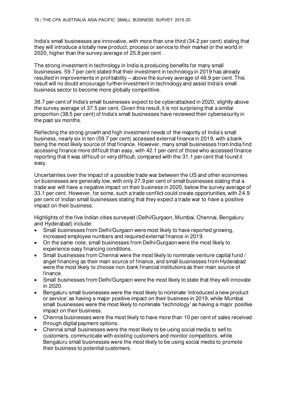India's small businesses are innovative, with more than one third (34.2 per cent) stating that they will introduce a totally new product, process or service to their market or the world in 2020, higher than the survey average of 25.8 per cent.

The strong investment in technology in India is producing benefits for many small businesses. 59.7 per cent stated that their investment in technology in 2019 has already resulted in improvements in profitability – above the survey average of 48.9 per cent. This result will no doubt encourage further investment in technology and assist India's small business sector to become more globally competitive.

38.7 per cent of India's small businesses expect to be cyberattacked in 2020, slightly above the survey average of 37.5 per cent. Given this result, it is not surprising that a similar proportion (38.5 per cent) of India's small businesses have reviewed their cybersecurity in the past six months.

Reflecting the strong growth and high investment needs of the majority of India's small business, nearly six in ten (59.7 per cent) accessed external finance in 2019, with a bank being the most likely source of that finance. However, many small businesses from India find accessing finance more difficult than easy, with 42.1 per cent of those who accessed finance reporting that it was difficult or very difficult, compared with the 31.1 per cent that found it easy.

Uncertainties over the impact of a possible trade war between the US and other economies on businesses are generally low, with only 27.9 per cent of small businesses stating that a trade war will have a negative impact on their business in 2020, below the survey average of 33.1 per cent. However, for some, such a trade conflict could create opportunities, with 24.9 per cent of Indian small businesses stating that they expect a trade war to have a positive impact on their business.

Highlights of the five Indian cities surveyed (Delhi/Gurgaon, Mumbai, Chennai, Bengaluru and Hyderabad) include:

- Small businesses from Delhi/Gurgaon were most likely to have reported growing, increased employee numbers and required external finance in 2019.
- On the same note, small businesses from Delhi/Gurgaon were the most likely to experience easy financing conditions.
- Small businesses from Chennai were the most likely to nominate venture capital fund / angel financing as their main source of finance, and small businesses from Hyderabad were the most likely to choose non-bank financial institutions as their main source of finance.
- Small businesses from Delhi/Gurgaon were the most likely to state that they will innovate in 2020.
- Bengaluru small businesses were the most likely to nominate 'introduced a new product or service' as having a major positive impact on their business in 2019, while Mumbai small businesses were the most likely to nominate 'technology' as having a major positive impact on their business.
- Chennai businesses were the most likely to have more than 10 per cent of sales received through digital payment options.
- Chennai small businesses were the most likely to be using social media to sell to customers, communicate with existing customers and monitor competitors, while Bengaluru small businesses were the most likely to be using social media to promote their business to potential customers.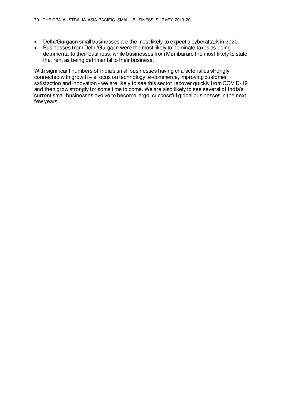- Delhi/Gurgaon small businesses are the most likely to expect a cyberattack in 2020.
- Businesses from Delhi/Gurgaon were the most likely to nominate taxes as being detrimental to their business, while businesses from Mumbai are the most likely to state that rent as being detrimental to their business.

With significant numbers of India's small businesses having characteristics strongly connected with growth – a focus on technology, e-commerce, improving customer satisfaction and innovation - we are likely to see this sector recover quickly from COVID-19 and then grow strongly for some time to come. We are also likely to see several of India's current small businesses evolve to become large, successful global businesses in the next few years.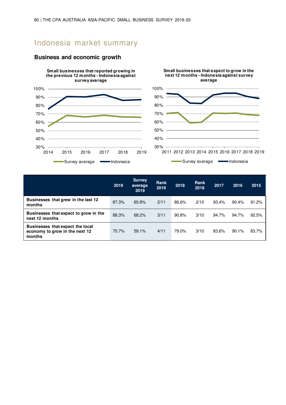# Indonesia market summary



### **Business and economic growth**

|                                                                              | 2019  | <b>Survey</b><br>average<br>2019 | Rank<br>2019 | 2018  | Rank<br>2018 | 2017  | 2016  | 2015  |
|------------------------------------------------------------------------------|-------|----------------------------------|--------------|-------|--------------|-------|-------|-------|
| Businesses that grew in the last 12<br>months                                | 87.3% | 65.8%                            | 2/11         | 86.6% | 2/10         | 93.4% | 90.4% | 91.2% |
| Businesses that expect to grow in the<br>next 12 months                      | 88.3% | 68.2%                            | 3/11         | 90.8% | 3/10         | 94.7% | 94.7% | 92.5% |
| Businesses that expect the local<br>economy to grow in the next 12<br>months | 75.7% | 59.1%                            | 4/11         | 79.0% | 3/10         | 83.6% | 90.1% | 83.7% |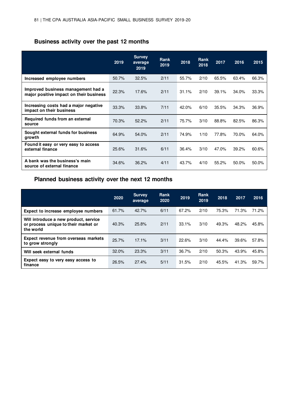## **Business activity over the past 12 months**

|                                                                               | 2019  | <b>Survey</b><br>average<br>2019 | Rank<br>2019 | 2018  | <b>Rank</b><br>2018 | 2017  | 2016  | 2015  |
|-------------------------------------------------------------------------------|-------|----------------------------------|--------------|-------|---------------------|-------|-------|-------|
| Increased employee numbers                                                    | 50.7% | 32.5%                            | 2/11         | 55.7% | 2/10                | 65.5% | 63.4% | 66.3% |
| Improved business management had a<br>major positive impact on their business | 22.3% | 17.6%                            | 2/11         | 31.1% | 2/10                | 39.1% | 34.0% | 33.3% |
| Increasing costs had a major negative<br>impact on their business             | 33.3% | 33.8%                            | 7/11         | 42.0% | 6/10                | 35.5% | 34.3% | 36.9% |
| Required funds from an external<br>source                                     | 70.3% | 52.2%                            | 2/11         | 75.7% | 3/10                | 88.8% | 82.5% | 86.3% |
| Sought external funds for business<br>growth                                  | 64.9% | 54.0%                            | 2/11         | 74.9% | 1/10                | 77.8% | 70.0% | 64.0% |
| Found it easy or very easy to access<br>external finance                      | 25.6% | 31.6%                            | 6/11         | 36.4% | 3/10                | 47.0% | 39.2% | 60.6% |
| A bank was the business's main<br>source of external finance                  | 34.6% | 36.2%                            | 4/11         | 43.7% | 4/10                | 55.2% | 50.0% | 50.0% |

### **Planned business activity over the next 12 months**

|                                                                                            | 2020  | <b>Survey</b><br>average | Rank<br>2020 | 2019  | <b>Rank</b><br>2019 | 2018  | 2017  | 2016  |
|--------------------------------------------------------------------------------------------|-------|--------------------------|--------------|-------|---------------------|-------|-------|-------|
| Expect to increase employee numbers                                                        | 61.7% | 42.7%                    | 6/11         | 67.2% | 2/10                | 75.3% | 71.3% | 71.2% |
| Will introduce a new product, service<br>or process unique to their market or<br>the world | 40.3% | 25.8%                    | 2/11         | 33.1% | 3/10                | 49.3% | 48.2% | 45.8% |
| Expect revenue from overseas markets<br>to grow strongly                                   | 25.7% | 17.1%                    | 3/11         | 22.6% | 3/10                | 44.4% | 39.6% | 57.8% |
| Will seek external funds                                                                   | 32.0% | 23.3%                    | 3/11         | 36.7% | 2/10                | 50.3% | 43.9% | 45.8% |
| Expect easy to very easy access to<br>finance                                              | 26.5% | 27.4%                    | 5/11         | 31.5% | 2/10                | 45.5% | 41.3% | 59.7% |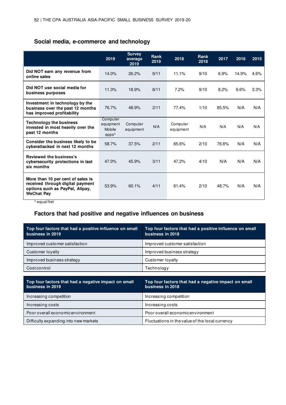## **Social media, e-commerce and technology**

|                                                                                                                                                    | 2019                                                 | <b>Survey</b><br>average<br>2019 | <b>Rank</b><br>2019 | 2018                  | Rank<br>2018 | 2017  | 2016  | 2015 |
|----------------------------------------------------------------------------------------------------------------------------------------------------|------------------------------------------------------|----------------------------------|---------------------|-----------------------|--------------|-------|-------|------|
| Did NOT earn any revenue from<br>online sales                                                                                                      | 14.0%                                                | 26.2%                            | 9/11                | 11.1%                 | 9/10         | 6.9%  | 14.9% | 4.6% |
| Did NOT use social media for<br>business purposes                                                                                                  | 11.3%                                                | 18.9%                            | 8/11                | 7.2%                  | 9/10         | 8.2%  | 9.6%  | 3.3% |
| Investment in technology by the<br>business over the past 12 months<br>has improved profitability                                                  | 76.7%                                                | 48.9%                            | 2/11                | 77.4%                 | 1/10         | 85.5% | N/A   | N/A  |
| <b>Technology the business</b><br>invested in most heavily over the<br>past 12 months                                                              | Computer<br>equipment<br>Mobile<br>apps <sup>^</sup> | Computer<br>equipment            | N/A                 | Computer<br>equipment | N/A          | N/A   | N/A   | N/A  |
| Consider the business likely to be<br>cyberattacked in next 12 months                                                                              | 58.7%                                                | 37.5%                            | 2/11                | 65.6%                 | 2/10         | 76.6% | N/A   | N/A  |
| Reviewed the business's<br>cybersecurity protections in last<br>six months                                                                         | 47.0%                                                | 45.9%                            | 3/11                | 47.2%                 | 4/10         | N/A   | N/A   | N/A  |
| More than 10 per cent of sales is<br>received through digital payment<br>options such as PayPal, Alipay,<br><b>WeChat Pay</b><br>$-1.65$<br>$\sim$ | 53.9%                                                | 60.1%                            | 4/11                | 61.4%                 | 2/10         | 48.7% | N/A   | N/A  |

^ equal first

# **Factors that had positive and negative influences on business**

| Top four factors that had a positive influence on small<br>business in 2019 | Top four factors that had a positive influence on small<br>business in 2018 |
|-----------------------------------------------------------------------------|-----------------------------------------------------------------------------|
| Improved customer satisfaction                                              | Improved customer satisfaction                                              |
| Customer loyalty                                                            | Improved business strategy                                                  |
| Improved business strategy                                                  | Customer loyalty                                                            |
| Costcontrol                                                                 | Technology                                                                  |
|                                                                             |                                                                             |
| Top four factors that had a negative impact on small<br>business in 2019    | Top four factors that had a negative impact on small<br>business in 2018    |
| Increasing competition                                                      | Increasing competition                                                      |
|                                                                             |                                                                             |

| Increasing costs                      | Increasing costs                                |
|---------------------------------------|-------------------------------------------------|
| Poor overall economic environment     | Poor overall economic environment               |
| Difficulty expanding into new markets | Fluctuations in the value of the local currency |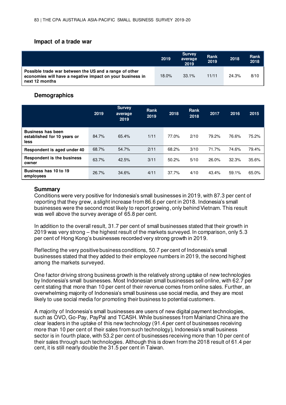#### **Impact of a trade war**

|                                                                                                                                       | 2019  | <b>Survey</b><br>average<br>2019 | Rank<br>2019 | 2018  | <b>Rank</b><br>2018 |
|---------------------------------------------------------------------------------------------------------------------------------------|-------|----------------------------------|--------------|-------|---------------------|
| Possible trade war between the US and a range of other<br>economies will have a negative impact on your business in<br>next 12 months | 18.0% | 33.1%                            | 11/11        | 24.3% | 8/10                |

#### **Demographics**

|                                                                 | 2019  | <b>Survey</b><br>average<br>2019 | Rank<br>2019 | 2018  | Rank<br>2018 | 2017  | 2016  | 2015  |
|-----------------------------------------------------------------|-------|----------------------------------|--------------|-------|--------------|-------|-------|-------|
| <b>Business has been</b><br>established for 10 years or<br>less | 84.7% | 65.4%                            | 1/11         | 77.0% | 2/10         | 79.2% | 76.6% | 75.2% |
| Respondent is aged under 40                                     | 68.7% | 54.7%                            | 2/11         | 68.2% | 3/10         | 71.7% | 74.6% | 79.4% |
| <b>Respondent is the business</b><br>owner                      | 63.7% | 42.5%                            | 3/11         | 50.2% | 5/10         | 26.0% | 32.3% | 35.6% |
| Business has 10 to 19<br>employees                              | 26.7% | 34.6%                            | 4/11         | 37.7% | 4/10         | 43.4% | 59.1% | 65.0% |

#### **Summary**

Conditions were very positive for Indonesia's small businesses in 2019, with 87.3 per cent of reporting that they grew, a slight increase from 86.6 per cent in 2018. Indonesia's small businesses were the second most likely to report growing, only behind Vietnam. This result was well above the survey average of 65.8 per cent.

In addition to the overall result, 31.7 per cent of small businesses stated that their growth in 2019 was very strong – the highest result of the markets surveyed. In comparison, only 5.3 per cent of Hong Kong's businesses recorded very strong growth in 2019.

Reflecting the very positive business conditions, 50.7 per cent of Indonesia's small businesses stated that they added to their employee numbers in 2019, the second highest among the markets surveyed.

One factor driving strong business growth is the relatively strong uptake of new technologies by Indonesia's small businesses. Most Indonesian small businesses sell online, with 62.7 per cent stating that more than 10 per cent of their revenue comes from online sales. Further, an overwhelming majority of Indonesia's small business use social media, and they are most likely to use social media for promoting their business to potential customers.

A majority of Indonesia's small businesses are users of new digital payment technologies, such as OVO, Go-Pay, PayPal and TCASH. While businesses from Mainland China are the clear leaders in the uptake of this new technology (91.4 per cent of businesses receiving more than 10 per cent of their sales from such technology), Indonesia's small business sector is in fourth place, with 53.2 per cent of businesses receiving more than 10 per cent of their sales through such technologies. Although this is down from the 2018 result of 61.4 per cent, it is still nearly double the 31.5 per cent in Taiwan.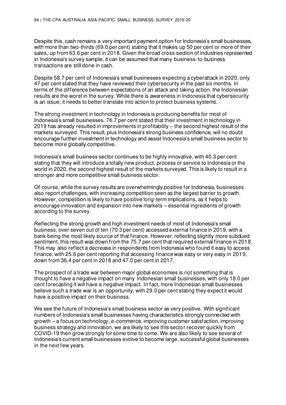Despite this, cash remains a very important payment option for Indonesia's small businesses, with more than two-thirds (69.0 per cent) stating that it makes up 50 per cent or more of their sales, up from 63.6 per cent in 2018. Given the broad cross-section of industries represented in Indonesia's survey sample, it can be assumed that many business-to-business transactions are still done in cash.

Despite 58.7 per cent of Indonesia's small businesses expecting a cyberattack in 2020, only 47 per cent stated that they have reviewed their cybersecurity in the past six months. In terms of the difference between expectations of an attack and taking action, the Indonesian results are the worst in the survey. While there is awareness in Indonesia that cybersecurity is an issue, it needs to better translate into action to protect business systems.

The strong investment in technology in Indonesia is producing benefits for most of Indonesia's small businesses. 76.7 per cent stated that their investment in technology in 2019 has already resulted in improvements in profitability – the second highest result of the markets surveyed. This result, plus Indonesia's strong business confidence, will no doubt encourage further investment in technology and assist Indonesia's small business sector to become more globally competitive.

Indonesia's small business sector continues to be highly innovative, with 40.3 per cent stating that they will introduce a totally new product, process or service to Indonesia or the world in 2020, the second highest result of the markets surveyed. This is likely to result in a stronger and more competitive small business sector.

Of course, while the survey results are overwhelmingly positive for Indonesia, businesses also report challenges, with increasing competition seen as the largest barrier to growth. However, competition is likely to have positive long-term implications, as it helps to encourage innovation and expansion into new markets – essential ingredients of growth according to the survey.

Reflecting the strong growth and high investment needs of most of Indonesia's small business, over seven out of ten (70.3 per cent) accessed external finance in 2019, with a bank being the most likely source of that finance. However, reflecting slightly more subdued sentiment, this result was down from the 75.7 per cent that required external finance in 2018. This may also reflect a decrease in respondents from Indonesia who found it easy to access finance, with 25.6 per cent reporting that accessing finance was easy or very easy in 2019, down from 36.4 per cent in 2018 and 47.0 per cent in 2017.

The prospect of a trade war between major global economies is not something that is thought to have a negative impact on many Indonesian small businesses, with only 18.0 per cent forecasting it will have a negative impact. In fact, more Indonesian small businesses believe such a trade war is an opportunity, with 29.0 per cent stating they expect it would have a positive impact on their business.

We see the future of Indonesia's small business sector as very positive. With significant numbers of Indonesia's small businesses having characteristics strongly connected with growth – a focus on technology, e-commerce, improving customer satisfaction, improving business strategy and innovation, we are likely to see this sector recover quickly from COVID-19 then grow strongly for some time to come. We are also likely to see several of Indonesia's current small businesses evolve to become large, successful global businesses in the next few years.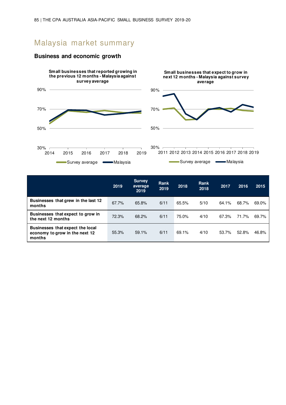# Malaysia market summary



#### **Business and economic growth**

|                                                                              | 2019  | <b>Survey</b><br>average<br>2019 | Rank<br>2019 | 2018  | Rank<br>2018 | 2017  | 2016  | 2015  |
|------------------------------------------------------------------------------|-------|----------------------------------|--------------|-------|--------------|-------|-------|-------|
| Businesses that grew in the last 12<br>months                                | 67.7% | 65.8%                            | 6/11         | 65.5% | 5/10         | 64.1% | 68.7% | 69.0% |
| Businesses that expect to grow in<br>the next 12 months                      | 72.3% | 68.2%                            | 6/11         | 75.0% | 4/10         | 67.3% | 71.7% | 69.7% |
| Businesses that expect the local<br>economy to grow in the next 12<br>months | 55.3% | 59.1%                            | 6/11         | 69.1% | 4/10         | 53.7% | 52.8% | 46.8% |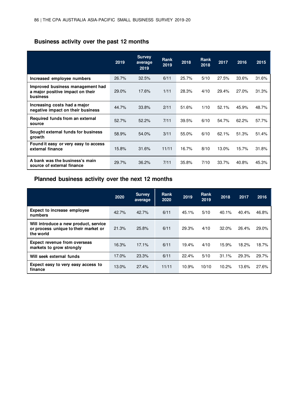# **Business activity over the past 12 months**

|                                                                                         | 2019  | <b>Survey</b><br>average<br>2019 | Rank<br>2019 | 2018  | <b>Rank</b><br>2018 | 2017  | 2016  | 2015  |
|-----------------------------------------------------------------------------------------|-------|----------------------------------|--------------|-------|---------------------|-------|-------|-------|
| Increased employee numbers                                                              | 26.7% | 32.5%                            | 6/11         | 25.7% | 5/10                | 27.5% | 33.6% | 31.6% |
| Improved business management had<br>a major positive impact on their<br><b>business</b> | 29.0% | 17.6%                            | 1/11         | 28.3% | 4/10                | 29.4% | 27.0% | 31.3% |
| Increasing costs had a major<br>negative impact on their business                       | 44.7% | 33.8%                            | 2/11         | 51.6% | 1/10                | 52.1% | 45.9% | 48.7% |
| Required funds from an external<br>source                                               | 52.7% | 52.2%                            | 7/11         | 39.5% | 6/10                | 54.7% | 62.2% | 57.7% |
| Sought external funds for business<br>growth                                            | 58.9% | 54.0%                            | 3/11         | 55.0% | 6/10                | 62.1% | 51.3% | 51.4% |
| Found it easy or very easy to access<br>external finance                                | 15.8% | 31.6%                            | 11/11        | 16.7% | 8/10                | 13.0% | 15.7% | 31.8% |
| A bank was the business's main<br>source of external finance                            | 29.7% | 36.2%                            | 7/11         | 35.8% | 7/10                | 33.7% | 40.8% | 45.3% |

## **Planned business activity over the next 12 months**

|                                                                                            | 2020  | <b>Survey</b><br>average | <b>Rank</b><br>2020 | 2019  | Rank<br>2019 | 2018  | 2017  | 2016  |
|--------------------------------------------------------------------------------------------|-------|--------------------------|---------------------|-------|--------------|-------|-------|-------|
| <b>Expect to increase employee</b><br>numbers                                              | 42.7% | 42.7%                    | 6/11                | 45.1% | 5/10         | 40.1% | 40.4% | 46.8% |
| Will introduce a new product, service<br>or process unique to their market or<br>the world | 21.3% | 25.8%                    | 6/11                | 29.3% | 4/10         | 32.0% | 26.4% | 29.0% |
| <b>Expect revenue from overseas</b><br>markets to grow strongly                            | 16.3% | 17.1%                    | 6/11                | 19.4% | 4/10         | 15.9% | 18.2% | 18.7% |
| Will seek external funds                                                                   | 17.0% | 23.3%                    | 6/11                | 22.4% | 5/10         | 31.1% | 29.3% | 29.7% |
| Expect easy to very easy access to<br>finance                                              | 13.0% | 27.4%                    | 11/11               | 10.9% | 10/10        | 10.2% | 13.6% | 27.6% |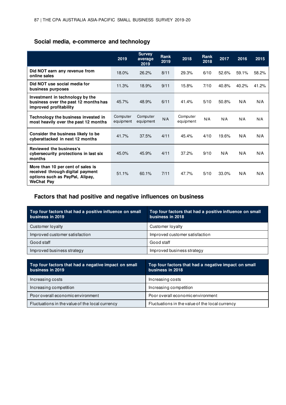## **Social media, e-commerce and technology**

|                                                                                                                               | 2019                  | <b>Survey</b><br>average<br>2019 | <b>Rank</b><br>2019 | 2018                  | <b>Rank</b><br>2018 | 2017  | 2016  | 2015  |
|-------------------------------------------------------------------------------------------------------------------------------|-----------------------|----------------------------------|---------------------|-----------------------|---------------------|-------|-------|-------|
| Did NOT earn any revenue from<br>online sales                                                                                 | 18.0%                 | 26.2%                            | 8/11                | 29.3%                 | 6/10                | 52.6% | 59.1% | 58.2% |
| Did NOT use social media for<br>business purposes                                                                             | 11.3%                 | 18.9%                            | 9/11                | 15.8%                 | 7/10                | 40.8% | 40.2% | 41.2% |
| Investment in technology by the<br>business over the past 12 months has<br>improved profitability                             | 45.7%                 | 48.9%                            | 6/11                | 41.4%                 | 5/10                | 50.8% | N/A   | N/A   |
| Technology the business invested in<br>most heavily over the past 12 months                                                   | Computer<br>equipment | Computer<br>equipment            | N/A                 | Computer<br>equipment | N/A                 | N/A   | N/A   | N/A   |
| Consider the business likely to be<br>cyberattacked in next 12 months                                                         | 41.7%                 | 37.5%                            | 4/11                | 45.4%                 | 4/10                | 19.6% | N/A   | N/A   |
| Reviewed the business's<br>cybersecurity protections in last six<br>months                                                    | 45.0%                 | 45.9%                            | 4/11                | 37.2%                 | 9/10                | N/A   | N/A   | N/A   |
| More than 10 per cent of sales is<br>received through digital payment<br>options such as PayPal, Alipay,<br><b>WeChat Pay</b> | 51.1%                 | 60.1%                            | 7/11                | 47.7%                 | 5/10                | 33.0% | N/A   | N/A   |

## **Factors that had positive and negative influences on business**

| Top four factors that had a positive influence on small<br>business in 2019 | Top four factors that had a positive influence on small<br>business in 2018 |
|-----------------------------------------------------------------------------|-----------------------------------------------------------------------------|
| Customer loyalty                                                            | Customer lovalty                                                            |
| Improved customer satisfaction                                              | Improved customer satisfaction                                              |
| Good staff                                                                  | Good staff                                                                  |
| Improved business strategy                                                  | Improved business strategy                                                  |

| Top four factors that had a negative impact on small<br>business in 2019 | Top four factors that had a negative impact on small<br>business in 2018 |
|--------------------------------------------------------------------------|--------------------------------------------------------------------------|
| Increasing costs                                                         | Increasing costs                                                         |
| Increasing competition                                                   | Increasing competition                                                   |
| Poor overall economic environment                                        | Poor overall economic environment                                        |
| Fluctuations in the value of the local currency                          | Fluctuations in the value of the local currency                          |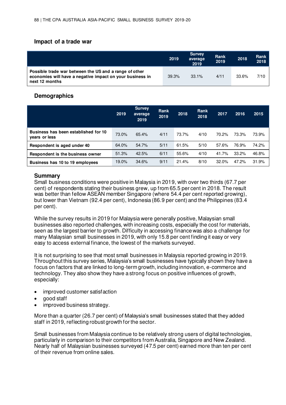### **Impact of a trade war**

|                                                                                                                                       | 2019  | <b>Survey</b><br>average<br>2019 | Rank<br>2019 | 2018  | Rank<br>2018 |
|---------------------------------------------------------------------------------------------------------------------------------------|-------|----------------------------------|--------------|-------|--------------|
| Possible trade war between the US and a range of other<br>economies will have a negative impact on your business in<br>next 12 months | 39.3% | $33.1\%$                         | 4/11         | 33.6% | 7/10         |

#### **Demographics**

|                                                       | 2019  | <b>Survey</b><br>average<br>2019 | <b>Rank</b><br>2019 | 2018  | <b>Rank</b><br>2018 | 2017  | 2016  | 2015  |
|-------------------------------------------------------|-------|----------------------------------|---------------------|-------|---------------------|-------|-------|-------|
| Business has been established for 10<br>vears or less | 73.0% | 65.4%                            | 4/11                | 73.7% | 4/10                | 70.2% | 73.3% | 73.9% |
| Respondent is aged under 40                           | 64.0% | 54.7%                            | 5/11                | 61.5% | 5/10                | 57.6% | 76.9% | 74.2% |
| Respondent is the business owner                      | 51.3% | 42.5%                            | 6/11                | 55.6% | 4/10                | 41.7% | 33.2% | 46.8% |
| Business has 10 to 19 employees                       | 19.0% | 34.6%                            | 9/11                | 21.4% | 8/10                | 32.0% | 47.2% | 31.9% |

#### **Summary**

Small business conditions were positive in Malaysia in 2019, with over two thirds (67.7 per cent) of respondents stating their business grew, up from 65.5 per cent in 2018. The result was better than fellow ASEAN member Singapore (where 54.4 per cent reported growing), but lower than Vietnam (92.4 per cent), Indonesia (86.9 per cent) and the Philippines (83.4 per cent).

While the survey results in 2019 for Malaysia were generally positive, Malaysian small businesses also reported challenges, with increasing costs, especially the cost for materials, seen as the largest barrier to growth. Difficulty in accessing finance was also a challenge for many Malaysian small businesses in 2019, with only 15.8 per cent finding it easy or very easy to access external finance, the lowest of the markets surveyed.

It is not surprising to see that most small businesses in Malaysia reported growing in 2019. Throughout this survey series, Malaysia's small businesses have typically shown they have a focus on factors that are linked to long-term growth, including innovation, e-commerce and technology. They also show they have a strong focus on positive influences of growth, especially:

- improved customer satisfaction
- good staff
- improved business strategy.

More than a quarter (26.7 per cent) of Malaysia's small businesses stated that they added staff in 2019, reflecting robust growth for the sector.

Small businesses from Malaysia continue to be relatively strong users of digital technologies, particularly in comparison to their competitors from Australia, Singapore and New Zealand. Nearly half of Malaysian businesses surveyed (47.5 per cent) earned more than ten per cent of their revenue from online sales.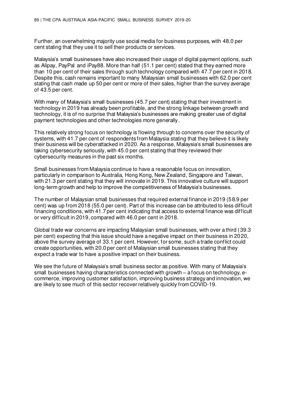Further, an overwhelming majority use social media for business purposes, with 48.0 per cent stating that they use it to sell their products or services.

Malaysia's small businesses have also increased their usage of digital payment options, such as Alipay, PayPal and iPay88. More than half (51.1 per cent) stated that they earned more than 10 per cent of their sales through such technology compared with 47.7 per cent in 2018. Despite this, cash remains important to many Malaysian small businesses with 62.0 per cent stating that cash made up 50 per cent or more of their sales, higher than the survey average of 43.5 per cent.

With many of Malaysia's small businesses (45.7 per cent) stating that their investment in technology in 2019 has already been profitable, and the strong linkage between growth and technology, it is of no surprise that Malaysia's businesses are making greater use of digital payment technologies and other technologies more generally.

This relatively strong focus on technology is flowing through to concerns over the security of systems, with 41.7 per cent of respondents from Malaysia stating that they believe it is likely their business will be cyberattacked in 2020. As a response, Malaysia's small businesses are taking cybersecurity seriously, with 45.0 per cent stating that they reviewed their cybersecurity measures in the past six months.

Small businesses from Malaysia continue to have a reasonable focus on innovation, particularly in comparison to Australia, Hong Kong, New Zealand, Singapore and Taiwan, with 21.3 per cent stating that they will innovate in 2019. This innovative culture will support long-term growth and help to improve the competitiveness of Malaysia's businesses.

The number of Malaysian small businesses that required external finance in 2019 (58.9 per cent) was up from 2018 (55.0 per cent). Part of this increase can be attributed to less difficult financing conditions, with 41.7 per cent indicating that access to external finance was difficult or very difficult in 2019, compared with 46.0 per cent in 2018.

Global trade war concerns are impacting Malaysian small businesses, with over a third (39.3 per cent) expecting that this issue should have a negative impact on their business in 2020, above the survey average of 33.1 per cent. However, for some, such a trade conflict could create opportunities, with 20.0 per cent of Malaysian small businesses stating that they expect a trade war to have a positive impact on their business.

We see the future of Malaysia's small business sector as positive. With many of Malaysia's small businesses having characteristics connected with growth – a focus on technology, ecommerce, improving customer satisfaction, improving business strategy and innovation, we are likely to see much of this sector recover relatively quickly from COVID-19.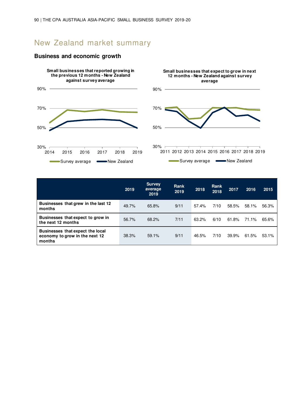# New Zealand market summary



#### **Business and economic growth**

|                                                                              | 2019  | <b>Survey</b><br>average<br>2019 | Rank<br>2019 | 2018  | <b>Rank</b><br>2018 | 2017  | 2016  | 2015  |
|------------------------------------------------------------------------------|-------|----------------------------------|--------------|-------|---------------------|-------|-------|-------|
| Businesses that grew in the last 12<br>months                                | 49.7% | 65.8%                            | 9/11         | 57.4% | 7/10                | 58.5% | 58.1% | 56.3% |
| Businesses that expect to grow in<br>the next 12 months                      | 56.7% | 68.2%                            | 7/11         | 63.2% | 6/10                | 61.8% | 71.1% | 65.6% |
| Businesses that expect the local<br>economy to grow in the next 12<br>months | 38.3% | 59.1%                            | 9/11         | 46.5% | 7/10                | 39.9% | 61.5% | 53.1% |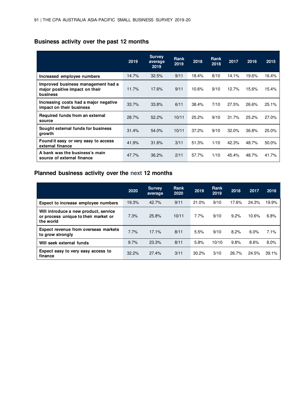# **Business activity over the past 12 months**

|                                                                                         | 2019  | <b>Survey</b><br>average<br>2019 | <b>Rank</b><br>2019 | 2018  | <b>Rank</b><br>2018 | 2017  | 2016  | 2015  |
|-----------------------------------------------------------------------------------------|-------|----------------------------------|---------------------|-------|---------------------|-------|-------|-------|
| Increased employee numbers                                                              | 14.7% | 32.5%                            | 9/11                | 18.4% | 8/10                | 14.1% | 19.6% | 16.4% |
| Improved business management had a<br>major positive impact on their<br><b>business</b> | 11.7% | 17.6%                            | 9/11                | 10.6% | 9/10                | 12.7% | 15.6% | 15.4% |
| Increasing costs had a major negative<br>impact on their business                       | 33.7% | 33.8%                            | 6/11                | 38.4% | 7/10                | 27.5% | 26.6% | 25.1% |
| Required funds from an external<br>source                                               | 28.7% | 52.2%                            | 10/11               | 25.2% | 9/10                | 31.7% | 25.2% | 27.0% |
| Sought external funds for business<br>growth                                            | 31.4% | 54.0%                            | 10/11               | 37.2% | 9/10                | 32.0% | 36.8% | 25.0% |
| Found it easy or very easy to access<br>external finance                                | 41.9% | 31.6%                            | 3/11                | 51.3% | 1/10                | 42.3% | 48.7% | 50.0% |
| A bank was the business's main<br>source of external finance                            | 47.7% | 36.2%                            | 2/11                | 57.7% | 1/10                | 45.4% | 48.7% | 41.7% |

## **Planned business activity over the next 12 months**

|                                                                                            | 2020  | <b>Survey</b><br>average | <b>Rank</b><br>2020 | 2019  | <b>Rank</b><br>2019 | 2018  | 2017  | 2016  |
|--------------------------------------------------------------------------------------------|-------|--------------------------|---------------------|-------|---------------------|-------|-------|-------|
| Expect to increase employee numbers                                                        | 19.3% | 42.7%                    | 9/11                | 21.0% | 9/10                | 17.6% | 24.3% | 19.9% |
| Will introduce a new product, service<br>or process unique to their market or<br>the world | 7.3%  | 25.8%                    | 10/11               | 7.7%  | 9/10                | 9.2%  | 10.6% | 6.8%  |
| <b>Expect revenue from overseas markets</b><br>to grow strongly                            | 7.7%  | 17.1%                    | 8/11                | 5.5%  | 9/10                | 8.2%  | 6.0%  | 7.1%  |
| Will seek external funds                                                                   | 9.7%  | 23.3%                    | 8/11                | 5.8%  | 10/10               | 9.8%  | 8.6%  | 8.0%  |
| Expect easy to very easy access to<br>finance                                              | 32.2% | 27.4%                    | 3/11                | 30.2% | 3/10                | 26.7% | 24.5% | 39.1% |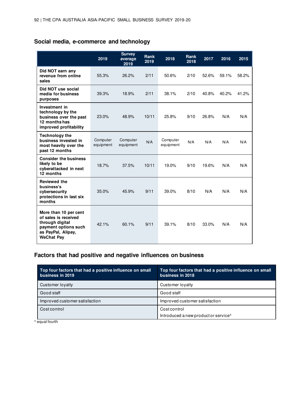## **Social media, e-commerce and technology**

|                                                                                                                                     | 2019                  | <b>Survey</b><br>average<br>2019 | Rank<br>2019 | 2018                  | Rank<br>2018 | 2017  | 2016  | 2015  |
|-------------------------------------------------------------------------------------------------------------------------------------|-----------------------|----------------------------------|--------------|-----------------------|--------------|-------|-------|-------|
| Did NOT earn any<br>revenue from online<br>sales                                                                                    | 55.3%                 | 26.2%                            | 2/11         | 50.6%                 | 2/10         | 52.6% | 59.1% | 58.2% |
| Did NOT use social<br>media for business<br>purposes                                                                                | 39.3%                 | 18.9%                            | 2/11         | 38.1%                 | 2/10         | 40.8% | 40.2% | 41.2% |
| Investment in<br>technology by the<br>business over the past<br>12 months has<br>improved profitability                             | 23.0%                 | 48.9%                            | 10/11        | 25.8%                 | 9/10         | 26.8% | N/A   | N/A   |
| <b>Technology the</b><br>business invested in<br>most heavily over the<br>past 12 months                                            | Computer<br>equipment | Computer<br>equipment            | N/A          | Computer<br>equipment | N/A          | N/A   | N/A   | N/A   |
| <b>Consider the business</b><br>likely to be<br>cyberattacked in next<br>12 months                                                  | 18.7%                 | 37.5%                            | 10/11        | 19.0%                 | 9/10         | 19.6% | N/A   | N/A   |
| <b>Reviewed the</b><br>business's<br>cybersecurity<br>protections in last six<br>months                                             | 35.0%                 | 45.9%                            | 9/11         | 39.0%                 | 8/10         | N/A   | N/A   | N/A   |
| More than 10 per cent<br>of sales is received<br>through digital<br>payment options such<br>as PayPal, Alipay,<br><b>WeChat Pay</b> | 42.1%                 | 60.1%                            | 9/11         | 39.1%                 | 8/10         | 33.0% | N/A   | N/A   |

# **Factors that had positive and negative influences on business**

| Top four factors that had a positive influence on small<br>business in 2019 | Top four factors that had a positive influence on small<br>business in 2018 |
|-----------------------------------------------------------------------------|-----------------------------------------------------------------------------|
| Customer loyalty                                                            | Customer loyalty                                                            |
| Good staff                                                                  | Good staff                                                                  |
| Improved customer satisfaction                                              | Improved customer satisfaction                                              |
| Costcontrol                                                                 | Cost control<br>Introduced a new product or service^                        |

^ equal fourth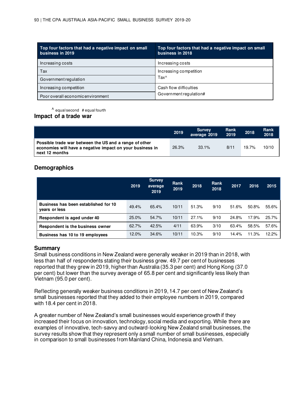| Top four factors that had a negative impact on small<br>business in 2019 | Top four factors that had a negative impact on small<br>business in 2018 |
|--------------------------------------------------------------------------|--------------------------------------------------------------------------|
| Increasing costs                                                         | Increasing costs                                                         |
| Tax                                                                      | Increasing competition                                                   |
| Government regulation                                                    | Tax <sup>^</sup>                                                         |
| Increasing competition                                                   | Cash flow difficulties                                                   |
| Poor overall economic environment                                        | Government requiation#                                                   |

 $^{\wedge}$  equal second # equal fourth

#### **Impact of a trade war**

|                                                                                                                                       | 2019  | <b>Survey</b><br>average 2019 | Rank<br>2019 | 2018  | <b>Rank</b><br>2018 |
|---------------------------------------------------------------------------------------------------------------------------------------|-------|-------------------------------|--------------|-------|---------------------|
| Possible trade war between the US and a range of other<br>economies will have a negative impact on your business in<br>next 12 months | 26.3% | 33.1%                         | 8/11         | 19.7% | 10/10               |

### **Demographics**

|                                                       | 2019  | <b>Survey</b><br>average<br>2019 | Rank<br>2019 | 2018  | <b>Rank</b><br>2018 | 2017  | 2016  | 2015  |
|-------------------------------------------------------|-------|----------------------------------|--------------|-------|---------------------|-------|-------|-------|
| Business has been established for 10<br>vears or less | 49.4% | 65.4%                            | 10/11        | 51.3% | 9/10                | 51.6% | 50.8% | 55.6% |
| Respondent is aged under 40                           | 25.0% | 54.7%                            | 10/11        | 27.1% | 9/10                | 24.8% | 17.9% | 25.7% |
| Respondent is the business owner                      | 62.7% | 42.5%                            | 4/11         | 63.9% | 3/10                | 63.4% | 58.5% | 57.6% |
| Business has 10 to 19 employees                       | 12.0% | 34.6%                            | 10/11        | 10.3% | 9/10                | 14.4% | 11.3% | 12.2% |

#### **Summary**

Small business conditions in New Zealand were generally weaker in 2019 than in 2018, with less than half of respondents stating their business grew. 49.7 per cent of businesses reported that they grew in 2019, higher than Australia (35.3 per cent) and Hong Kong (37.0 per cent) but lower than the survey average of 65.8 per cent and significantly less likely than Vietnam (95.0 per cent).

Reflecting generally weaker business conditions in 2019, 14.7 per cent of New Zealand's small businesses reported that they added to their employee numbers in 2019, compared with 18.4 per cent in 2018.

A greater number of New Zealand's small businesses would experience growth if they increased their focus on innovation, technology, social media and exporting. While there are examples of innovative, tech-savvy and outward-looking New Zealand small businesses, the survey results show that they represent only a small number of small businesses, especially in comparison to small businesses from Mainland China, Indonesia and Vietnam.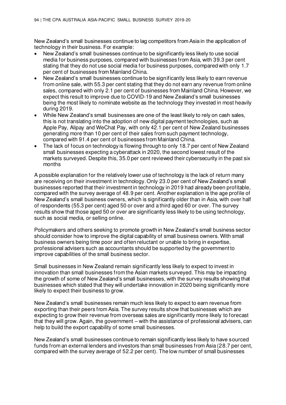New Zealand's small businesses continue to lag competitors from Asia in the application of technology in their business. For example:

- New Zealand's small businesses continue to be significantly less likely to use social media for business purposes, compared with businesses from Asia, with 39.3 per cent stating that they do not use social media for business purposes, compared with only 1.7 per cent of businesses from Mainland China.
- New Zealand's small businesses continue to be significantly less likely to earn revenue from online sale, with 55.3 per cent stating that they do not earn any revenue from online sales, compared with only 2.1 per cent of businesses from Mainland China. However, we expect this result to improve due to COVID-19 and New Zealand's small businesses being the most likely to nominate website as the technology they invested in most heavily during 2019.
- While New Zealand's small businesses are one of the least likely to rely on cash sales, this is not translating into the adoption of new digital payment technologies, such as Apple Pay, Alipay and WeChat Pay, with only 42.1 per cent of New Zealand businesses generating more than 10 per cent of their sales from such payment technology, compared with 91.4 per cent of businesses from Mainland China.
- The lack of focus on technology is flowing through to only 18.7 per cent of New Zealand small businesses expecting a cyberattack in 2020, the second lowest result of the markets surveyed. Despite this, 35.0 per cent reviewed their cybersecurity in the past six months

A possible explanation for the relatively lower use of technology is the lack of return many are receiving on their investment in technology. Only 23.0 per cent of New Zealand's small businesses reported that their investment in technology in 2019 had already been profitable, compared with the survey average of 48.9 per cent. Another explanation is the age profile of New Zealand's small business owners, which is significantly older than in Asia, with over half of respondents (55.3 per cent) aged 50 or over and a third aged 60 or over. The survey results show that those aged 50 or over are significantly less likely to be using technology, such as social media, or selling online.

Policymakers and others seeking to promote growth in New Zealand's small business sector should consider how to improve the digital capability of small business owners. With small business owners being time poor and often reluctant or unable to bring in expertise, professional advisers such as accountants should be supported by the government to improve capabilities of the small business sector.

Small businesses in New Zealand remain significantly less likely to expect to invest in innovation than small businesses from the Asian markets surveyed. This may be impacting the growth of some of New Zealand's small businesses, with the survey results showing that businesses which stated that they will undertake innovation in 2020 being significantly more likely to expect their business to grow.

New Zealand's small businesses remain much less likely to expect to earn revenue from exporting than their peers from Asia. The survey results show that businesses which are expecting to grow their revenue from overseas sales are significantly more likely to forecast that they will grow. Again, the government – with the assistance of professional advisers, can help to build the export capability of some small businesses.

New Zealand's small businesses continue to remain significantly less likely to have sourced funds from an external lenders and investors than small businesses from Asia (28.7 per cent, compared with the survey average of 52.2 per cent). The low number of small businesses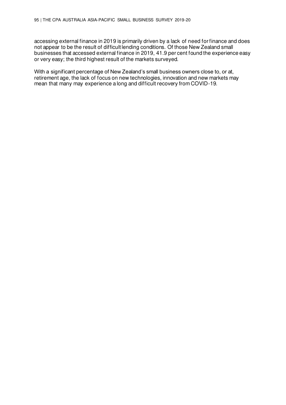accessing external finance in 2019 is primarily driven by a lack of need for finance and does not appear to be the result of difficult lending conditions. Of those New Zealand small businesses that accessed external finance in 2019, 41.9 per cent found the experience easy or very easy; the third highest result of the markets surveyed.

With a significant percentage of New Zealand's small business owners close to, or at, retirement age, the lack of focus on new technologies, innovation and new markets may mean that many may experience a long and difficult recovery from COVID-19.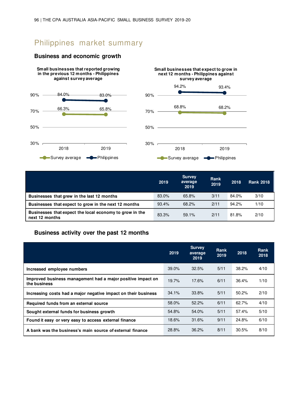# Philippines market summary

#### **Business and economic growth**



|                                                                           | 2019  | <b>Survey</b><br>average<br>2019 | Rank<br>2019 | 2018  | <b>Rank 2018</b> |
|---------------------------------------------------------------------------|-------|----------------------------------|--------------|-------|------------------|
| Businesses that grew in the last 12 months                                | 83.0% | 65.8%                            | 3/11         | 84.0% | 3/10             |
| Businesses that expect to grow in the next 12 months                      | 93.4% | 68.2%                            | 2/11         | 94.2% | 1/10             |
| Businesses that expect the local economy to grow in the<br>next 12 months | 83.3% | 59.1%                            | 2/11         | 81.8% | 2/10             |

#### **Business activity over the past 12 months**

|                                                                             | 2019  | <b>Survey</b><br>average<br>2019 | Rank<br>2019 | 2018  | <b>Rank</b><br>2018 |
|-----------------------------------------------------------------------------|-------|----------------------------------|--------------|-------|---------------------|
| Increased employee numbers                                                  | 39.0% | 32.5%                            | 5/11         | 38.2% | 4/10                |
| Improved business management had a major positive impact on<br>the business | 19.7% | 17.6%                            | 6/11         | 36.4% | 1/10                |
| Increasing costs had a major negative impact on their business              | 34.1% | 33.8%                            | 5/11         | 50.2% | 2/10                |
| Required funds from an external source                                      | 58.0% | 52.2%                            | 6/11         | 62.7% | 4/10                |
| Sought external funds for business growth                                   | 54.8% | 54.0%                            | 5/11         | 57.4% | 5/10                |
| Found it easy or very easy to access external finance                       | 18.6% | 31.6%                            | 9/11         | 24.8% | 6/10                |
| A bank was the business's main source of external finance                   | 28.8% | 36.2%                            | 8/11         | 30.5% | 8/10                |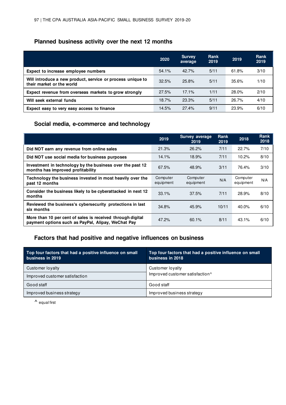### **Planned business activity over the next 12 months**

|                                                                                         | 2020  | <b>Survey</b><br>average | <b>Rank</b><br>2019 | 2019  | <b>Rank</b><br>2019 |
|-----------------------------------------------------------------------------------------|-------|--------------------------|---------------------|-------|---------------------|
| Expect to increase employee numbers                                                     | 54.1% | 42.7%                    | 5/11                | 61.8% | 3/10                |
| Will introduce a new product, service or process unique to<br>their market or the world | 32.5% | 25.8%                    | 5/11                | 35.6% | 1/10                |
| Expect revenue from overseas markets to grow strongly                                   | 27.5% | 17.1%                    | 1/11                | 28.0% | 2/10                |
| Will seek external funds                                                                | 18.7% | 23.3%                    | 5/11                | 26.7% | 4/10                |
| Expect easy to very easy access to finance                                              | 14.5% | 27.4%                    | 9/11                | 23.9% | 6/10                |

## **Social media, e-commerce and technology**

|                                                                                                                  | 2019                  | <b>Survey average</b><br>2019 | Rank<br>2019 | 2018                  | <b>Rank</b><br>2018 |
|------------------------------------------------------------------------------------------------------------------|-----------------------|-------------------------------|--------------|-----------------------|---------------------|
| Did NOT earn any revenue from online sales                                                                       | 21.3%                 | 26.2%                         | 7/11         | 22.7%                 | 7/10                |
| Did NOT use social media for business purposes                                                                   | 14.1%                 | 18.9%                         | 7/11         | 10.2%                 | 8/10                |
| Investment in technology by the business over the past 12<br>months has improved profitability                   | 67.5%                 | 48.9%                         | 3/11         | 76.4%                 | 3/10                |
| Technology the business invested in most heavily over the<br>past 12 months                                      | Computer<br>equipment | Computer<br>equipment         | N/A          | Computer<br>equipment | N/A                 |
| Consider the business likely to be cyberattacked in next 12<br>months                                            | 33.1%                 | 37.5%                         | 7/11         | 28.9%                 | 8/10                |
| Reviewed the business's cybersecurity protections in last<br>six months                                          | 34.8%                 | 45.9%                         | 10/11        | 40.0%                 | 6/10                |
| More than 10 per cent of sales is received through digital<br>payment options such as PayPal, Alipay, WeChat Pay | 47.2%                 | 60.1%                         | 8/11         | 43.1%                 | 6/10                |

### **Factors that had positive and negative influences on business**

| Top four factors that had a positive influence on small<br>business in 2019 | Top four factors that had a positive influence on small<br>business in 2018 |
|-----------------------------------------------------------------------------|-----------------------------------------------------------------------------|
| Customer loyalty                                                            | Customer loyalty                                                            |
| Improved customer satisfaction                                              | Improved customer satisfaction <sup>^</sup>                                 |
| Good staff                                                                  | Good staff                                                                  |
| Improved business strategy                                                  | Improved business strategy                                                  |

**^** equal first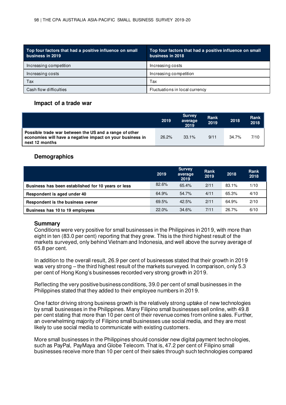| Top four factors that had a positive influence on small<br>business in 2019 | Top four factors that had a positive influence on small<br>business in 2018 |
|-----------------------------------------------------------------------------|-----------------------------------------------------------------------------|
| Increasing competition                                                      | Increasing costs                                                            |
| Increasing costs                                                            | Increasing competition                                                      |
| Tax                                                                         | Tax                                                                         |
| Cash flow difficulties                                                      | Fluctuations in local currency                                              |

#### **Impact of a trade war**

|                                                                                                                                       | 2019  | <b>Survey</b><br>average<br>2019 | Rank<br>2019 | 2018  | Rank<br>2018 |
|---------------------------------------------------------------------------------------------------------------------------------------|-------|----------------------------------|--------------|-------|--------------|
| Possible trade war between the US and a range of other<br>economies will have a negative impact on your business in<br>next 12 months | 26.2% | 33.1%                            | 9/11         | 34.7% | 7/10         |

#### **Demographics**

|                                                    | 2019  | <b>Survey</b><br>average<br>2019 | Rank<br>2019 | 2018  | Rank<br>2018 |
|----------------------------------------------------|-------|----------------------------------|--------------|-------|--------------|
| Business has been established for 10 years or less | 82.6% | 65.4%                            | 2/11         | 83.1% | 1/10         |
| Respondent is aged under 40                        | 64.9% | 54.7%                            | 4/11         | 65.3% | 4/10         |
| Respondent is the business owner                   | 69.5% | 42.5%                            | 2/11         | 64.9% | 2/10         |
| Business has 10 to 19 employees                    | 22.0% | 34.6%                            | 7/11         | 26.7% | 6/10         |

#### **Summary**

Conditions were very positive for small businesses in the Philippines in 2019, with more than eight in ten (83.0 per cent) reporting that they grew. This is the third highest result of the markets surveyed, only behind Vietnam and Indonesia, and well above the survey average of 65.8 per cent.

In addition to the overall result, 26.9 per cent of businesses stated that their growth in 2019 was very strong – the third highest result of the markets surveyed. In comparison, only 5.3 per cent of Hong Kong's businesses recorded very strong growth in 2019.

Reflecting the very positive business conditions, 39.0 per cent of small businesses in the Philippines stated that they added to their employee numbers in 2019.

One factor driving strong business growth is the relatively strong uptake of new technologies by small businesses in the Philippines. Many Filipino small businesses sell online, with 49.8 per cent stating that more than 10 per cent of their revenue comes from online sales. Further, an overwhelming majority of Filipino small businesses use social media, and they are most likely to use social media to communicate with existing customers.

More small businesses in the Philippines should consider new digital payment technologies, such as PayPal, PayMaya and Globe Telecom. That is, 47.2 per cent of Filipino small businesses receive more than 10 per cent of their sales through such technologies compared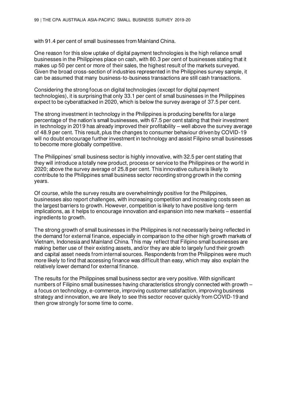with 91.4 per cent of small businesses from Mainland China.

One reason for this slow uptake of digital payment technologies is the high reliance small businesses in the Philippines place on cash, with 80.3 per cent of businesses stating that it makes up 50 per cent or more of their sales, the highest result of the markets surveyed. Given the broad cross-section of industries represented in the Philippines survey sample, it can be assumed that many business-to-business transactions are still cash transactions.

Considering the strong focus on digital technologies (except for digital payment technologies), it is surprising that only 33.1 per cent of small businesses in the Philippines expect to be cyberattacked in 2020, which is below the survey average of 37.5 per cent.

The strong investment in technology in the Philippines is producing benefits for a large percentage of the nation's small businesses, with 67.5 per cent stating that their investment in technology in 2019 has already improved their profitability – well above the survey average of 48.9 per cent. This result, plus the changes to consumer behaviour driven by COVID-19 will no doubt encourage further investment in technology and assist Filipino small businesses to become more globally competitive.

The Philippines' small business sector is highly innovative, with 32.5 per cent stating that they will introduce a totally new product, process or service to the Philippines or the world in 2020; above the survey average of 25.8 per cent. This innovative culture is likely to contribute to the Philippines small business sector recording strong growth in the coming years.

Of course, while the survey results are overwhelmingly positive for the Philippines, businesses also report challenges, with increasing competition and increasing costs seen as the largest barriers to growth. However, competition is likely to have positive long-term implications, as it helps to encourage innovation and expansion into new markets – essential ingredients to growth.

The strong growth of small businesses in the Philippines is not necessarily being reflected in the demand for external finance, especially in comparison to the other high growth markets of Vietnam, Indonesia and Mainland China. This may reflect that Filipino small businesses are making better use of their existing assets, and/or they are able to largely fund their growth and capital asset needs from internal sources. Respondents from the Philippines were much more likely to find that accessing finance was difficult than easy, which may also explain the relatively lower demand for external finance.

The results for the Philippines small business sector are very positive. With significant numbers of Filipino small businesses having characteristics strongly connected with growth – a focus on technology, e-commerce, improving customer satisfaction, improving business strategy and innovation, we are likely to see this sector recover quickly from COVID-19 and then grow strongly for some time to come.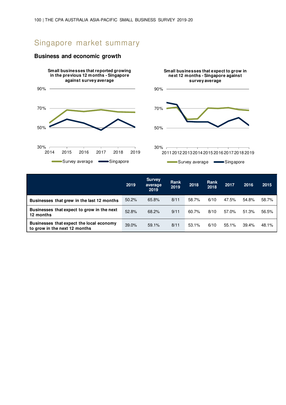# Singapore market summary







|                                                                           | 2019     | <b>Survey</b><br>average<br>2019 | Rank<br>2019 | 2018  | <b>Rank</b><br>2018 | 2017  | 2016  | 2015  |
|---------------------------------------------------------------------------|----------|----------------------------------|--------------|-------|---------------------|-------|-------|-------|
| Businesses that grew in the last 12 months                                | $50.2\%$ | 65.8%                            | 8/11         | 58.7% | 6/10                | 47.5% | 54.8% | 58.7% |
| Businesses that expect to grow in the next<br>12 months                   | 52.8%    | 68.2%                            | 9/11         | 60.7% | 8/10                | 57.0% | 51.3% | 56.5% |
| Businesses that expect the local economy<br>to grow in the next 12 months | 39.0%    | 59.1%                            | 8/11         | 53.1% | 6/10                | 55.1% | 39.4% | 48.1% |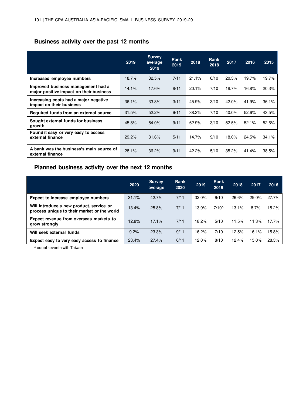## **Business activity over the past 12 months**

|                                                                               | 2019  | <b>Survey</b><br>average<br>2019 | <b>Rank</b><br>2019 | 2018  | <b>Rank</b><br>2018 | 2017  | 2016  | 2015  |
|-------------------------------------------------------------------------------|-------|----------------------------------|---------------------|-------|---------------------|-------|-------|-------|
| Increased employee numbers                                                    | 18.7% | 32.5%                            | 7/11                | 21.1% | 6/10                | 20.3% | 19.7% | 19.7% |
| Improved business management had a<br>major positive impact on their business | 14.1% | 17.6%                            | 8/11                | 20.1% | 7/10                | 18.7% | 16.8% | 20.3% |
| Increasing costs had a major negative<br>impact on their business             | 36.1% | 33.8%                            | 3/11                | 45.9% | 3/10                | 42.0% | 41.9% | 36.1% |
| Required funds from an external source                                        | 31.5% | 52.2%                            | 9/11                | 38.3% | 7/10                | 40.0% | 52.6% | 43.5% |
| Sought external funds for business<br>growth                                  | 45.8% | 54.0%                            | 9/11                | 62.9% | 3/10                | 52.5% | 52.1% | 52.6% |
| Found it easy or very easy to access<br>external finance                      | 29.2% | 31.6%                            | 5/11                | 14.7% | 9/10                | 18.0% | 24.5% | 34.1% |
| A bank was the business's main source of<br>external finance                  | 28.1% | 36.2%                            | 9/11                | 42.2% | 5/10                | 35.2% | 41.4% | 38.5% |

### **Planned business activity over the next 12 months**

|                                                                                         | 2020  | <b>Survey</b><br>average | Rank<br>2020 | 2019  | <b>Rank</b><br>2019 | 2018  | 2017  | 2016  |
|-----------------------------------------------------------------------------------------|-------|--------------------------|--------------|-------|---------------------|-------|-------|-------|
| Expect to increase employee numbers                                                     | 31.1% | 42.7%                    | 7/11         | 32.0% | 6/10                | 26.6% | 29.0% | 27.7% |
| Will introduce a new product, service or<br>process unique to their market or the world | 13.4% | 25.8%                    | 7/11         | 13.9% | $7/10^{\circ}$      | 13.1% | 8.7%  | 15.2% |
| Expect revenue from overseas markets to<br>grow strongly                                | 12.8% | 17.1%                    | 7/11         | 18.2% | 5/10                | 11.5% | 11.3% | 17.7% |
| Will seek external funds                                                                | 9.2%  | 23.3%                    | 9/11         | 16.2% | 7/10                | 12.5% | 16.1% | 15.8% |
| Expect easy to very easy access to finance                                              | 23.4% | 27.4%                    | 6/11         | 12.0% | 8/10                | 12.4% | 15.0% | 28.3% |

^ equal seventh with Taiwan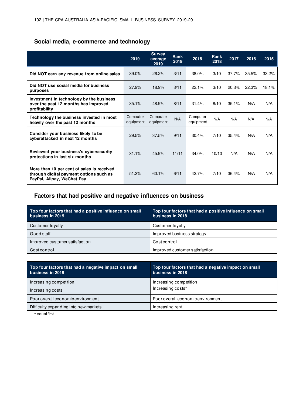## **Social media, e-commerce and technology**

|                                                                                                                     | 2019                  | <b>Survey</b><br>average<br>2019 | <b>Rank</b><br>2019 | 2018                  | Rank<br>2018 | 2017  | 2016  | 2015  |
|---------------------------------------------------------------------------------------------------------------------|-----------------------|----------------------------------|---------------------|-----------------------|--------------|-------|-------|-------|
| Did NOT earn any revenue from online sales                                                                          | 39.0%                 | 26.2%                            | 3/11                | 38.0%                 | 3/10         | 37.7% | 35.5% | 33.2% |
| Did NOT use social media for business<br>purposes                                                                   | 27.9%                 | 18.9%                            | 3/11                | 22.1%                 | 3/10         | 20.3% | 22.3% | 18.1% |
| Investment in technology by the business<br>over the past 12 months has improved<br>profitability                   | 35.1%                 | 48.9%                            | 8/11                | 31.4%                 | 8/10         | 35.1% | N/A   | N/A   |
| Technology the business invested in most<br>heavily over the past 12 months                                         | Computer<br>equipment | Computer<br>equipment            | N/A                 | Computer<br>equipment | N/A          | N/A   | N/A   | N/A   |
| Consider your business likely to be<br>cyberattacked in next 12 months                                              | 29.5%                 | 37.5%                            | 9/11                | 30.4%                 | 7/10         | 35.4% | N/A   | N/A   |
| Reviewed your business's cybersecurity<br>protections in last six months                                            | 31.1%                 | 45.9%                            | 11/11               | 34.0%                 | 10/10        | N/A   | N/A   | N/A   |
| More than 10 per cent of sales is received<br>through digital payment options such as<br>PayPal, Alipay, WeChat Pay | 51.3%                 | 60.1%                            | 6/11                | 42.7%                 | 7/10         | 36.4% | N/A   | N/A   |

### **Factors that had positive and negative influences on business**

| Top four factors that had a positive influence on small<br>business in 2019 | Top four factors that had a positive influence on small<br>business in 2018. |
|-----------------------------------------------------------------------------|------------------------------------------------------------------------------|
| Customer loyalty                                                            | Customer lovalty                                                             |
| Good staff                                                                  | Improved business strategy                                                   |
| Improved customer satisfaction                                              | Costcontrol                                                                  |
| Costcontrol                                                                 | Improved customer satisfaction                                               |

| Top four factors that had a negative impact on small<br>business in 2019 | Top four factors that had a negative impact on small<br>business in 2018 |
|--------------------------------------------------------------------------|--------------------------------------------------------------------------|
| Increasing competition                                                   | Increasing competition                                                   |
| Increasing costs                                                         | Increasing costs <sup>^</sup>                                            |
| Poor overall economic environment                                        | Poor overall economic environment                                        |
| Difficulty expanding into new markets                                    | Increasing rent                                                          |

^ equal first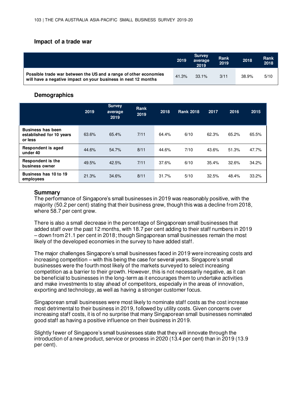#### **Impact of a trade war**

|                                                                                                                                    | 2019  | <b>Survey</b><br>average<br>2019 | Rank<br>2019 | 2018  | <b>Rank</b><br>2018 |
|------------------------------------------------------------------------------------------------------------------------------------|-------|----------------------------------|--------------|-------|---------------------|
| Possible trade war between the US and a range of other economies<br>will have a negative impact on your business in next 12 months | 41.3% | $33.1\%$                         | 3/11         | 38.9% | 5/10                |

#### **Demographics**

|                                                                 | 2019  | <b>Survey</b><br>average<br>2019 | Rank<br>2019 | 2018  | <b>Rank 2018</b> | 2017  | 2016  | 2015  |
|-----------------------------------------------------------------|-------|----------------------------------|--------------|-------|------------------|-------|-------|-------|
| <b>Business has been</b><br>established for 10 years<br>or less | 63.6% | 65.4%                            | 7/11         | 64.4% | 6/10             | 62.3% | 65.2% | 65.5% |
| <b>Respondent is aged</b><br>under 40                           | 44.6% | 54.7%                            | 8/11         | 44.6% | 7/10             | 43.6% | 51.3% | 47.7% |
| <b>Respondent is the</b><br>business owner                      | 49.5% | 42.5%                            | 7/11         | 37.6% | 6/10             | 35.4% | 32.6% | 34.2% |
| Business has 10 to 19<br>employees                              | 21.3% | 34.6%                            | 8/11         | 31.7% | 5/10             | 32.5% | 48.4% | 33.2% |

#### **Summary**

The performance of Singapore's small businesses in 2019 was reasonably positive, with the majority (50.2 per cent) stating that their business grew, though this was a decline from 2018, where 58.7 per cent grew.

There is also a small decrease in the percentage of Singaporean small businesses that added staff over the past 12 months, with 18.7 per cent adding to their staff numbers in 2019 – down from 21.1 per cent in 2018; though Singaporean small businesses remain the most likely of the developed economies in the survey to have added staff.

The major challenges Singapore's small businesses faced in 2019 were increasing costs and increasing competition – with this being the case for several years. Singapore's small businesses were the fourth most likely of the markets surveyed to select increasing competition as a barrier to their growth. However, this is not necessarily negative, as it can be beneficial to businesses in the long-term as it encourages them to undertake activities and make investments to stay ahead of competitors, especially in the areas of innovation, exporting and technology, as well as having a stronger customer focus.

Singaporean small businesses were most likely to nominate staff costs as the cost increase most detrimental to their business in 2019, followed by utility costs. Given concerns over increasing staff costs, it is of no surprise that many Singaporean small businesses nominated good staff as having a positive influence on their business in 2019.

Slightly fewer of Singapore's small businesses state that they will innovate through the introduction of a new product, service or process in 2020 (13.4 per cent) than in 2019 (13.9 per cent).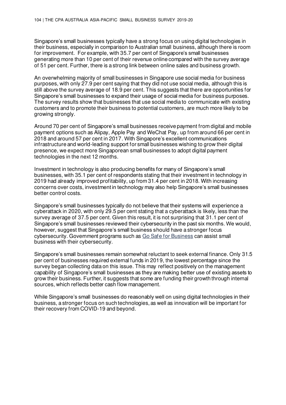Singapore's small businesses typically have a strong focus on using digital technologies in their business, especially in comparison to Australian small business, although there is room for improvement. For example, with 35.7 per cent of Singapore's small businesses generating more than 10 per cent of their revenue online compared with the survey average of 51 per cent. Further, there is a strong link between online sales and business growth.

An overwhelming majority of small businesses in Singapore use social media for business purposes, with only 27.9 per cent saying that they did not use social media, although this is still above the survey average of 18.9 per cent. This suggests that there are opportunities for Singapore's small businesses to expand their usage of social media for business purposes. The survey results show that businesses that use social media to communicate with existing customers and to promote their business to potential customers, are much more likely to be growing strongly.

Around 70 per cent of Singapore's small businesses receive payment from digital and mobile payment options such as Alipay, Apple Pay and WeChat Pay, up from around 66 per cent in 2018 and around 57 per cent in 2017. With Singapore's excellent communications infrastructure and world-leading support for small businesses wishing to grow their digital presence, we expect more Singaporean small businesses to adopt digital payment technologies in the next 12 months.

Investment in technology is also producing benefits for many of Singapore's small businesses, with 35.1 per cent of respondents stating that their investment in technology in 2019 had already improved profitability, up from 31.4 per cent in 2018. With increasing concerns over costs, investment in technology may also help Singapore's small businesses better control costs.

Singapore's small businesses typically do not believe that their systems will experience a cyberattack in 2020, with only 29.5 per cent stating that a cyberattack is likely, less than the survey average of 37.5 per cent. Given this result, it is not surprising that 31.1 per cent of Singapore's small businesses reviewed their cybersecurity in the past six months. We would, however, suggest that Singapore's small business should have a stronger focus cybersecurity. Government programs such as [Go Safe for Business](https://www.csa.gov.sg/gosafeonline/go-safe-for-business/smes) can assist small business with their cybersecurity.

Singapore's small businesses remain somewhat reluctant to seek external finance. Only 31.5 per cent of businesses required external funds in 2019, the lowest percentage since the survey began collecting data on this issue. This may reflect positively on the management capability of Singapore's small businesses as they are making better use of existing assets to grow their business. Further, it suggests that some are funding their growth through internal sources, which reflects better cash flow management.

While Singapore's small businesses do reasonably well on using digital technologies in their business, a stronger focus on such technologies, as well as innovation will be important for their recovery from COVID-19 and beyond.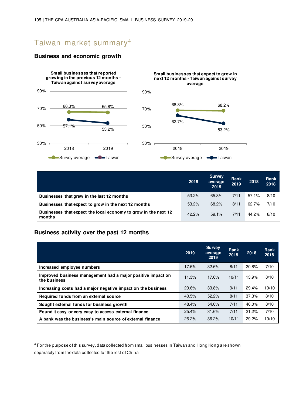# Taiwan market summary $^4$

#### **Business and economic growth**



|                                                                           | 2019  | <b>Survey</b><br>average<br>2019 | Rank<br>2019 | 2018  | Rank<br>2018 |
|---------------------------------------------------------------------------|-------|----------------------------------|--------------|-------|--------------|
| Businesses that grew in the last 12 months                                | 53.2% | 65.8%                            | 7/11         | 57.1% | 8/10         |
| Businesses that expect to grow in the next 12 months                      | 53.2% | 68.2%                            | 8/11         | 62.7% | 7/10         |
| Businesses that expect the local economy to grow in the next 12<br>months | 42.2% | 59.1%                            | 7/11         | 44.2% | 8/10         |

### **Business activity over the past 12 months**

|                                                                             | 2019  | <b>Survey</b><br>average<br>2019 | <b>Rank</b><br>2019 | 2018  | <b>Rank</b><br>2018 |
|-----------------------------------------------------------------------------|-------|----------------------------------|---------------------|-------|---------------------|
| Increased employee numbers                                                  | 17.6% | 32.6%                            | 8/11                | 20.8% | 7/10                |
| Improved business management had a major positive impact on<br>the business | 11.3% | 17.6%                            | 10/11               | 13.9% | 8/10                |
| Increasing costs had a major negative impact on the business                | 29.6% | 33.8%                            | 9/11                | 29.4% | 10/10               |
| Required funds from an external source                                      | 40.5% | 52.2%                            | 8/11                | 37.3% | 8/10                |
| Sought external funds for business growth                                   | 48.4% | 54.0%                            | 7/11                | 46.0% | 8/10                |
| Found it easy or very easy to access external finance                       | 25.4% | 31.6%                            | 7/11                | 21.2% | 7/10                |
| A bank was the business's main source of external finance                   | 26.2% | 36.2%                            | 10/11               | 29.2% | 10/10               |

4 For the purpose of this survey, data collected from small businesses in Taiwan and Hong Kong are shown separately from the data collected for the rest of China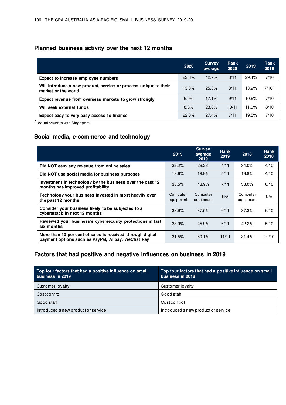## **Planned business activity over the next 12 months**

|                                                                                         | 2020  | <b>Survey</b><br>average | Rank<br>2020 | 2019  | Rank<br>2019   |
|-----------------------------------------------------------------------------------------|-------|--------------------------|--------------|-------|----------------|
| Expect to increase employee numbers                                                     | 22.3% | 42.7%                    | 8/11         | 29.4% | 7/10           |
| Will introduce a new product, service or process unique to their<br>market or the world | 13.3% | 25.8%                    | 8/11         | 13.9% | $7/10^{\circ}$ |
| Expect revenue from overseas markets to grow strongly                                   | 6.0%  | 17.1%                    | 9/11         | 10.6% | 7/10           |
| Will seek external funds                                                                | 8.3%  | 23.3%                    | 10/11        | 11.9% | 8/10           |
| Expect easy to very easy access to finance                                              | 22.8% | 27.4%                    | 7/11         | 19.5% | 7/10           |

^ equal seventh with Singapore

### **Social media, e-commerce and technology**

|                                                                                                                  | 2019                  | <b>Survey</b><br>average<br>2019 | Rank<br>2019 | 2018                  | <b>Rank</b><br>2018 |
|------------------------------------------------------------------------------------------------------------------|-----------------------|----------------------------------|--------------|-----------------------|---------------------|
| Did NOT earn any revenue from online sales                                                                       | 32.2%                 | 26.2%                            | 4/11         | 34.0%                 | 4/10                |
| Did NOT use social media for business purposes                                                                   | 18.6%                 | 18.9%                            | 5/11         | 16.8%                 | 4/10                |
| Investment in technology by the business over the past 12<br>months has improved profitability                   | 38.5%                 | 48.9%                            | 7/11         | $33.0\%$              | 6/10                |
| Technology your business invested in most heavily over<br>the past 12 months                                     | Computer<br>equipment | Computer<br>equipment            | N/A          | Computer<br>equipment | N/A                 |
| Consider your business likely to be subjected to a<br>cyberattack in next 12 months                              | 33.9%                 | 37.5%                            | 6/11         | 37.3%                 | 6/10                |
| Reviewed your business's cybersecurity protections in last<br>six months                                         | 38.9%                 | 45.9%                            | 6/11         | 42.2%                 | 5/10                |
| More than 10 per cent of sales is received through digital<br>payment options such as PayPal, Alipay, WeChat Pay | 31.5%                 | 60.1%                            | 11/11        | 31.4%                 | 10/10               |

### **Factors that had positive and negative influences on business in 2019**

| Top four factors that had a positive influence on small<br>business in 2019 | Top four factors that had a positive influence on small<br>business in 2018 |
|-----------------------------------------------------------------------------|-----------------------------------------------------------------------------|
| Customer loyalty                                                            | Customer loyalty                                                            |
| Costcontrol                                                                 | Good staff                                                                  |
| Good staff                                                                  | Costcontrol                                                                 |
| Introduced a new product or service                                         | Introduced a new product or service                                         |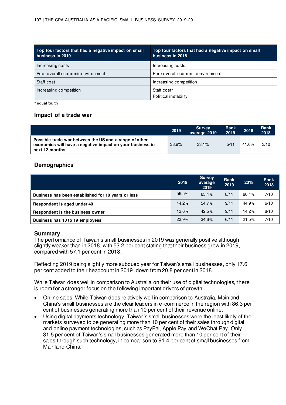| Top four factors that had a negative impact on small<br>business in 2019 | Top four factors that had a negative impact on small<br>business in 2018 |
|--------------------------------------------------------------------------|--------------------------------------------------------------------------|
| Increasing costs                                                         | Increasing costs                                                         |
| Poor overall economic environment                                        | Poor overall economic environment                                        |
| Staff cost                                                               | Increasing competition                                                   |
| Increasing competition                                                   | Staff cost <sup>^</sup><br>Political instability                         |

^ equal fourth

#### **Impact of a trade war**

|                                                                                                                                       | 2019  | <b>Survey</b><br>average 2019 | Rank<br>2019 | 2018  | Rank<br>2018 |
|---------------------------------------------------------------------------------------------------------------------------------------|-------|-------------------------------|--------------|-------|--------------|
| Possible trade war between the US and a range of other<br>economies will have a negative impact on your business in<br>next 12 months | 38.9% | 33.1%                         | 5/11         | 41.6% | 3/10         |

### **Demographics**

|                                                    | 2019  | <b>Survey</b><br>average<br>2019 | Rank<br>2019 | 2018  | Rank<br>2018 |
|----------------------------------------------------|-------|----------------------------------|--------------|-------|--------------|
| Business has been established for 10 years or less | 56.5% | 65.4%                            | 8/11         | 60.4% | 7/10         |
| Respondent is aged under 40                        | 44.2% | 54.7%                            | 9/11         | 44.9% | 6/10         |
| Respondent is the business owner                   | 13.6% | 42.5%                            | 9/11         | 14.2% | 8/10         |
| Business has 10 to 19 employees                    | 23.9% | 34.6%                            | 6/11         | 21.5% | 7/10         |

#### **Summary**

The performance of Taiwan's small businesses in 2019 was generally positive although slightly weaker than in 2018, with 53.2 per cent stating that their business grew in 2019, compared with 57.1 per cent in 2018.

Reflecting 2019 being slightly more subdued year for Taiwan's small businesses, only 17.6 per cent added to their headcount in 2019, down from 20.8 per cent in 2018.

While Taiwan does well in comparison to Australia on their use of digital technologies, there is room for a stronger focus on the following important drivers of growth:

- Online sales. While Taiwan does relatively well in comparison to Australia, Mainland China's small businesses are the clear leaders in e-commerce in the region with 86.3 per cent of businesses generating more than 10 per cent of their revenue online.
- Using digital payments technology. Taiwan's small businesses were the least likely of the markets surveyed to be generating more than 10 per cent of their sales through digital and online payment technologies, such as PayPal, Apple Pay and WeChat Pay. Only 31.5 per cent of Taiwan's small businesses generated more than 10 per cent of their sales through such technology, in comparison to 91.4 per cent of small businesses from Mainland China.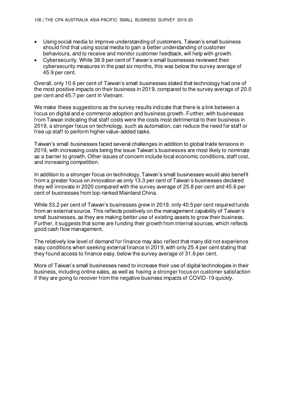- Using social media to improve understanding of customers. Taiwan's small business should find that using social media to gain a better understanding of customer behaviours, and to receive and monitor customer feedback, will help with growth.
- Cybersecurity. While 38.9 per cent of Taiwan's small businesses reviewed their cybersecurity measures in the past six months, this was below the survey average of 45.9 per cent.

Overall, only 10.6 per cent of Taiwan's small businesses stated that technology had one of the most positive impacts on their business in 2019, compared to the survey average of 20.0 per cent and 45.7 per cent in Vietnam.

We make these suggestions as the survey results indicate that there is a link between a focus on digital and e-commerce adoption and business growth. Further, with businesses from Taiwan indicating that staff costs were the costs most detrimental to their business in 2019, a stronger focus on technology, such as automation, can reduce the need for staff or free up staff to perform higher value-added tasks.

Taiwan's small businesses faced several challenges in addition to global trade tensions in 2019, with increasing costs being the issue Taiwan's businesses are most likely to nominate as a barrier to growth. Other issues of concern include local economic conditions, staff cost, and increasing competition.

In addition to a stronger focus on technology, Taiwan's small businesses would also benefit from a greater focus on innovation as only 13.3 per cent of Taiwan's businesses declared they will innovate in 2020 compared with the survey average of 25.8 per cent and 45.6 per cent of businesses from top-ranked Mainland China.

While 53.2 per cent of Taiwan's businesses grew in 2019, only 40.5 per cent required funds from an external source. This reflects positively on the management capability of Taiwan's small businesses, as they are making better use of existing assets to grow their business. Further, it suggests that some are funding their growth from internal sources, which reflects good cash flow management.

The relatively low level of demand for finance may also reflect that many did not experience easy conditions when seeking external finance in 2019, with only 25.4 per cent stating that they found access to finance easy, below the survey average of 31.6 per cent.

More of Taiwan's small businesses need to increase their use of digital technologies in their business, including online sales, as well as having a stronger focus on customer satisfaction if they are going to recover from the negative business impacts of COVID-19 quickly.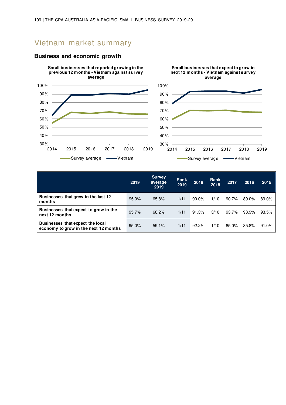## Vietnam market summary

#### **Business and economic growth**



|                                                                           | 2019  | <b>Survey</b><br>average<br>2019 | Rank<br>2019 | 2018     | <b>Rank</b><br>2018 | 2017  | 2016  | 2015  |
|---------------------------------------------------------------------------|-------|----------------------------------|--------------|----------|---------------------|-------|-------|-------|
| Businesses that grew in the last 12<br>months                             | 95.0% | 65.8%                            | 1/11         | $90.0\%$ | 1/10                | 90.7% | 89.0% | 89.0% |
| Businesses that expect to grow in the<br>next 12 months                   | 95.7% | 68.2%                            | 1/11         | 91.3%    | 3/10                | 93.7% | 93.9% | 93.5% |
| Businesses that expect the local<br>economy to grow in the next 12 months | 95.0% | 59.1%                            | 1/11         | 92.2%    | 1/10                | 85.0% | 85.8% | 91.0% |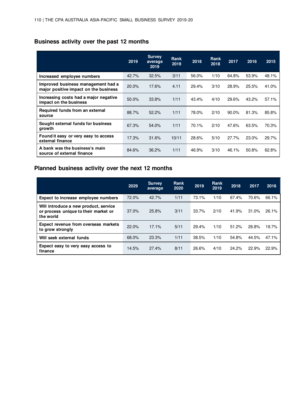## **Business activity over the past 12 months**

|                                                                             | 2019  | <b>Survey</b><br>average<br>2019 | Rank<br>2019 | 2018  | Rank<br>2018 | 2017  | 2016  | 2015  |
|-----------------------------------------------------------------------------|-------|----------------------------------|--------------|-------|--------------|-------|-------|-------|
| Increased employee numbers                                                  | 42.7% | 32.5%                            | 3/11         | 56.0% | 1/10         | 64.8% | 53.9% | 48.1% |
| Improved business management had a<br>major positive impact on the business | 20.0% | 17.6%                            | 4.11         | 29.4% | 3/10         | 28.9% | 25.5% | 41.0% |
| Increasing costs had a major negative<br>impact on the business             | 50.0% | 33.8%                            | 1/11         | 43.4% | 4/10         | 29.6% | 43.2% | 57.1% |
| Required funds from an external<br>source                                   | 88.7% | 52.2%                            | 1/11         | 78.0% | 2/10         | 90.0% | 81.3% | 85.8% |
| Sought external funds for business<br>growth                                | 67.3% | 54.0%                            | 1/11         | 70.1% | 2/10         | 47.6% | 63.5% | 70.3% |
| Found it easy or very easy to access<br>external finance                    | 17.3% | 31.6%                            | 10/11        | 28.6% | 5/10         | 27.7% | 23.0% | 29.7% |
| A bank was the business's main<br>source of external finance                | 84.6% | 36.2%                            | 1/11         | 46.9% | 3/10         | 46.1% | 50.8% | 62.8% |

### **Planned business activity over the next 12 months**

|                                                                                            | 2029  | <b>Survey</b><br>average | Rank<br>2020 | 2019  | Rank<br>2019 | 2018  | 2017  | 2016  |
|--------------------------------------------------------------------------------------------|-------|--------------------------|--------------|-------|--------------|-------|-------|-------|
| Expect to increase employee numbers                                                        | 72.0% | 42.7%                    | 1/11         | 73.1% | 1/10         | 67.4% | 70.6% | 66.1% |
| Will introduce a new product, service<br>or process unique to their market or<br>the world | 37.0% | 25.8%                    | 3/11         | 33.7% | 2/10         | 41.9% | 31.0% | 26.1% |
| Expect revenue from overseas markets<br>to grow strongly                                   | 22.0% | 17.1%                    | 5/11         | 29.4% | 1/10         | 51.2% | 26.8% | 19.7% |
| Will seek external funds                                                                   | 68.0% | 23.3%                    | 1/11         | 38.5% | 1/10         | 54.8% | 44.5% | 47.1% |
| Expect easy to very easy access to<br>finance                                              | 14.5% | 27.4%                    | 8/11         | 26.6% | 4/10         | 24.2% | 22.9% | 22.9% |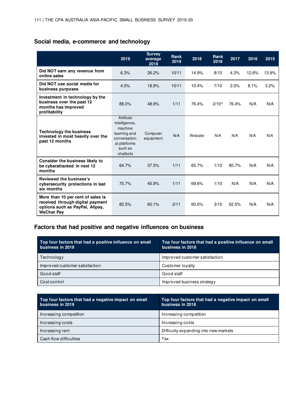### **Social media, e-commerce and technology**

|                                                                                                                               | 2019                                                                                                          | <b>Survey</b><br>average<br>2019 | <b>Rank</b><br>2019 | 2018    | <b>Rank</b><br>2018 | 2017  | 2016  | 2015  |
|-------------------------------------------------------------------------------------------------------------------------------|---------------------------------------------------------------------------------------------------------------|----------------------------------|---------------------|---------|---------------------|-------|-------|-------|
| Did NOT earn any revenue from<br>online sales                                                                                 | 6.3%                                                                                                          | 26.2%                            | 10/11               | 14.9%   | 8/10                | 4.3%  | 12.6% | 13.9% |
| Did NOT use social media for<br>business purposes                                                                             | 4.0%                                                                                                          | 18.9%                            | 10/11               | 10.4%   | 7/10                | 2.0%  | 8.1%  | 3.2%  |
| Investment in technology by the<br>business over the past 12<br>months has improved<br>profitability                          | 88.0%                                                                                                         | 48.9%                            | 1/11                | 76.4%   | $2/10^{\circ}$      | 76.4% | N/A   | N/A   |
| <b>Technology the business</b><br>invested in most heavily over the<br>past 12 months                                         | Artificial<br>intelligence,<br>machine<br>learning and<br>conversation<br>al platforms<br>such as<br>chatbots | Computer<br>equipment            | N/A                 | Website | N/A                 | N/A   | N/A   | N/A   |
| <b>Consider the business likely to</b><br>be cyberattacked in next 12<br>months                                               | 64.7%                                                                                                         | 37.5%                            | 1/11                | 65.7%   | 1/10                | 80.7% | N/A   | N/A   |
| <b>Reviewed the business's</b><br>cybersecurity protections in last<br>six months                                             | 70.7%                                                                                                         | 45.9%                            | 1/11                | 69.6%   | 1/10                | N/A   | N/A   | N/A   |
| More than 10 per cent of sales is<br>received through digital payment<br>options such as PayPal, Alipay,<br><b>WeChat Pay</b> | 82.5%                                                                                                         | 60.1%                            | 2/11                | 60.0%   | 3/10                | 62.5% | N/A   | N/A   |

#### **Factors that had positive and negative influences on business**

| Top four factors that had a positive influence on small<br>business in 2019 | Top four factors that had a positive influence on small<br>business in 2018 |
|-----------------------------------------------------------------------------|-----------------------------------------------------------------------------|
| Technology                                                                  | Improved customer satisfaction                                              |
| Improved customer satisfaction                                              | Customer loyalty                                                            |
| Good staff                                                                  | Good staff                                                                  |
| Costcontrol                                                                 | Improved business strategy                                                  |

| Top four factors that had a negative impact on small<br>business in 2019 | Top four factors that had a negative impact on small<br>business in 2018 |
|--------------------------------------------------------------------------|--------------------------------------------------------------------------|
| Increasing competition                                                   | Increasing competition                                                   |
| Increasing costs                                                         | Increasing costs                                                         |
| Increasing rent                                                          | Difficulty expanding into new markets                                    |
| Cash flow difficulties                                                   | Tax                                                                      |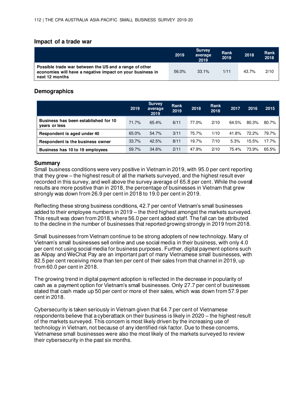#### **Impact of a trade war**

|                                                                                                                                       | 2019  | <b>Survey</b><br>average<br>2019 | Rank<br>2019 | 2018  | Rank<br>2018 |
|---------------------------------------------------------------------------------------------------------------------------------------|-------|----------------------------------|--------------|-------|--------------|
| Possible trade war between the US and a range of other<br>economies will have a negative impact on your business in<br>next 12 months | 56.0% | 33.1%                            | 1/11         | 43.7% | 2/10         |

#### **Demographics**

|                                                       | 2019  | <b>Survey</b><br>average<br>2019 | Rank<br>2019 | 2018  | <b>Rank</b><br>2018 | 2017  | 2016  | 2015  |
|-------------------------------------------------------|-------|----------------------------------|--------------|-------|---------------------|-------|-------|-------|
| Business has been established for 10<br>vears or less | 71.7% | 65.4%                            | 6/11         | 77.0% | 2/10                | 64.5% | 80.3% | 80.7% |
| Respondent is aged under 40                           | 65.0% | 54.7%                            | 3/11         | 75.7% | 1/10                | 41.8% | 72.2% | 79.7% |
| Respondent is the business owner                      | 33.7% | 42.5%                            | 8/11         | 19.7% | 7/10                | 5.3%  | 15.5% | 17.7% |
| Business has 10 to 19 employees                       | 59.7% | 34.6%                            | 2/11         | 47.9% | 2/10                | 75.4% | 73.9% | 65.5% |

#### **Summary**

Small business conditions were very positive in Vietnam in 2019, with 95.0 per cent reporting that they grew – the highest result of all the markets surveyed, and the highest result ever recorded in this survey, and well above the survey average of 65.8 per cent. While the overall results are more positive than in 2018, the percentage of businesses in Vietnam that grew strongly was down from 26.9 per cent in 2018 to 19.0 per cent in 2019.

Reflecting these strong business conditions, 42.7 per cent of Vietnam's small businesses added to their employee numbers in 2019 – the third highest amongst the markets surveyed. This result was down from 2018, where 56.0 per cent added staff. The fall can be attributed to the decline in the number of businesses that reported growing strongly in 2019 from 2018.

Small businesses from Vietnam continue to be strong adopters of new technology. Many of Vietnam's small businesses sell online and use social media in their business, with only 4.0 per cent not using social media for business purposes. Further, digital payment options such as Alipay and WeChat Pay are an important part of many Vietnamese small businesses, with 82.5 per cent receiving more than ten per cent of their sales from that channel in 2019, up from 60.0 per cent in 2018.

The growing trend in digital payment adoption is reflected in the decrease in popularity of cash as a payment option for Vietnam's small businesses. Only 27.7 per cent of businesses stated that cash made up 50 per cent or more of their sales, which was down from 57.9 per cent in 2018.

Cybersecurity is taken seriously in Vietnam given that 64.7 per cent of Vietnamese respondents believe that a cyberattack on their business is likely in 2020 – the highest result of the markets surveyed. This concern is most likely driven by the increasing use of technology in Vietnam, not because of any identified risk factor. Due to these concerns, Vietnamese small businesses were also the most likely of the markets surveyed to review their cybersecurity in the past six months.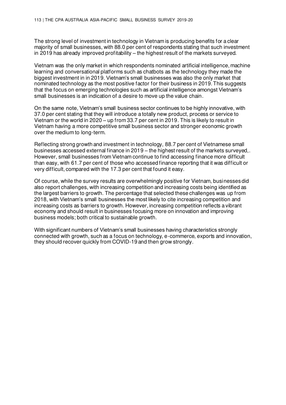The strong level of investment in technology in Vietnam is producing benefits for a clear majority of small businesses, with 88.0 per cent of respondents stating that such investment in 2019 has already improved profitability – the highest result of the markets surveyed.

Vietnam was the only market in which respondents nominated artificial intelligence, machine learning and conversational platforms such as chatbots as the technology they made the biggest investment in in 2019. Vietnam's small businesses was also the only market that nominated technology as the most positive factor for their business in 2019. This suggests that the focus on emerging technologies such as artificial intelligence amongst Vietnam's small businesses is an indication of a desire to move up the value chain.

On the same note, Vietnam's small business sector continues to be highly innovative, with 37.0 per cent stating that they will introduce a totally new product, process or service to Vietnam or the world in 2020 – up from 33.7 per cent in 2019. This is likely to result in Vietnam having a more competitive small business sector and stronger economic growth over the medium to long-term.

Reflecting strong growth and investment in technology, 88.7 per cent of Vietnamese small businesses accessed external finance in 2019 – the highest result of the markets surveyed,. However, small businesses from Vietnam continue to find accessing finance more difficult than easy, with 61.7 per cent of those who accessed finance reporting that it was difficult or very difficult, compared with the 17.3 per cent that found it easy.

Of course, while the survey results are overwhelmingly positive for Vietnam, businesses did also report challenges, with increasing competition and increasing costs being identified as the largest barriers to growth. The percentage that selected these challenges was up from 2018, with Vietnam's small businesses the most likely to cite increasing competition and increasing costs as barriers to growth. However, increasing competition reflects a vibrant economy and should result in businesses focusing more on innovation and improving business models; both critical to sustainable growth.

With significant numbers of Vietnam's small businesses having characteristics strongly connected with growth, such as a focus on technology, e-commerce, exports and innovation, they should recover quickly from COVID-19 and then grow strongly.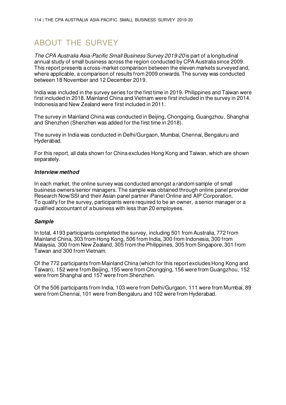# ABOUT THE SURVEY

The CPA Australia Asia-Pacific Small Business Survey 2019-20 is part of a longitudinal annual study of small business across the region conducted by CPA Australia since 2009. This report presents a cross-market comparison between the eleven markets surveyed and, where applicable, a comparison of results from 2009 onwards. The survey was conducted between 18 November and 12 December 2019.

India was included in the survey series for the first time in 2019. Philippines and Taiwan were first included in 2018. Mainland China and Vietnam were first included in the survey in 2014. Indonesia and New Zealand were first included in 2011.

The survey in Mainland China was conducted in Beijing, Chongqing, Guangzhou, Shanghai and Shenzhen (Shenzhen was added for the first time in 2018).

The survey in India was conducted in Delhi/Gurgaon, Mumbai, Chennai, Bengaluru and Hyderabad.

For this report, all data shown for China excludes Hong Kong and Taiwan, which are shown separately.

#### **Interview method**

In each market, the online survey was conducted amongst a random sample of small business owners/senior managers. The sample was obtained through online panel provider Research Now/SSI and their Asian panel partner iPanel Online and AIP Corporation. To qualify for the survey, participants were required to be an owner, a senior manager or a qualified accountant of a business with less than 20 employees.

#### **Sample**

In total, 4193 participants completed the survey, including 501 from Australia, 772 from Mainland China, 303 from Hong Kong, 506 from India, 300 from Indonesia, 300 from Malaysia, 300 from New Zealand, 305 from the Philippines, 305 from Singapore, 301 from Taiwan and 300 from Vietnam.

Of the 772 participants from Mainland China (which for this report excludes Hong Kong and Taiwan), 152 were from Beijing, 155 were from Chongqing, 156 were from Guangzhou, 152 were from Shanghai and 157 were from Shenzhen.

Of the 506 participants from India, 103 were from Delhi/Gurgaon, 111 were from Mumbai, 89 were from Chennai, 101 were from Bengaluru and 102 were from Hyderabad.